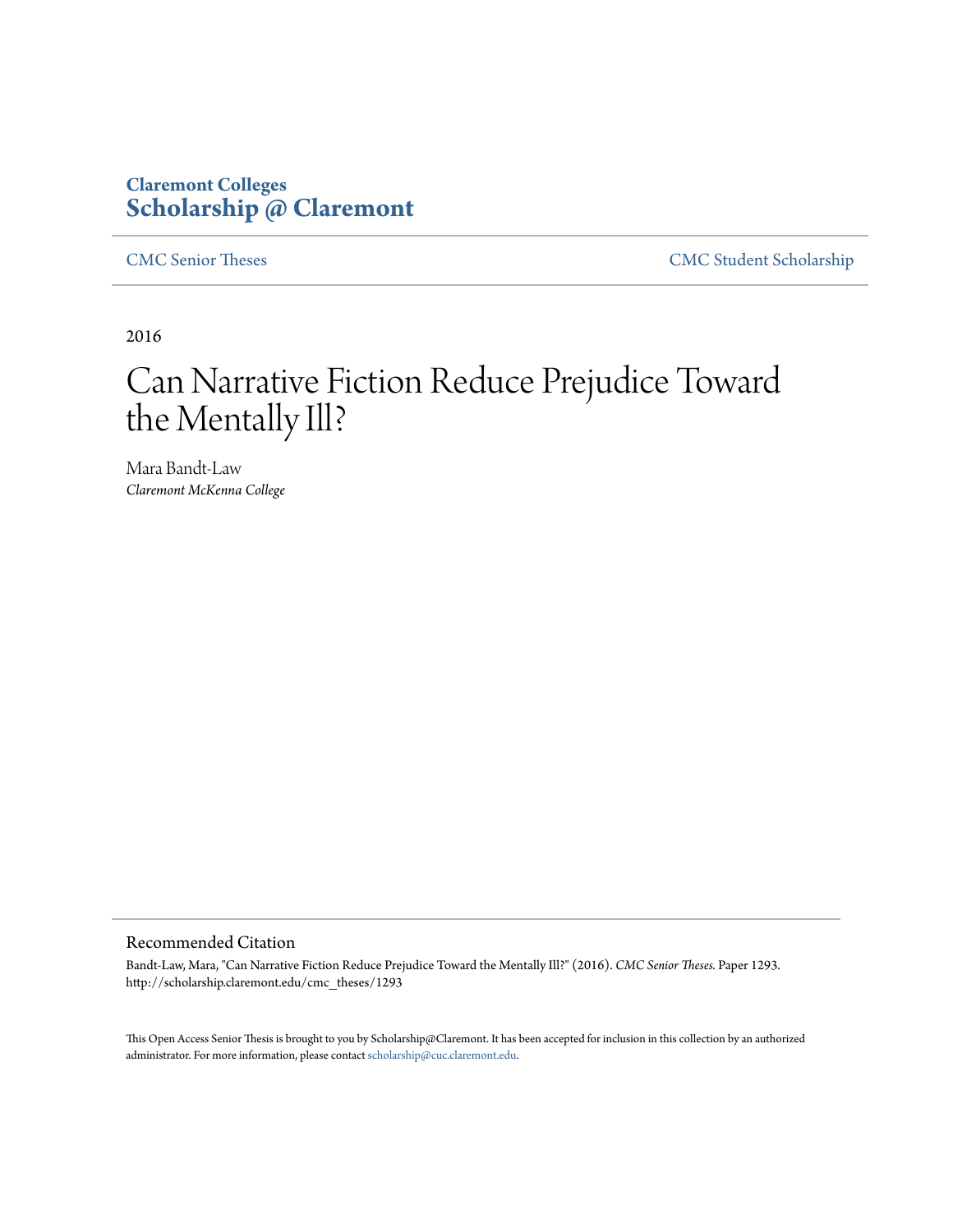# **Claremont Colleges [Scholarship @ Claremont](http://scholarship.claremont.edu)**

[CMC Senior Theses](http://scholarship.claremont.edu/cmc_theses) [CMC Student Scholarship](http://scholarship.claremont.edu/cmc_student)

2016

# Can Narrative Fiction Reduce Prejudice Toward the Mentally Ill?

Mara Bandt-Law *Claremont McKenna College*

#### Recommended Citation

Bandt-Law, Mara, "Can Narrative Fiction Reduce Prejudice Toward the Mentally Ill?" (2016). *CMC Senior Theses.* Paper 1293. http://scholarship.claremont.edu/cmc\_theses/1293

This Open Access Senior Thesis is brought to you by Scholarship@Claremont. It has been accepted for inclusion in this collection by an authorized administrator. For more information, please contact [scholarship@cuc.claremont.edu.](mailto:scholarship@cuc.claremont.edu)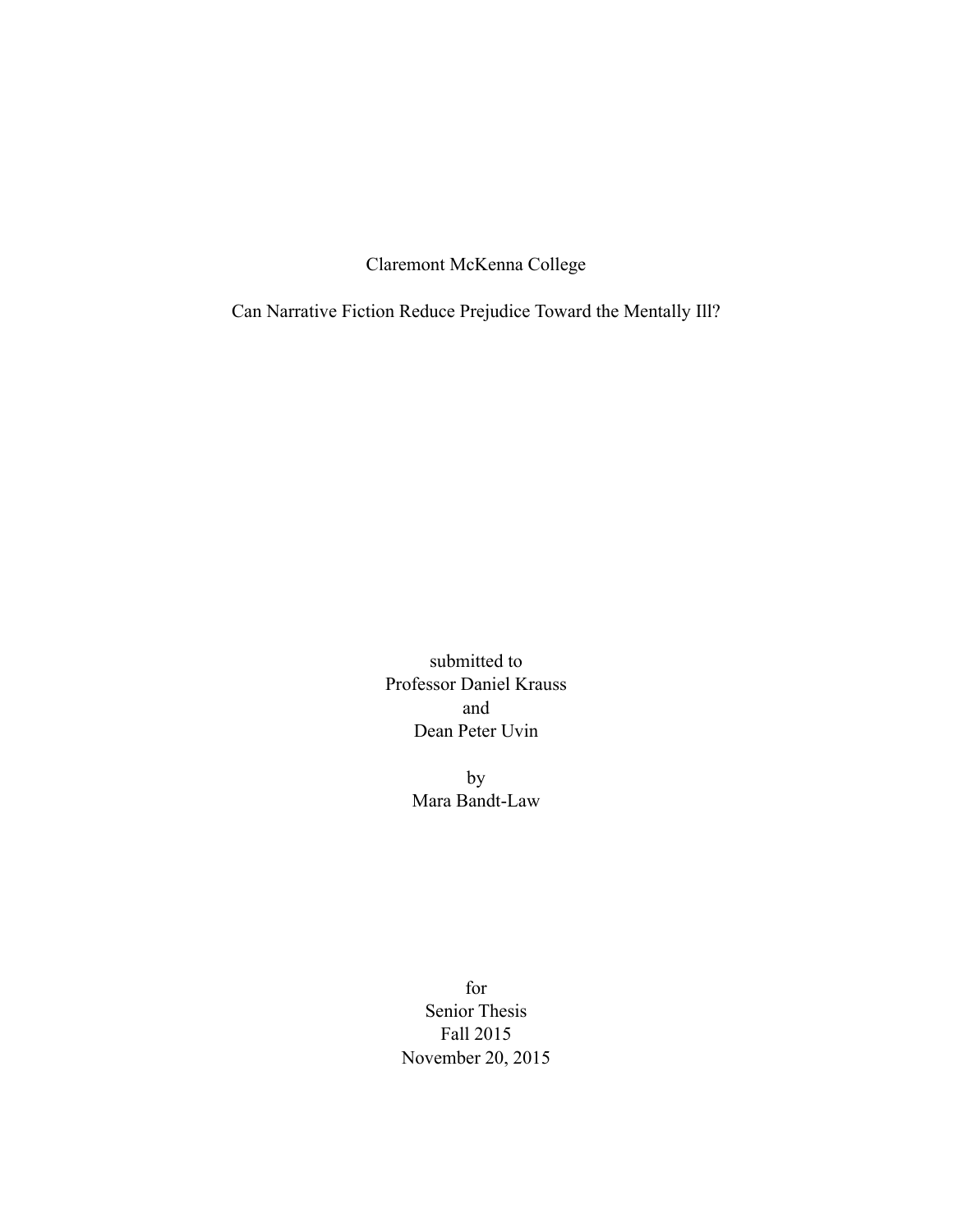Claremont McKenna College

Can Narrative Fiction Reduce Prejudice Toward the Mentally Ill?

submitted to Professor Daniel Krauss and Dean Peter Uvin

> by Mara Bandt-Law

for Senior Thesis Fall 2015 November 20, 2015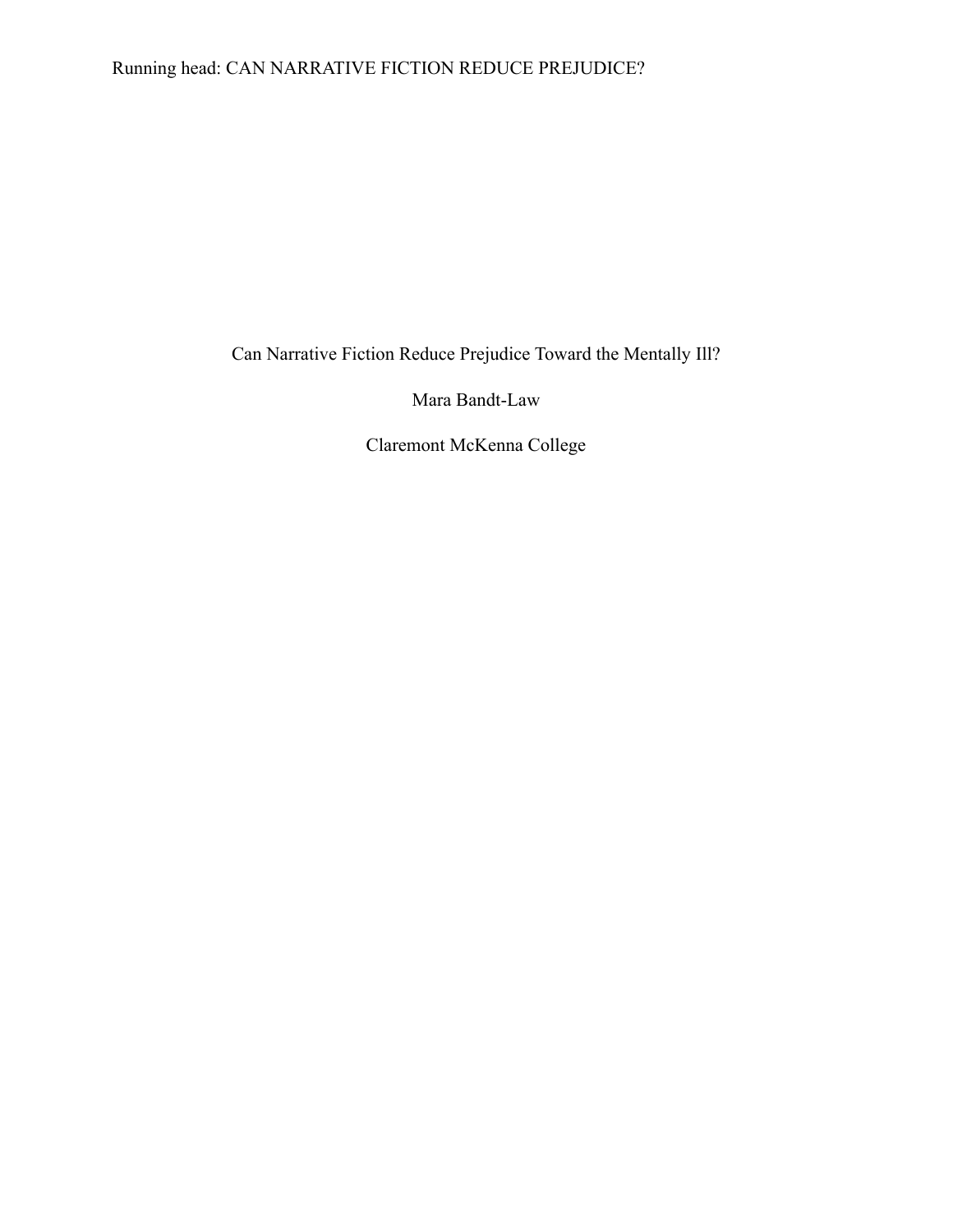# Running head: CAN NARRATIVE FICTION REDUCE PREJUDICE?

Can Narrative Fiction Reduce Prejudice Toward the Mentally Ill?

Mara Bandt-Law

Claremont McKenna College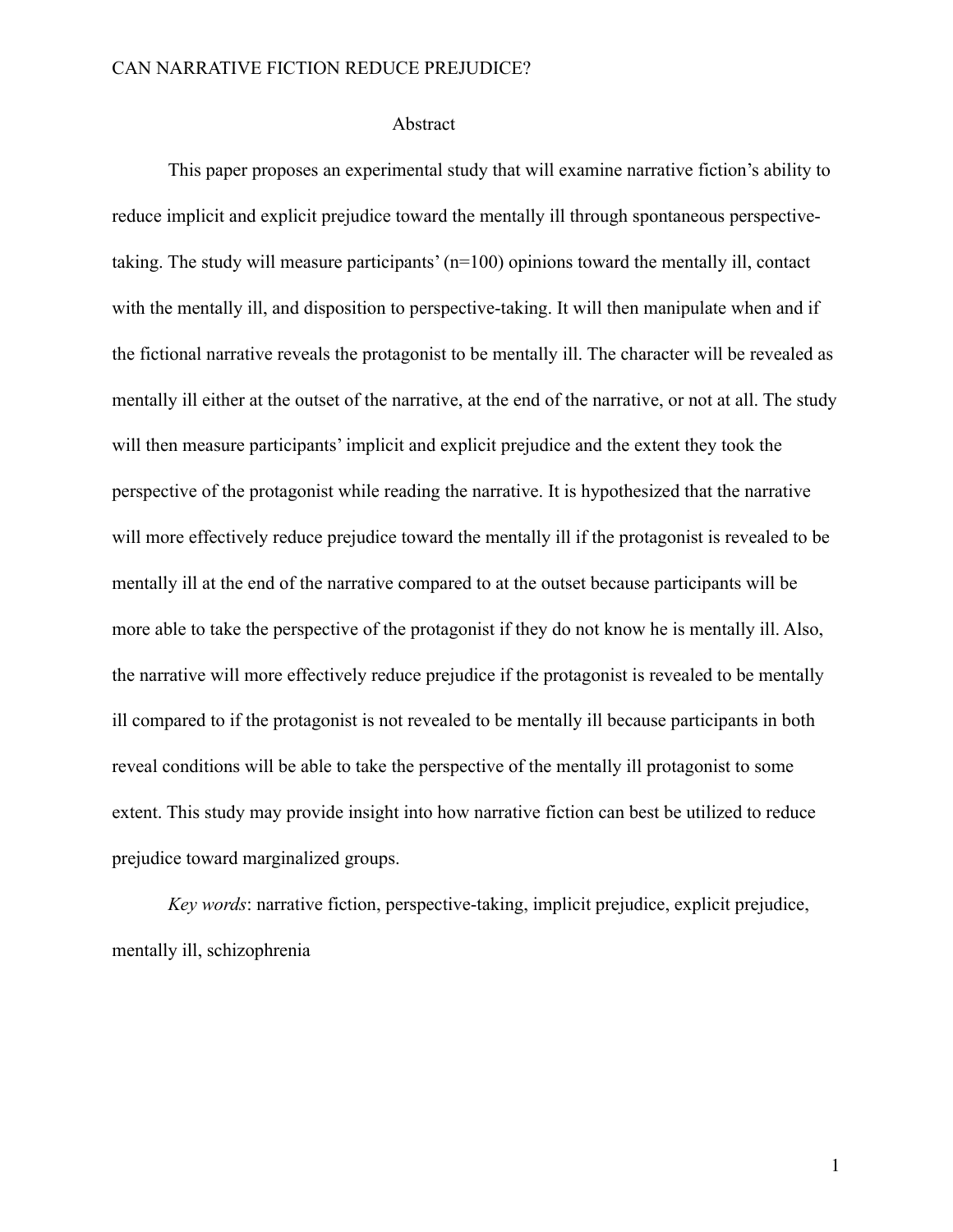#### Abstract

 This paper proposes an experimental study that will examine narrative fiction's ability to reduce implicit and explicit prejudice toward the mentally ill through spontaneous perspectivetaking. The study will measure participants' (n=100) opinions toward the mentally ill, contact with the mentally ill, and disposition to perspective-taking. It will then manipulate when and if the fictional narrative reveals the protagonist to be mentally ill. The character will be revealed as mentally ill either at the outset of the narrative, at the end of the narrative, or not at all. The study will then measure participants' implicit and explicit prejudice and the extent they took the perspective of the protagonist while reading the narrative. It is hypothesized that the narrative will more effectively reduce prejudice toward the mentally ill if the protagonist is revealed to be mentally ill at the end of the narrative compared to at the outset because participants will be more able to take the perspective of the protagonist if they do not know he is mentally ill. Also, the narrative will more effectively reduce prejudice if the protagonist is revealed to be mentally ill compared to if the protagonist is not revealed to be mentally ill because participants in both reveal conditions will be able to take the perspective of the mentally ill protagonist to some extent. This study may provide insight into how narrative fiction can best be utilized to reduce prejudice toward marginalized groups.

*Key words*: narrative fiction, perspective-taking, implicit prejudice, explicit prejudice, mentally ill, schizophrenia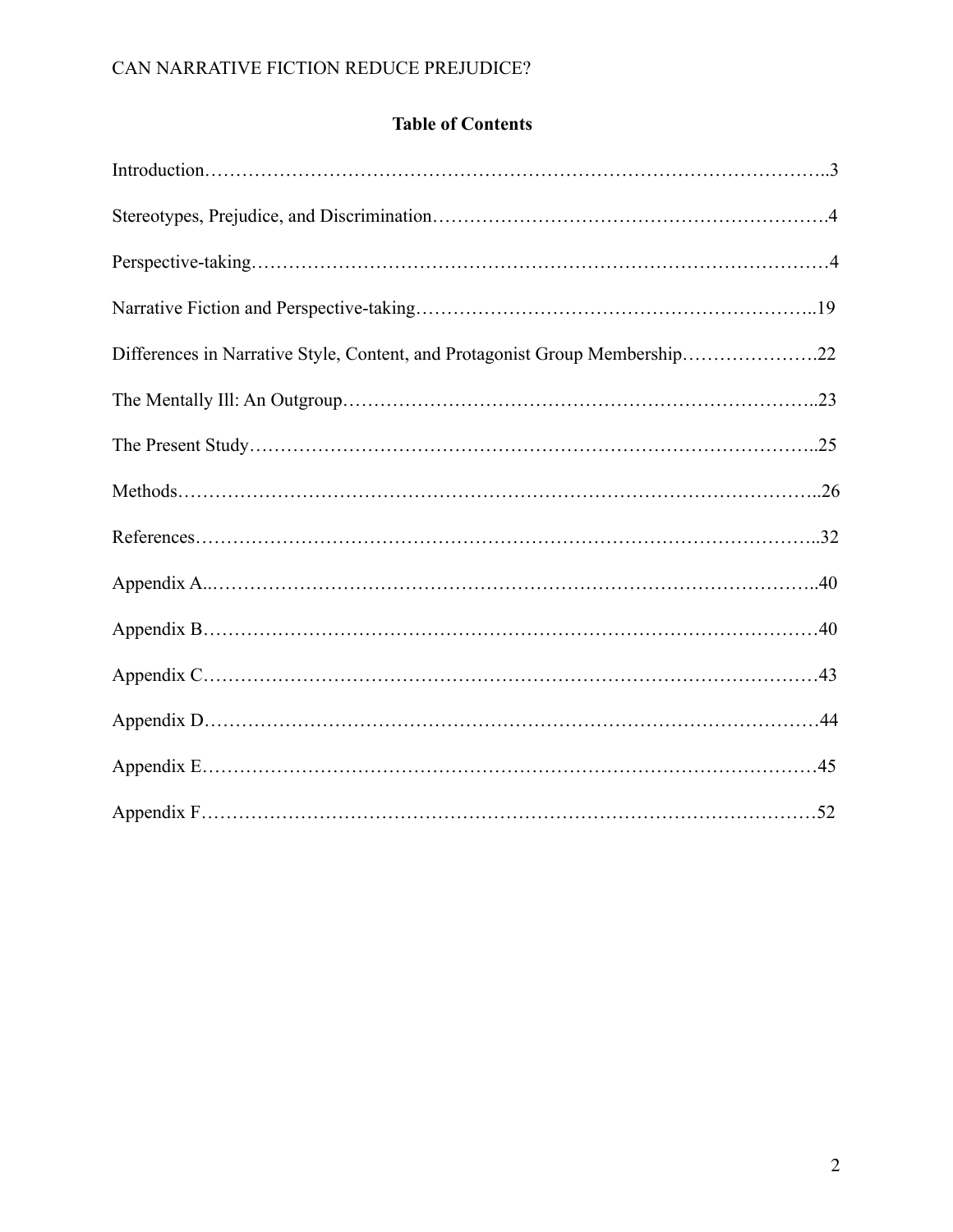# **Table of Contents**

| Differences in Narrative Style, Content, and Protagonist Group Membership22 |  |
|-----------------------------------------------------------------------------|--|
|                                                                             |  |
|                                                                             |  |
|                                                                             |  |
|                                                                             |  |
|                                                                             |  |
|                                                                             |  |
|                                                                             |  |
|                                                                             |  |
|                                                                             |  |
|                                                                             |  |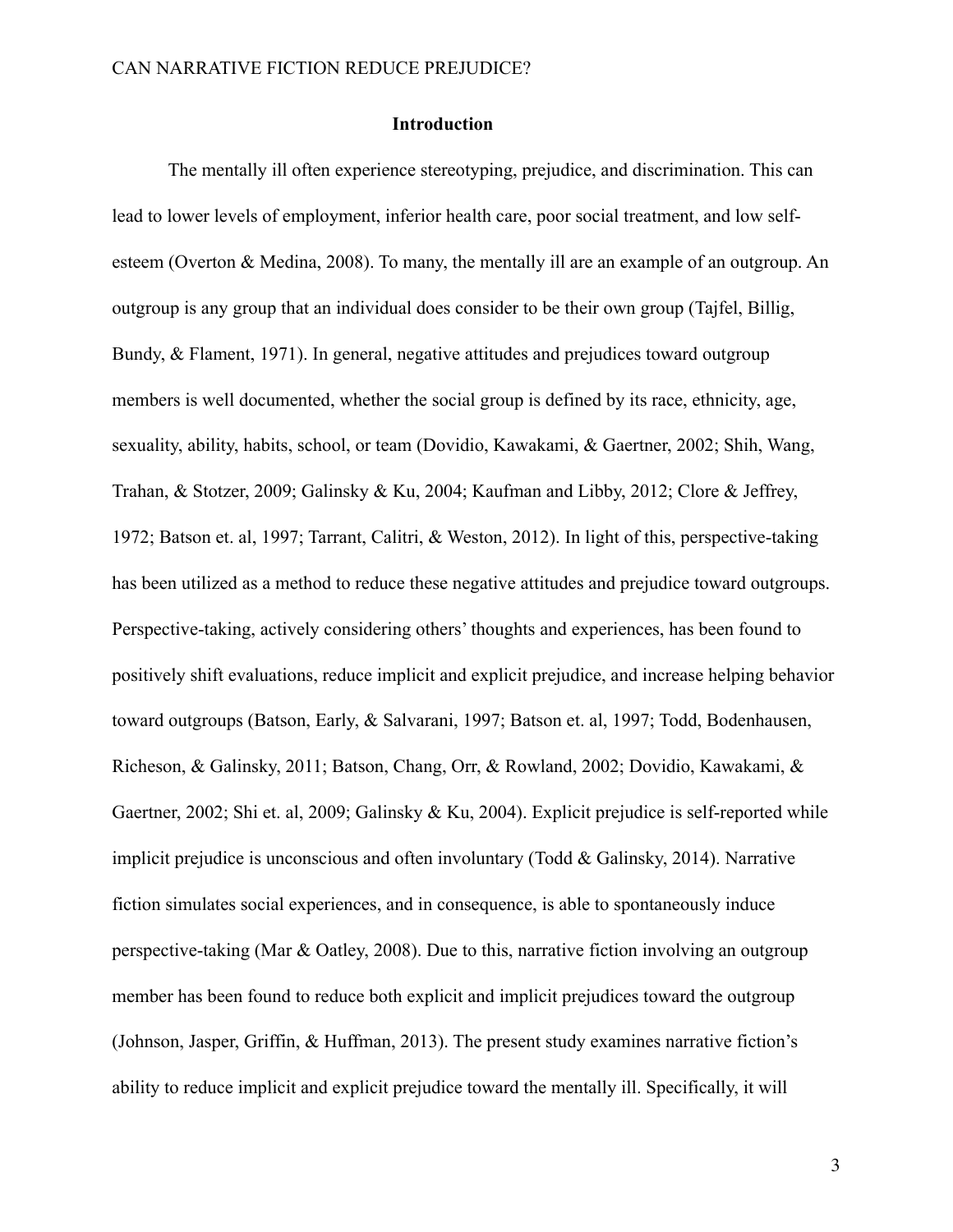#### **Introduction**

The mentally ill often experience stereotyping, prejudice, and discrimination. This can lead to lower levels of employment, inferior health care, poor social treatment, and low selfesteem (Overton & Medina, 2008). To many, the mentally ill are an example of an outgroup. An outgroup is any group that an individual does consider to be their own group (Tajfel, Billig, Bundy, & Flament, 1971). In general, negative attitudes and prejudices toward outgroup members is well documented, whether the social group is defined by its race, ethnicity, age, sexuality, ability, habits, school, or team (Dovidio, Kawakami, & Gaertner, 2002; Shih, Wang, Trahan, & Stotzer, 2009; Galinsky & Ku, 2004; Kaufman and Libby, 2012; Clore & Jeffrey, 1972; Batson et. al, 1997; Tarrant, Calitri, & Weston, 2012). In light of this, perspective-taking has been utilized as a method to reduce these negative attitudes and prejudice toward outgroups. Perspective-taking, actively considering others' thoughts and experiences, has been found to positively shift evaluations, reduce implicit and explicit prejudice, and increase helping behavior toward outgroups (Batson, Early, & Salvarani, 1997; Batson et. al, 1997; Todd, Bodenhausen, Richeson, & Galinsky, 2011; Batson, Chang, Orr, & Rowland, 2002; Dovidio, Kawakami, & Gaertner, 2002; Shi et. al, 2009; Galinsky & Ku, 2004). Explicit prejudice is self-reported while implicit prejudice is unconscious and often involuntary (Todd & Galinsky, 2014). Narrative fiction simulates social experiences, and in consequence, is able to spontaneously induce perspective-taking (Mar & Oatley, 2008). Due to this, narrative fiction involving an outgroup member has been found to reduce both explicit and implicit prejudices toward the outgroup (Johnson, Jasper, Griffin, & Huffman, 2013). The present study examines narrative fiction's ability to reduce implicit and explicit prejudice toward the mentally ill. Specifically, it will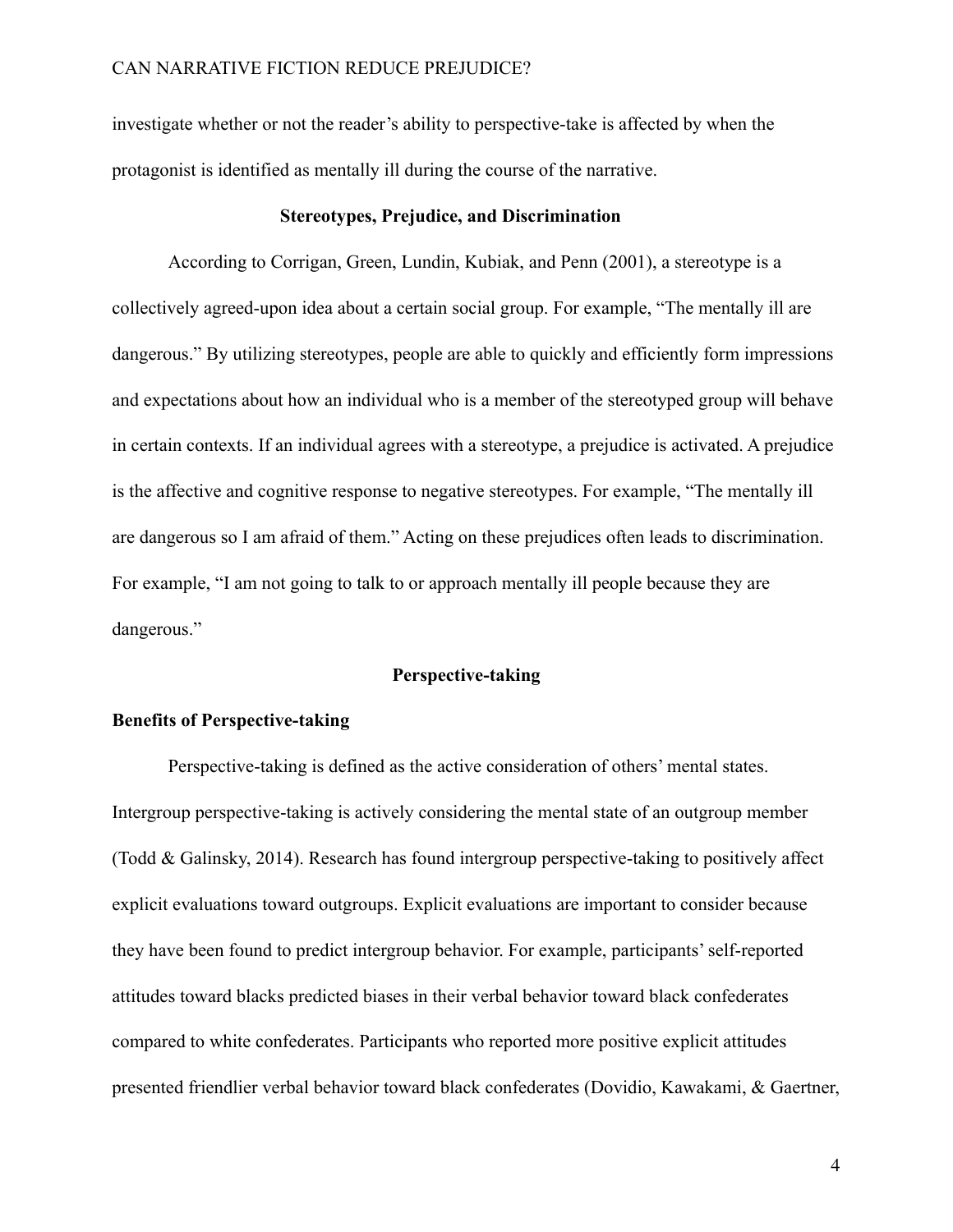investigate whether or not the reader's ability to perspective-take is affected by when the protagonist is identified as mentally ill during the course of the narrative.

## **Stereotypes, Prejudice, and Discrimination**

According to Corrigan, Green, Lundin, Kubiak, and Penn (2001), a stereotype is a collectively agreed-upon idea about a certain social group. For example, "The mentally ill are dangerous." By utilizing stereotypes, people are able to quickly and efficiently form impressions and expectations about how an individual who is a member of the stereotyped group will behave in certain contexts. If an individual agrees with a stereotype, a prejudice is activated. A prejudice is the affective and cognitive response to negative stereotypes. For example, "The mentally ill are dangerous so I am afraid of them." Acting on these prejudices often leads to discrimination. For example, "I am not going to talk to or approach mentally ill people because they are dangerous."

#### **Perspective-taking**

### **Benefits of Perspective-taking**

 Perspective-taking is defined as the active consideration of others' mental states. Intergroup perspective-taking is actively considering the mental state of an outgroup member (Todd & Galinsky, 2014). Research has found intergroup perspective-taking to positively affect explicit evaluations toward outgroups. Explicit evaluations are important to consider because they have been found to predict intergroup behavior. For example, participants' self-reported attitudes toward blacks predicted biases in their verbal behavior toward black confederates compared to white confederates. Participants who reported more positive explicit attitudes presented friendlier verbal behavior toward black confederates (Dovidio, Kawakami, & Gaertner,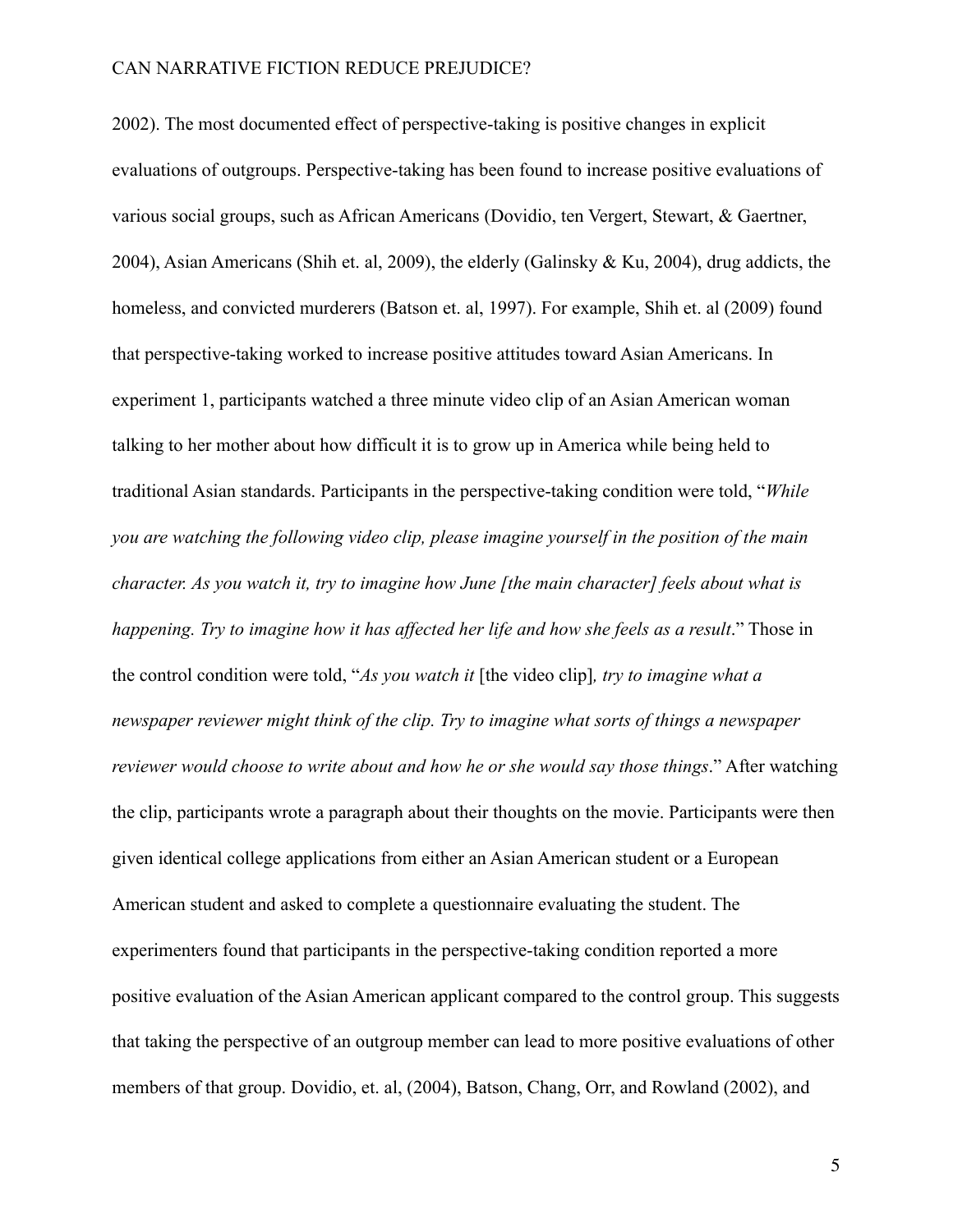2002). The most documented effect of perspective-taking is positive changes in explicit evaluations of outgroups. Perspective-taking has been found to increase positive evaluations of various social groups, such as African Americans (Dovidio, ten Vergert, Stewart, & Gaertner, 2004), Asian Americans (Shih et. al, 2009), the elderly (Galinsky & Ku, 2004), drug addicts, the homeless, and convicted murderers (Batson et. al, 1997). For example, Shih et. al (2009) found that perspective-taking worked to increase positive attitudes toward Asian Americans. In experiment 1, participants watched a three minute video clip of an Asian American woman talking to her mother about how difficult it is to grow up in America while being held to traditional Asian standards. Participants in the perspective-taking condition were told, "*While you are watching the following video clip, please imagine yourself in the position of the main character. As you watch it, try to imagine how June [the main character] feels about what is happening. Try to imagine how it has affected her life and how she feels as a result*." Those in the control condition were told, "*As you watch it* [the video clip]*, try to imagine what a newspaper reviewer might think of the clip. Try to imagine what sorts of things a newspaper reviewer would choose to write about and how he or she would say those things*." After watching the clip, participants wrote a paragraph about their thoughts on the movie. Participants were then given identical college applications from either an Asian American student or a European American student and asked to complete a questionnaire evaluating the student. The experimenters found that participants in the perspective-taking condition reported a more positive evaluation of the Asian American applicant compared to the control group. This suggests that taking the perspective of an outgroup member can lead to more positive evaluations of other members of that group. Dovidio, et. al, (2004), Batson, Chang, Orr, and Rowland (2002), and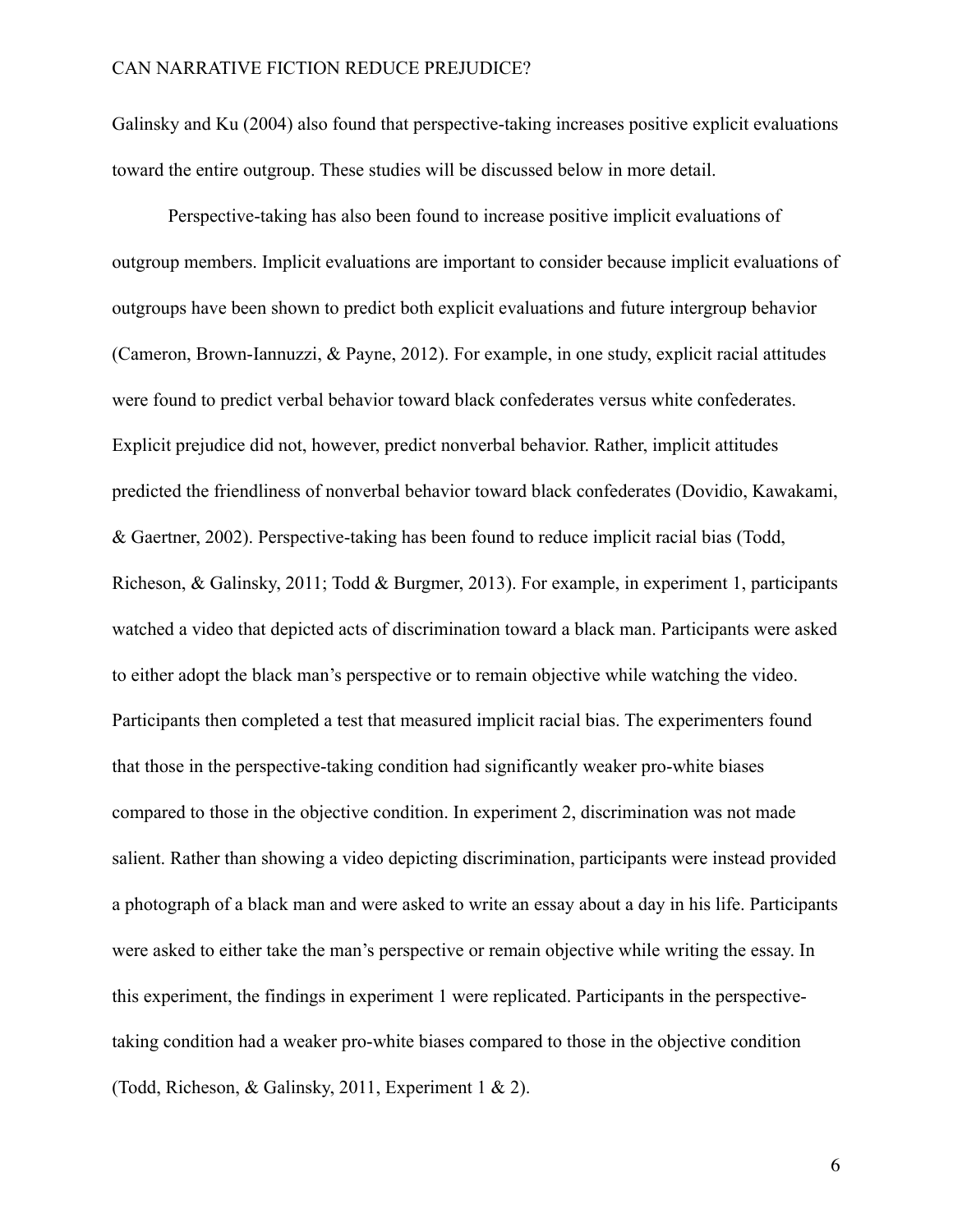Galinsky and Ku (2004) also found that perspective-taking increases positive explicit evaluations toward the entire outgroup. These studies will be discussed below in more detail.

 Perspective-taking has also been found to increase positive implicit evaluations of outgroup members. Implicit evaluations are important to consider because implicit evaluations of outgroups have been shown to predict both explicit evaluations and future intergroup behavior (Cameron, Brown-Iannuzzi, & Payne, 2012). For example, in one study, explicit racial attitudes were found to predict verbal behavior toward black confederates versus white confederates. Explicit prejudice did not, however, predict nonverbal behavior. Rather, implicit attitudes predicted the friendliness of nonverbal behavior toward black confederates (Dovidio, Kawakami, & Gaertner, 2002). Perspective-taking has been found to reduce implicit racial bias (Todd, Richeson, & Galinsky, 2011; Todd & Burgmer, 2013). For example, in experiment 1, participants watched a video that depicted acts of discrimination toward a black man. Participants were asked to either adopt the black man's perspective or to remain objective while watching the video. Participants then completed a test that measured implicit racial bias. The experimenters found that those in the perspective-taking condition had significantly weaker pro-white biases compared to those in the objective condition. In experiment 2, discrimination was not made salient. Rather than showing a video depicting discrimination, participants were instead provided a photograph of a black man and were asked to write an essay about a day in his life. Participants were asked to either take the man's perspective or remain objective while writing the essay. In this experiment, the findings in experiment 1 were replicated. Participants in the perspectivetaking condition had a weaker pro-white biases compared to those in the objective condition (Todd, Richeson, & Galinsky, 2011, Experiment 1 & 2).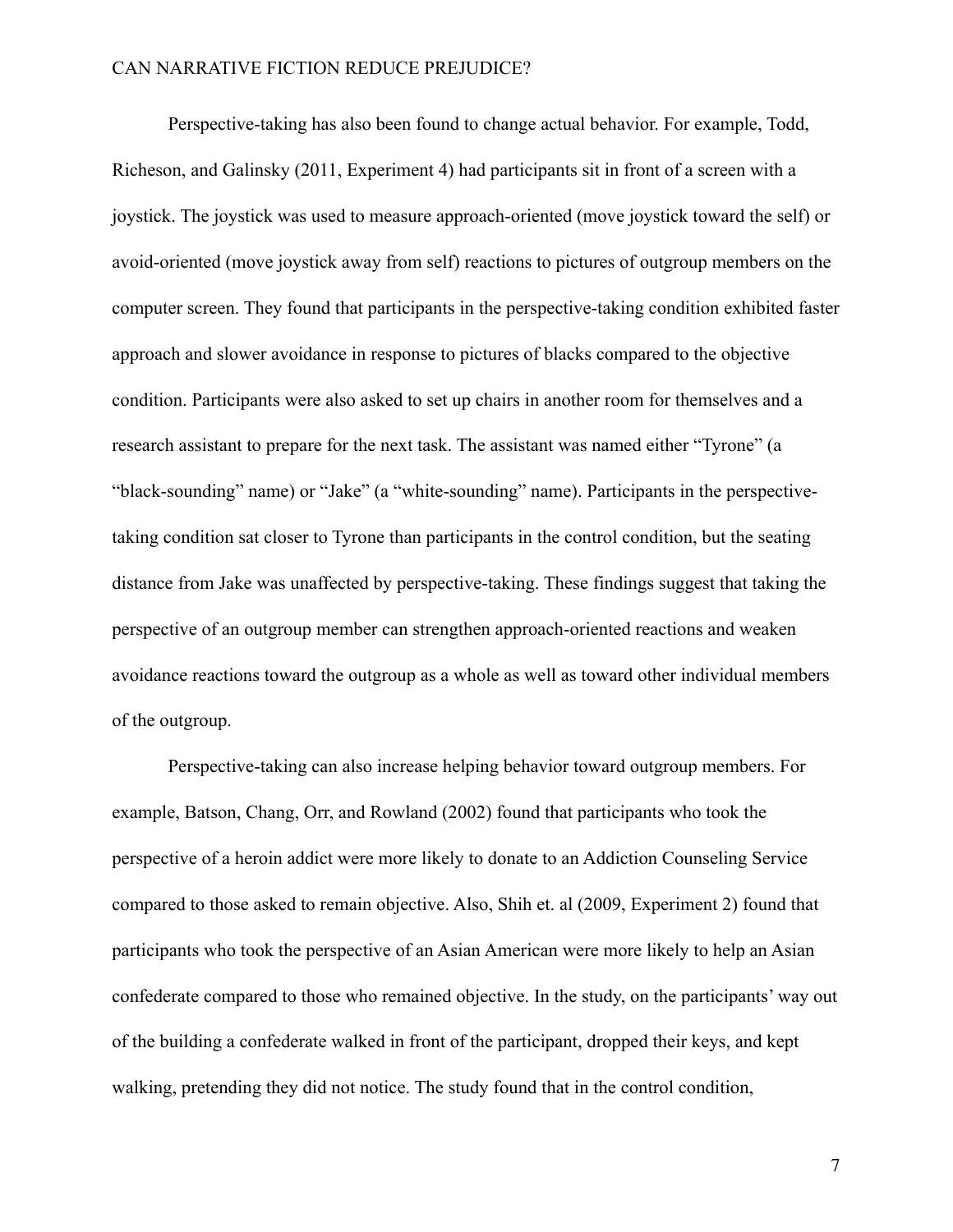Perspective-taking has also been found to change actual behavior. For example, Todd, Richeson, and Galinsky (2011, Experiment 4) had participants sit in front of a screen with a joystick. The joystick was used to measure approach-oriented (move joystick toward the self) or avoid-oriented (move joystick away from self) reactions to pictures of outgroup members on the computer screen. They found that participants in the perspective-taking condition exhibited faster approach and slower avoidance in response to pictures of blacks compared to the objective condition. Participants were also asked to set up chairs in another room for themselves and a research assistant to prepare for the next task. The assistant was named either "Tyrone" (a "black-sounding" name) or "Jake" (a "white-sounding" name). Participants in the perspectivetaking condition sat closer to Tyrone than participants in the control condition, but the seating distance from Jake was unaffected by perspective-taking. These findings suggest that taking the perspective of an outgroup member can strengthen approach-oriented reactions and weaken avoidance reactions toward the outgroup as a whole as well as toward other individual members of the outgroup.

 Perspective-taking can also increase helping behavior toward outgroup members. For example, Batson, Chang, Orr, and Rowland (2002) found that participants who took the perspective of a heroin addict were more likely to donate to an Addiction Counseling Service compared to those asked to remain objective. Also, Shih et. al (2009, Experiment 2) found that participants who took the perspective of an Asian American were more likely to help an Asian confederate compared to those who remained objective. In the study, on the participants' way out of the building a confederate walked in front of the participant, dropped their keys, and kept walking, pretending they did not notice. The study found that in the control condition,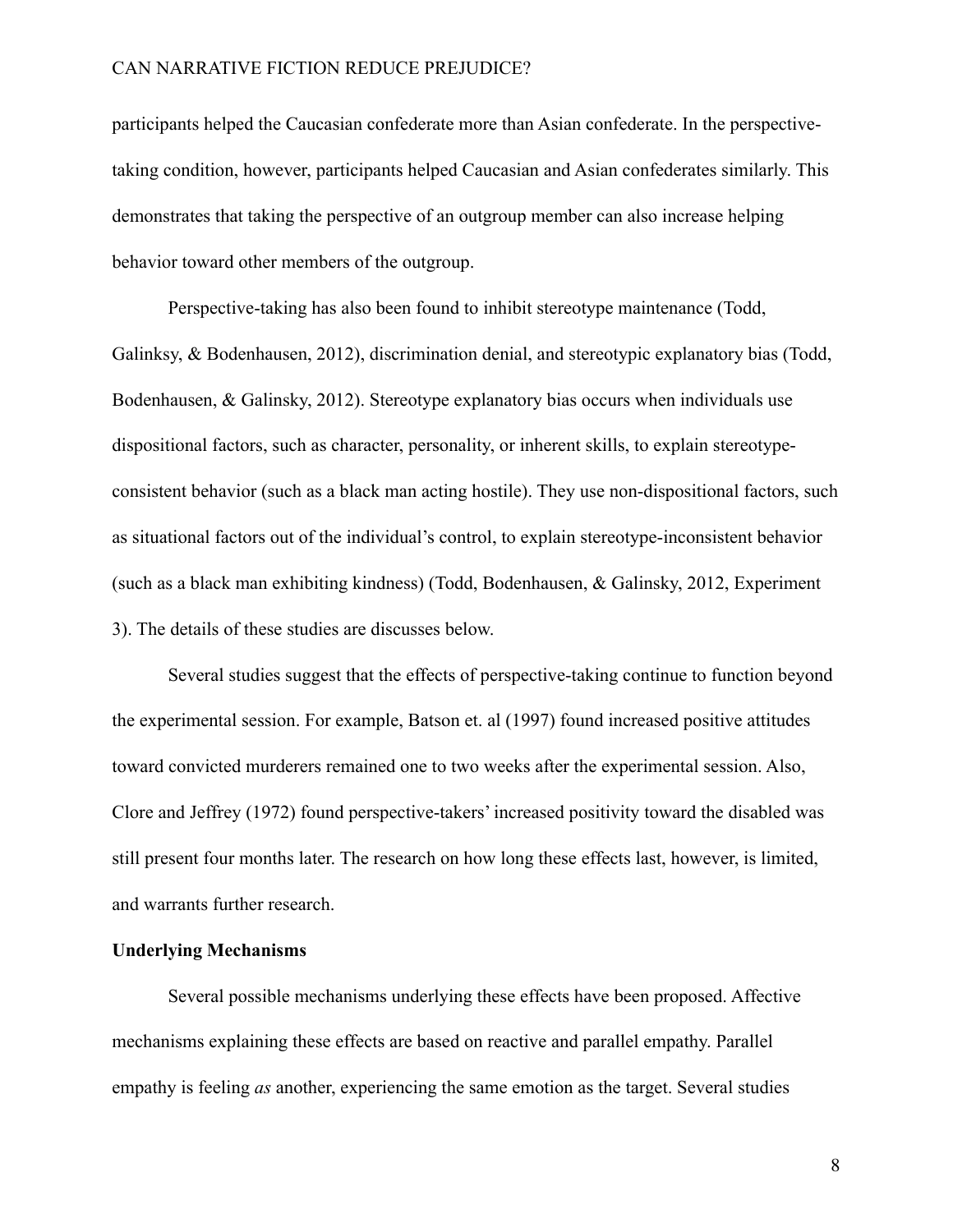participants helped the Caucasian confederate more than Asian confederate. In the perspectivetaking condition, however, participants helped Caucasian and Asian confederates similarly. This demonstrates that taking the perspective of an outgroup member can also increase helping behavior toward other members of the outgroup.

 Perspective-taking has also been found to inhibit stereotype maintenance (Todd, Galinksy, & Bodenhausen, 2012), discrimination denial, and stereotypic explanatory bias (Todd, Bodenhausen, & Galinsky, 2012). Stereotype explanatory bias occurs when individuals use dispositional factors, such as character, personality, or inherent skills, to explain stereotypeconsistent behavior (such as a black man acting hostile). They use non-dispositional factors, such as situational factors out of the individual's control, to explain stereotype-inconsistent behavior (such as a black man exhibiting kindness) (Todd, Bodenhausen, & Galinsky, 2012, Experiment 3). The details of these studies are discusses below.

 Several studies suggest that the effects of perspective-taking continue to function beyond the experimental session. For example, Batson et. al (1997) found increased positive attitudes toward convicted murderers remained one to two weeks after the experimental session. Also, Clore and Jeffrey (1972) found perspective-takers' increased positivity toward the disabled was still present four months later. The research on how long these effects last, however, is limited, and warrants further research.

#### **Underlying Mechanisms**

 Several possible mechanisms underlying these effects have been proposed. Affective mechanisms explaining these effects are based on reactive and parallel empathy. Parallel empathy is feeling *as* another, experiencing the same emotion as the target. Several studies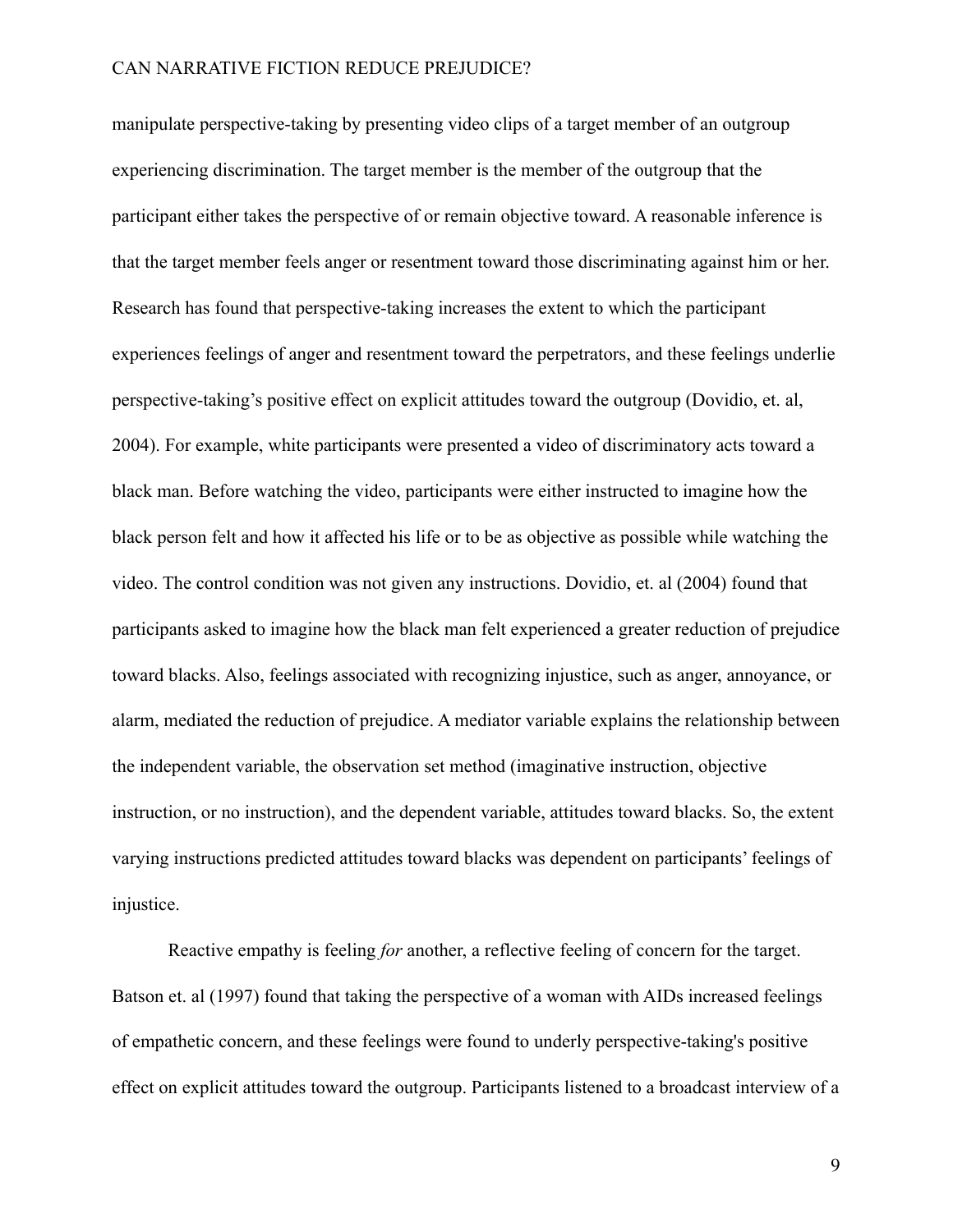manipulate perspective-taking by presenting video clips of a target member of an outgroup experiencing discrimination. The target member is the member of the outgroup that the participant either takes the perspective of or remain objective toward. A reasonable inference is that the target member feels anger or resentment toward those discriminating against him or her. Research has found that perspective-taking increases the extent to which the participant experiences feelings of anger and resentment toward the perpetrators, and these feelings underlie perspective-taking's positive effect on explicit attitudes toward the outgroup (Dovidio, et. al, 2004). For example, white participants were presented a video of discriminatory acts toward a black man. Before watching the video, participants were either instructed to imagine how the black person felt and how it affected his life or to be as objective as possible while watching the video. The control condition was not given any instructions. Dovidio, et. al (2004) found that participants asked to imagine how the black man felt experienced a greater reduction of prejudice toward blacks. Also, feelings associated with recognizing injustice, such as anger, annoyance, or alarm, mediated the reduction of prejudice. A mediator variable explains the relationship between the independent variable, the observation set method (imaginative instruction, objective instruction, or no instruction), and the dependent variable, attitudes toward blacks. So, the extent varying instructions predicted attitudes toward blacks was dependent on participants' feelings of injustice.

 Reactive empathy is feeling *for* another, a reflective feeling of concern for the target. Batson et. al (1997) found that taking the perspective of a woman with AIDs increased feelings of empathetic concern, and these feelings were found to underly perspective-taking's positive effect on explicit attitudes toward the outgroup. Participants listened to a broadcast interview of a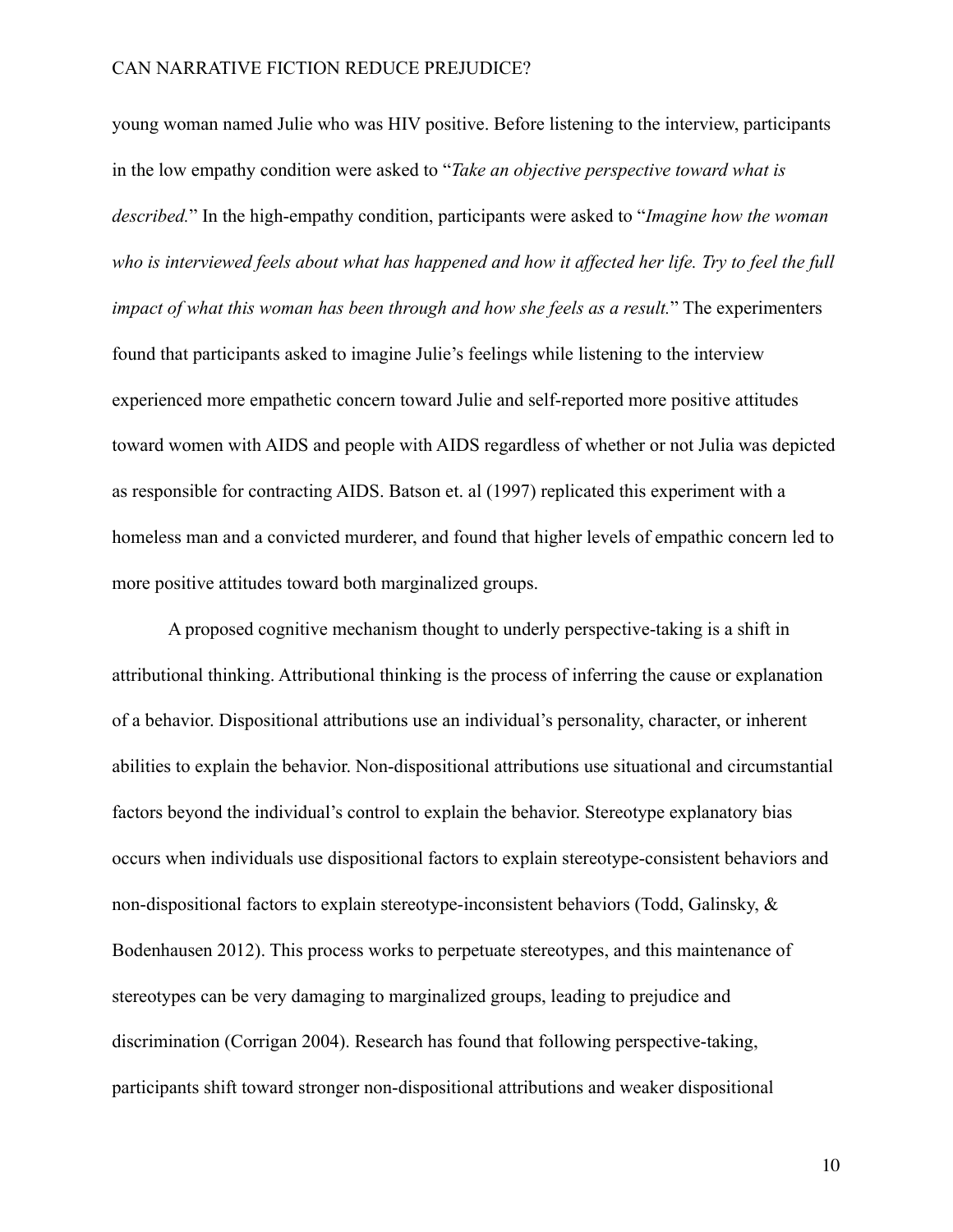young woman named Julie who was HIV positive. Before listening to the interview, participants in the low empathy condition were asked to "*Take an objective perspective toward what is described.*" In the high-empathy condition, participants were asked to "*Imagine how the woman who is interviewed feels about what has happened and how it affected her life. Try to feel the full impact of what this woman has been through and how she feels as a result.*" The experimenters found that participants asked to imagine Julie's feelings while listening to the interview experienced more empathetic concern toward Julie and self-reported more positive attitudes toward women with AIDS and people with AIDS regardless of whether or not Julia was depicted as responsible for contracting AIDS. Batson et. al (1997) replicated this experiment with a homeless man and a convicted murderer, and found that higher levels of empathic concern led to more positive attitudes toward both marginalized groups.

 A proposed cognitive mechanism thought to underly perspective-taking is a shift in attributional thinking. Attributional thinking is the process of inferring the cause or explanation of a behavior. Dispositional attributions use an individual's personality, character, or inherent abilities to explain the behavior. Non-dispositional attributions use situational and circumstantial factors beyond the individual's control to explain the behavior. Stereotype explanatory bias occurs when individuals use dispositional factors to explain stereotype-consistent behaviors and non-dispositional factors to explain stereotype-inconsistent behaviors (Todd, Galinsky, & Bodenhausen 2012). This process works to perpetuate stereotypes, and this maintenance of stereotypes can be very damaging to marginalized groups, leading to prejudice and discrimination (Corrigan 2004). Research has found that following perspective-taking, participants shift toward stronger non-dispositional attributions and weaker dispositional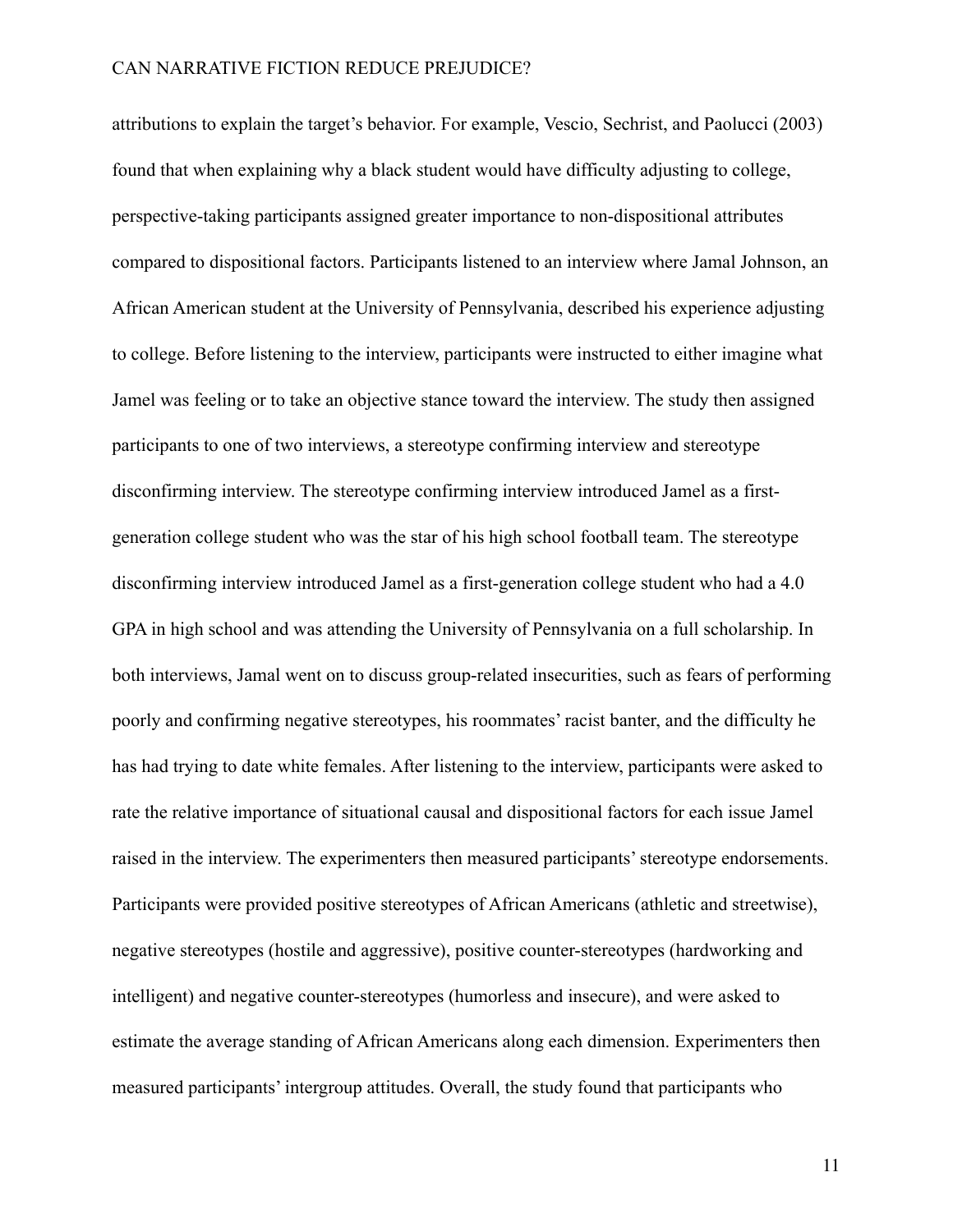attributions to explain the target's behavior. For example, Vescio, Sechrist, and Paolucci (2003) found that when explaining why a black student would have difficulty adjusting to college, perspective-taking participants assigned greater importance to non-dispositional attributes compared to dispositional factors. Participants listened to an interview where Jamal Johnson, an African American student at the University of Pennsylvania, described his experience adjusting to college. Before listening to the interview, participants were instructed to either imagine what Jamel was feeling or to take an objective stance toward the interview. The study then assigned participants to one of two interviews, a stereotype confirming interview and stereotype disconfirming interview. The stereotype confirming interview introduced Jamel as a firstgeneration college student who was the star of his high school football team. The stereotype disconfirming interview introduced Jamel as a first-generation college student who had a 4.0 GPA in high school and was attending the University of Pennsylvania on a full scholarship. In both interviews, Jamal went on to discuss group-related insecurities, such as fears of performing poorly and confirming negative stereotypes, his roommates' racist banter, and the difficulty he has had trying to date white females. After listening to the interview, participants were asked to rate the relative importance of situational causal and dispositional factors for each issue Jamel raised in the interview. The experimenters then measured participants' stereotype endorsements. Participants were provided positive stereotypes of African Americans (athletic and streetwise), negative stereotypes (hostile and aggressive), positive counter-stereotypes (hardworking and intelligent) and negative counter-stereotypes (humorless and insecure), and were asked to estimate the average standing of African Americans along each dimension. Experimenters then measured participants' intergroup attitudes. Overall, the study found that participants who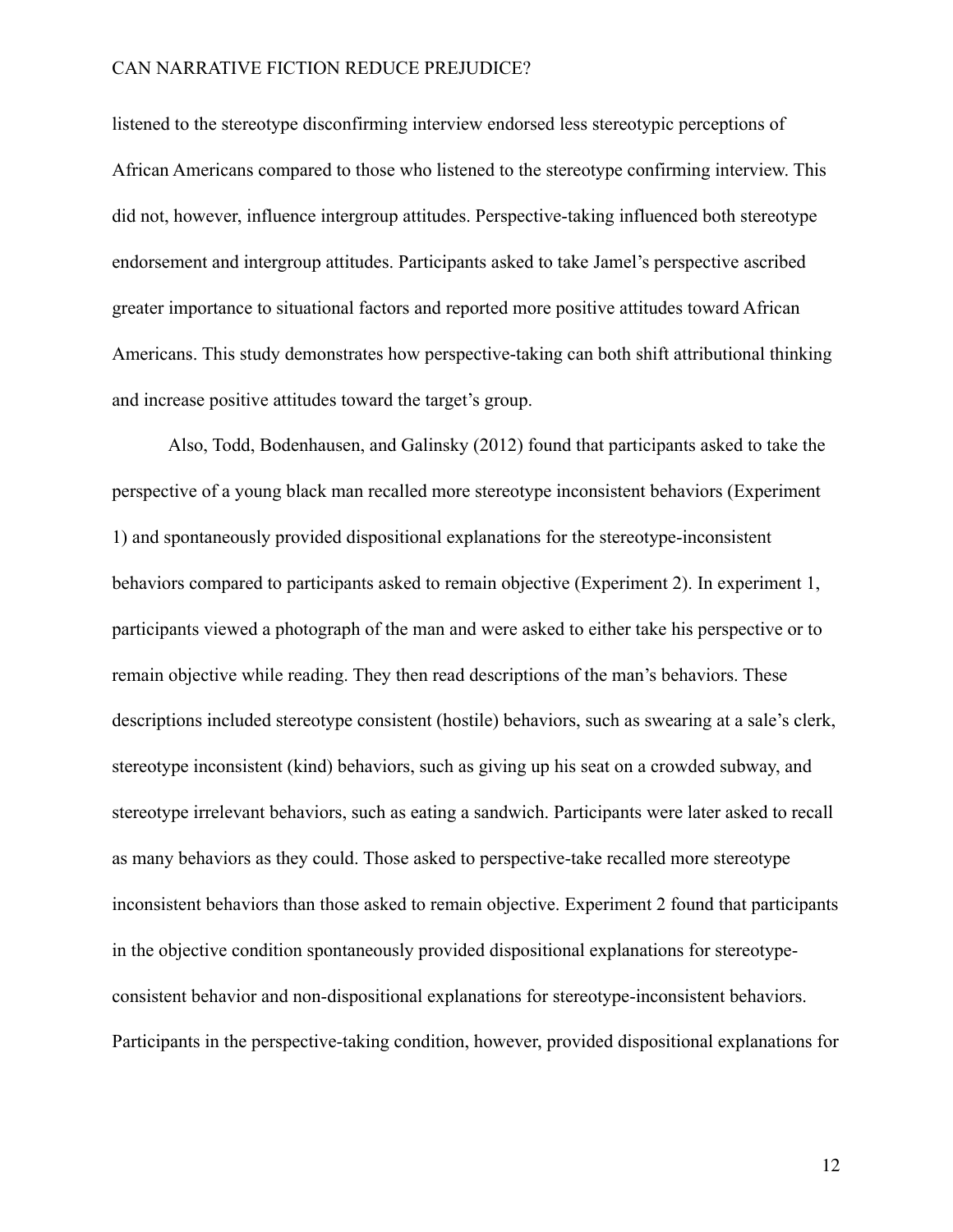listened to the stereotype disconfirming interview endorsed less stereotypic perceptions of African Americans compared to those who listened to the stereotype confirming interview. This did not, however, influence intergroup attitudes. Perspective-taking influenced both stereotype endorsement and intergroup attitudes. Participants asked to take Jamel's perspective ascribed greater importance to situational factors and reported more positive attitudes toward African Americans. This study demonstrates how perspective-taking can both shift attributional thinking and increase positive attitudes toward the target's group.

 Also, Todd, Bodenhausen, and Galinsky (2012) found that participants asked to take the perspective of a young black man recalled more stereotype inconsistent behaviors (Experiment 1) and spontaneously provided dispositional explanations for the stereotype-inconsistent behaviors compared to participants asked to remain objective (Experiment 2). In experiment 1, participants viewed a photograph of the man and were asked to either take his perspective or to remain objective while reading. They then read descriptions of the man's behaviors. These descriptions included stereotype consistent (hostile) behaviors, such as swearing at a sale's clerk, stereotype inconsistent (kind) behaviors, such as giving up his seat on a crowded subway, and stereotype irrelevant behaviors, such as eating a sandwich. Participants were later asked to recall as many behaviors as they could. Those asked to perspective-take recalled more stereotype inconsistent behaviors than those asked to remain objective. Experiment 2 found that participants in the objective condition spontaneously provided dispositional explanations for stereotypeconsistent behavior and non-dispositional explanations for stereotype-inconsistent behaviors. Participants in the perspective-taking condition, however, provided dispositional explanations for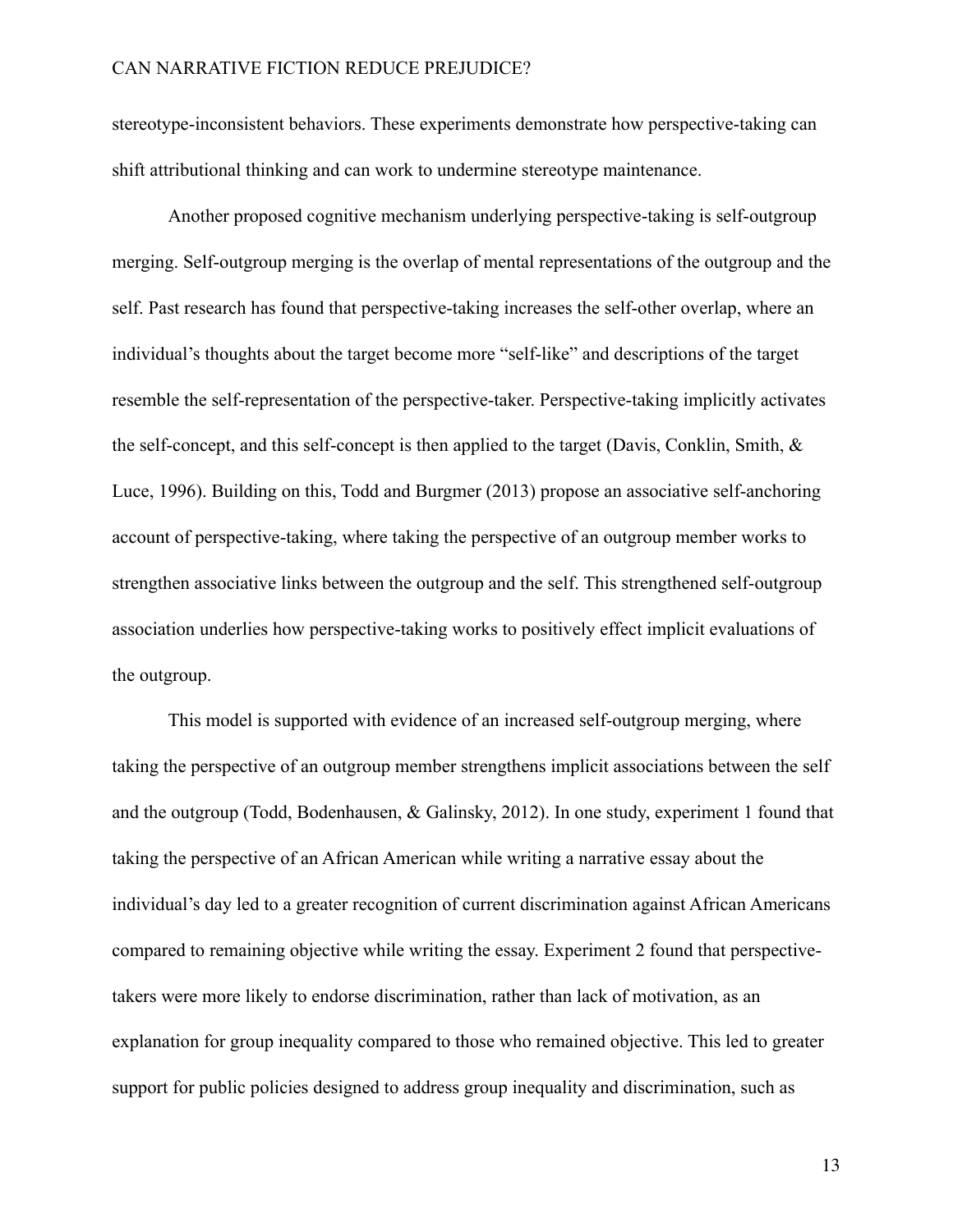stereotype-inconsistent behaviors. These experiments demonstrate how perspective-taking can shift attributional thinking and can work to undermine stereotype maintenance.

Another proposed cognitive mechanism underlying perspective-taking is self-outgroup merging. Self-outgroup merging is the overlap of mental representations of the outgroup and the self. Past research has found that perspective-taking increases the self-other overlap, where an individual's thoughts about the target become more "self-like" and descriptions of the target resemble the self-representation of the perspective-taker. Perspective-taking implicitly activates the self-concept, and this self-concept is then applied to the target (Davis, Conklin, Smith, & Luce, 1996). Building on this, Todd and Burgmer (2013) propose an associative self-anchoring account of perspective-taking, where taking the perspective of an outgroup member works to strengthen associative links between the outgroup and the self. This strengthened self-outgroup association underlies how perspective-taking works to positively effect implicit evaluations of the outgroup.

 This model is supported with evidence of an increased self-outgroup merging, where taking the perspective of an outgroup member strengthens implicit associations between the self and the outgroup (Todd, Bodenhausen, & Galinsky, 2012). In one study, experiment 1 found that taking the perspective of an African American while writing a narrative essay about the individual's day led to a greater recognition of current discrimination against African Americans compared to remaining objective while writing the essay. Experiment 2 found that perspectivetakers were more likely to endorse discrimination, rather than lack of motivation, as an explanation for group inequality compared to those who remained objective. This led to greater support for public policies designed to address group inequality and discrimination, such as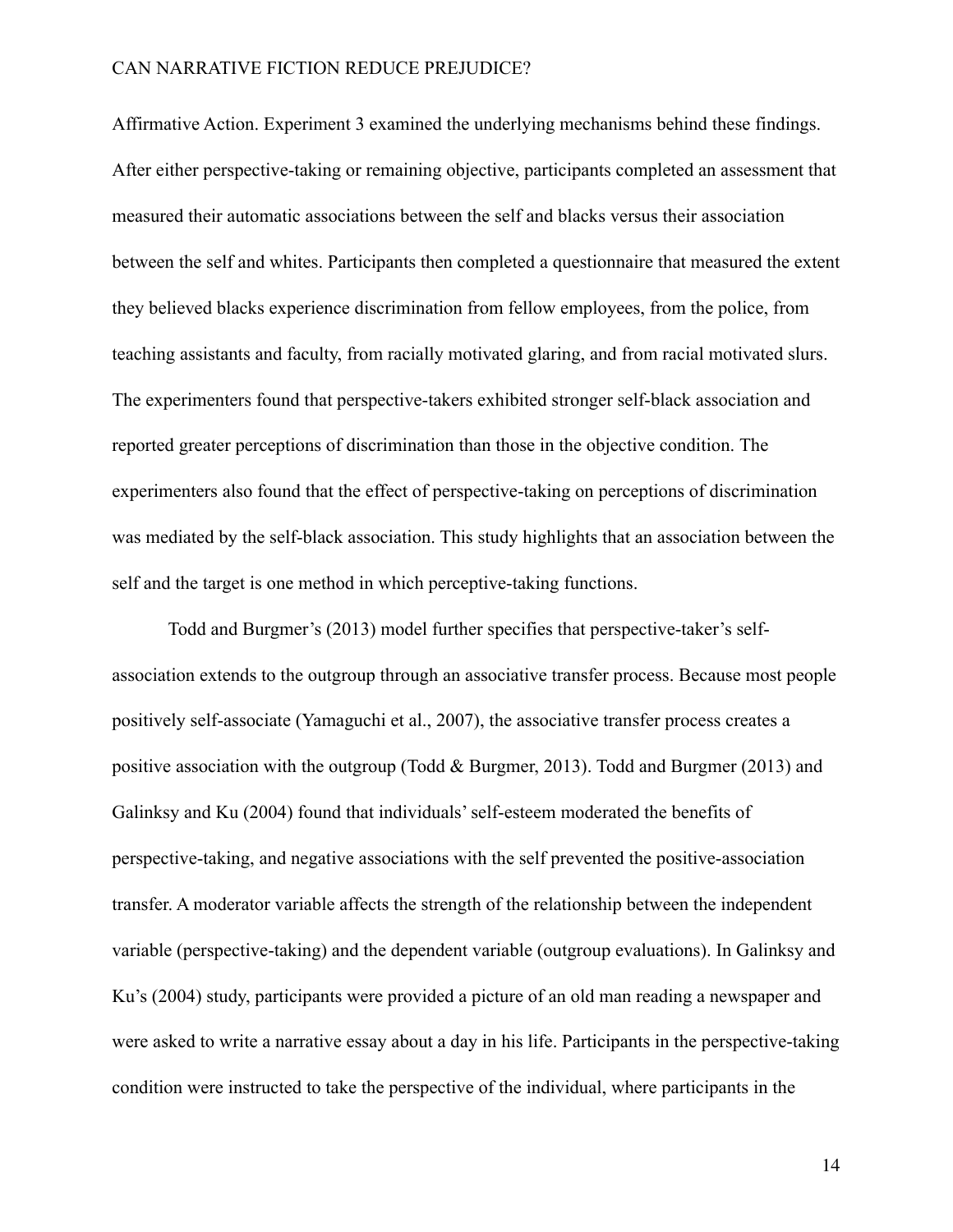Affirmative Action. Experiment 3 examined the underlying mechanisms behind these findings. After either perspective-taking or remaining objective, participants completed an assessment that measured their automatic associations between the self and blacks versus their association between the self and whites. Participants then completed a questionnaire that measured the extent they believed blacks experience discrimination from fellow employees, from the police, from teaching assistants and faculty, from racially motivated glaring, and from racial motivated slurs. The experimenters found that perspective-takers exhibited stronger self-black association and reported greater perceptions of discrimination than those in the objective condition. The experimenters also found that the effect of perspective-taking on perceptions of discrimination was mediated by the self-black association. This study highlights that an association between the self and the target is one method in which perceptive-taking functions.

 Todd and Burgmer's (2013) model further specifies that perspective-taker's selfassociation extends to the outgroup through an associative transfer process. Because most people positively self-associate (Yamaguchi et al., 2007), the associative transfer process creates a positive association with the outgroup (Todd & Burgmer, 2013). Todd and Burgmer (2013) and Galinksy and Ku (2004) found that individuals' self-esteem moderated the benefits of perspective-taking, and negative associations with the self prevented the positive-association transfer. A moderator variable affects the strength of the relationship between the independent variable (perspective-taking) and the dependent variable (outgroup evaluations). In Galinksy and Ku's (2004) study, participants were provided a picture of an old man reading a newspaper and were asked to write a narrative essay about a day in his life. Participants in the perspective-taking condition were instructed to take the perspective of the individual, where participants in the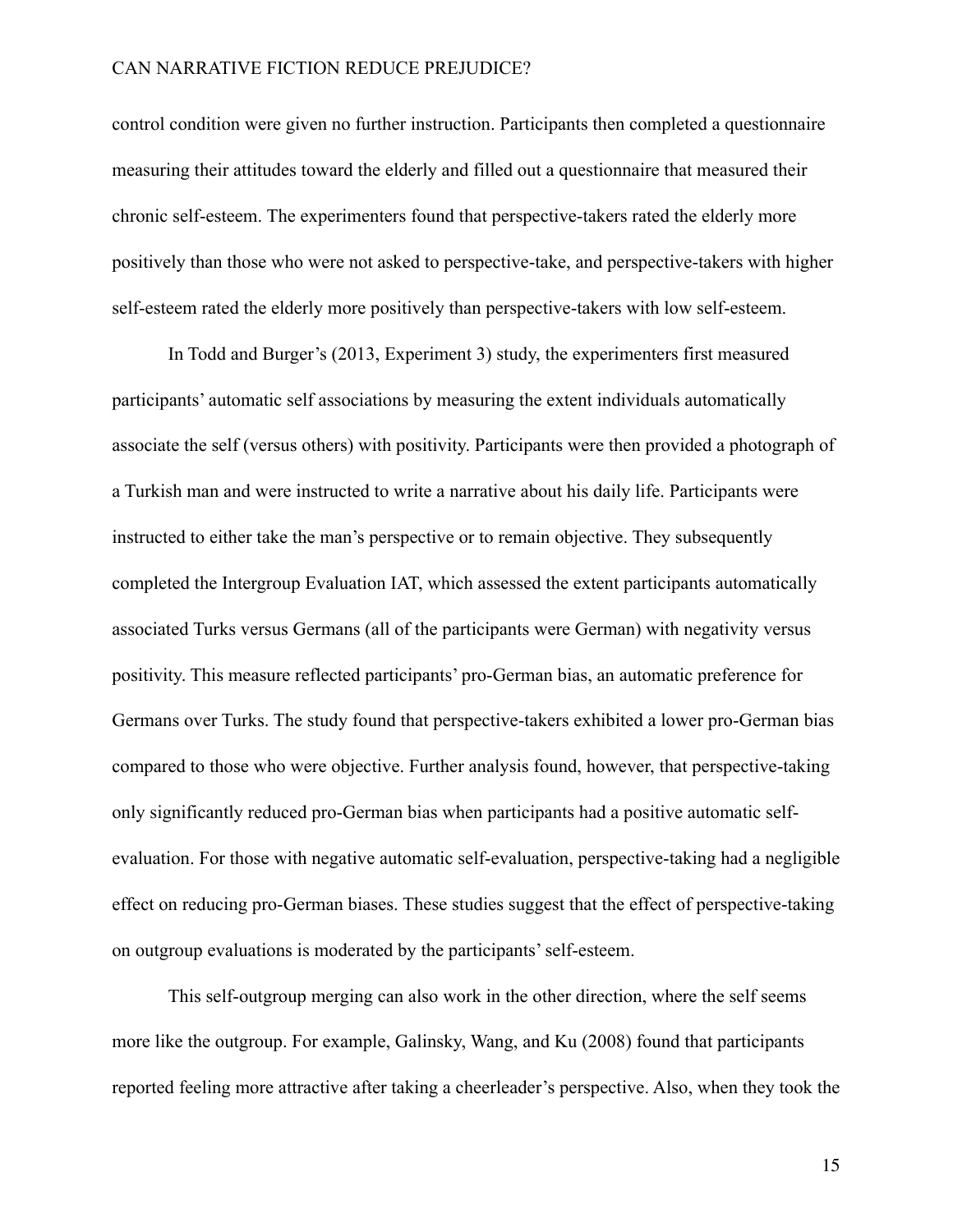control condition were given no further instruction. Participants then completed a questionnaire measuring their attitudes toward the elderly and filled out a questionnaire that measured their chronic self-esteem. The experimenters found that perspective-takers rated the elderly more positively than those who were not asked to perspective-take, and perspective-takers with higher self-esteem rated the elderly more positively than perspective-takers with low self-esteem.

 In Todd and Burger's (2013, Experiment 3) study, the experimenters first measured participants' automatic self associations by measuring the extent individuals automatically associate the self (versus others) with positivity. Participants were then provided a photograph of a Turkish man and were instructed to write a narrative about his daily life. Participants were instructed to either take the man's perspective or to remain objective. They subsequently completed the Intergroup Evaluation IAT, which assessed the extent participants automatically associated Turks versus Germans (all of the participants were German) with negativity versus positivity. This measure reflected participants' pro-German bias, an automatic preference for Germans over Turks. The study found that perspective-takers exhibited a lower pro-German bias compared to those who were objective. Further analysis found, however, that perspective-taking only significantly reduced pro-German bias when participants had a positive automatic selfevaluation. For those with negative automatic self-evaluation, perspective-taking had a negligible effect on reducing pro-German biases. These studies suggest that the effect of perspective-taking on outgroup evaluations is moderated by the participants' self-esteem.

 This self-outgroup merging can also work in the other direction, where the self seems more like the outgroup. For example, Galinsky, Wang, and Ku (2008) found that participants reported feeling more attractive after taking a cheerleader's perspective. Also, when they took the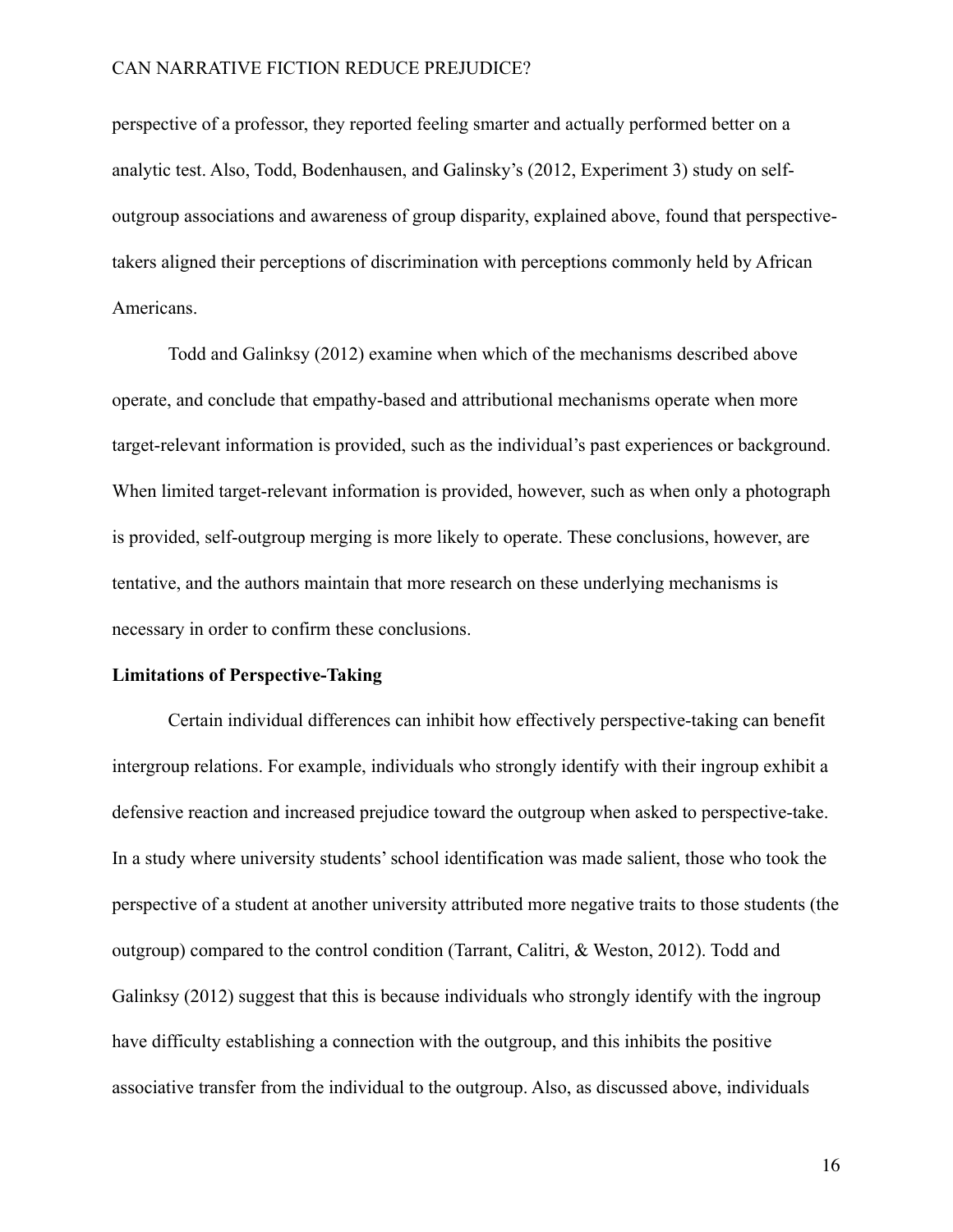perspective of a professor, they reported feeling smarter and actually performed better on a analytic test. Also, Todd, Bodenhausen, and Galinsky's (2012, Experiment 3) study on selfoutgroup associations and awareness of group disparity, explained above, found that perspectivetakers aligned their perceptions of discrimination with perceptions commonly held by African Americans.

 Todd and Galinksy (2012) examine when which of the mechanisms described above operate, and conclude that empathy-based and attributional mechanisms operate when more target-relevant information is provided, such as the individual's past experiences or background. When limited target-relevant information is provided, however, such as when only a photograph is provided, self-outgroup merging is more likely to operate. These conclusions, however, are tentative, and the authors maintain that more research on these underlying mechanisms is necessary in order to confirm these conclusions.

#### **Limitations of Perspective-Taking**

 Certain individual differences can inhibit how effectively perspective-taking can benefit intergroup relations. For example, individuals who strongly identify with their ingroup exhibit a defensive reaction and increased prejudice toward the outgroup when asked to perspective-take. In a study where university students' school identification was made salient, those who took the perspective of a student at another university attributed more negative traits to those students (the outgroup) compared to the control condition (Tarrant, Calitri, & Weston, 2012). Todd and Galinksy (2012) suggest that this is because individuals who strongly identify with the ingroup have difficulty establishing a connection with the outgroup, and this inhibits the positive associative transfer from the individual to the outgroup. Also, as discussed above, individuals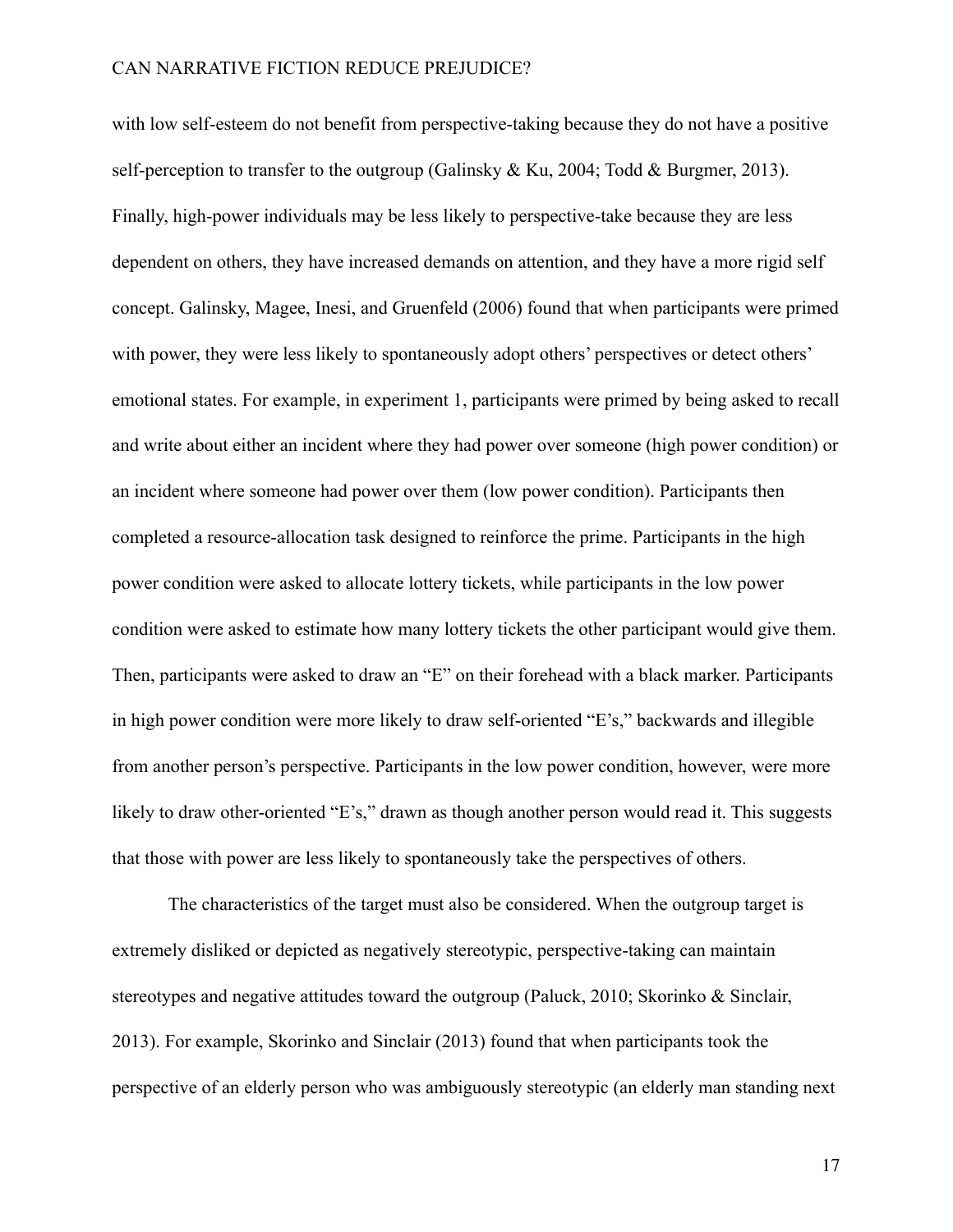with low self-esteem do not benefit from perspective-taking because they do not have a positive self-perception to transfer to the outgroup (Galinsky & Ku, 2004; Todd & Burgmer, 2013). Finally, high-power individuals may be less likely to perspective-take because they are less dependent on others, they have increased demands on attention, and they have a more rigid self concept. Galinsky, Magee, Inesi, and Gruenfeld (2006) found that when participants were primed with power, they were less likely to spontaneously adopt others' perspectives or detect others' emotional states. For example, in experiment 1, participants were primed by being asked to recall and write about either an incident where they had power over someone (high power condition) or an incident where someone had power over them (low power condition). Participants then completed a resource-allocation task designed to reinforce the prime. Participants in the high power condition were asked to allocate lottery tickets, while participants in the low power condition were asked to estimate how many lottery tickets the other participant would give them. Then, participants were asked to draw an "E" on their forehead with a black marker. Participants in high power condition were more likely to draw self-oriented "E's," backwards and illegible from another person's perspective. Participants in the low power condition, however, were more likely to draw other-oriented "E's," drawn as though another person would read it. This suggests that those with power are less likely to spontaneously take the perspectives of others.

 The characteristics of the target must also be considered. When the outgroup target is extremely disliked or depicted as negatively stereotypic, perspective-taking can maintain stereotypes and negative attitudes toward the outgroup (Paluck, 2010; Skorinko & Sinclair, 2013). For example, Skorinko and Sinclair (2013) found that when participants took the perspective of an elderly person who was ambiguously stereotypic (an elderly man standing next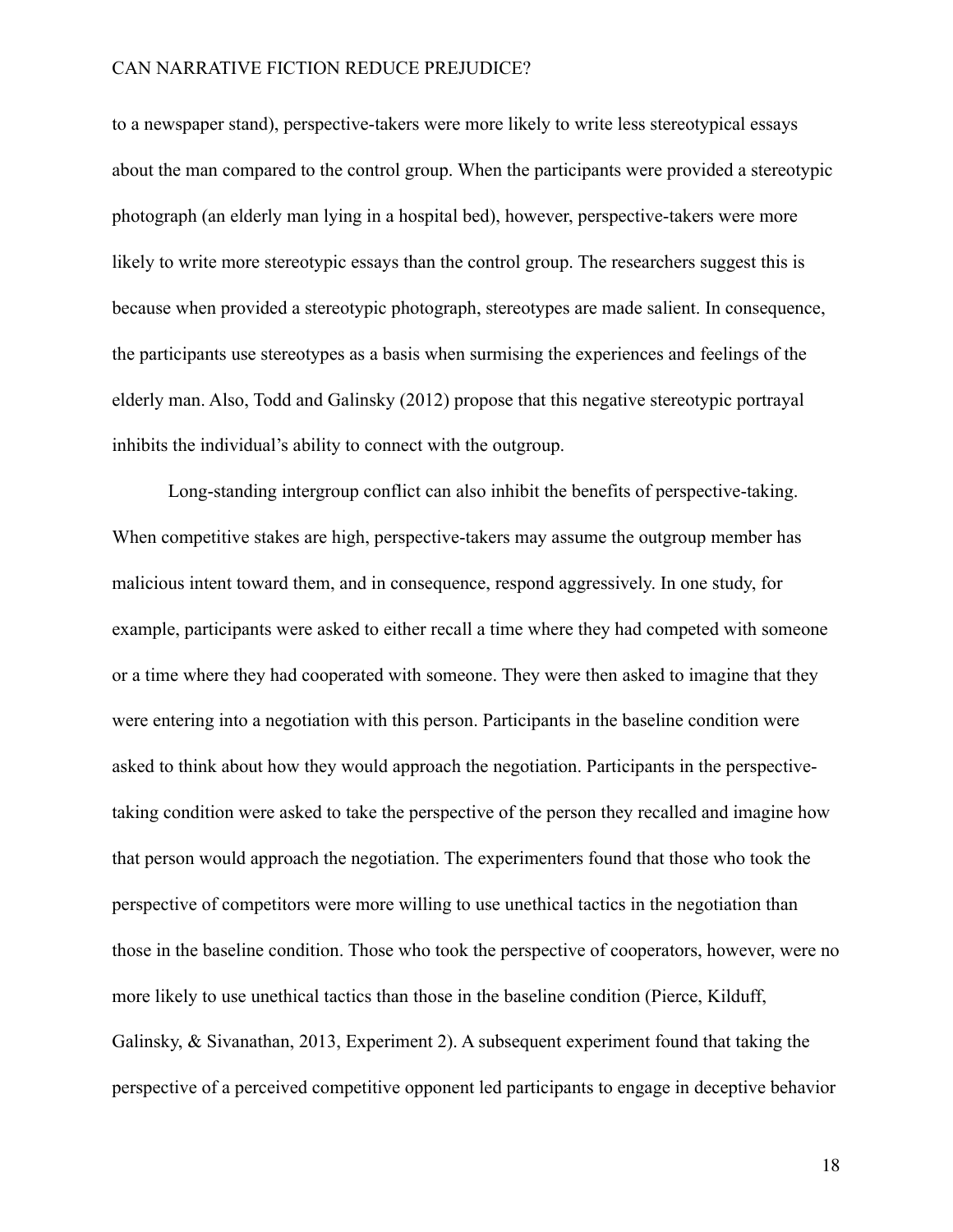to a newspaper stand), perspective-takers were more likely to write less stereotypical essays about the man compared to the control group. When the participants were provided a stereotypic photograph (an elderly man lying in a hospital bed), however, perspective-takers were more likely to write more stereotypic essays than the control group. The researchers suggest this is because when provided a stereotypic photograph, stereotypes are made salient. In consequence, the participants use stereotypes as a basis when surmising the experiences and feelings of the elderly man. Also, Todd and Galinsky (2012) propose that this negative stereotypic portrayal inhibits the individual's ability to connect with the outgroup.

 Long-standing intergroup conflict can also inhibit the benefits of perspective-taking. When competitive stakes are high, perspective-takers may assume the outgroup member has malicious intent toward them, and in consequence, respond aggressively. In one study, for example, participants were asked to either recall a time where they had competed with someone or a time where they had cooperated with someone. They were then asked to imagine that they were entering into a negotiation with this person. Participants in the baseline condition were asked to think about how they would approach the negotiation. Participants in the perspectivetaking condition were asked to take the perspective of the person they recalled and imagine how that person would approach the negotiation. The experimenters found that those who took the perspective of competitors were more willing to use unethical tactics in the negotiation than those in the baseline condition. Those who took the perspective of cooperators, however, were no more likely to use unethical tactics than those in the baseline condition (Pierce, Kilduff, Galinsky, & Sivanathan, 2013, Experiment 2). A subsequent experiment found that taking the perspective of a perceived competitive opponent led participants to engage in deceptive behavior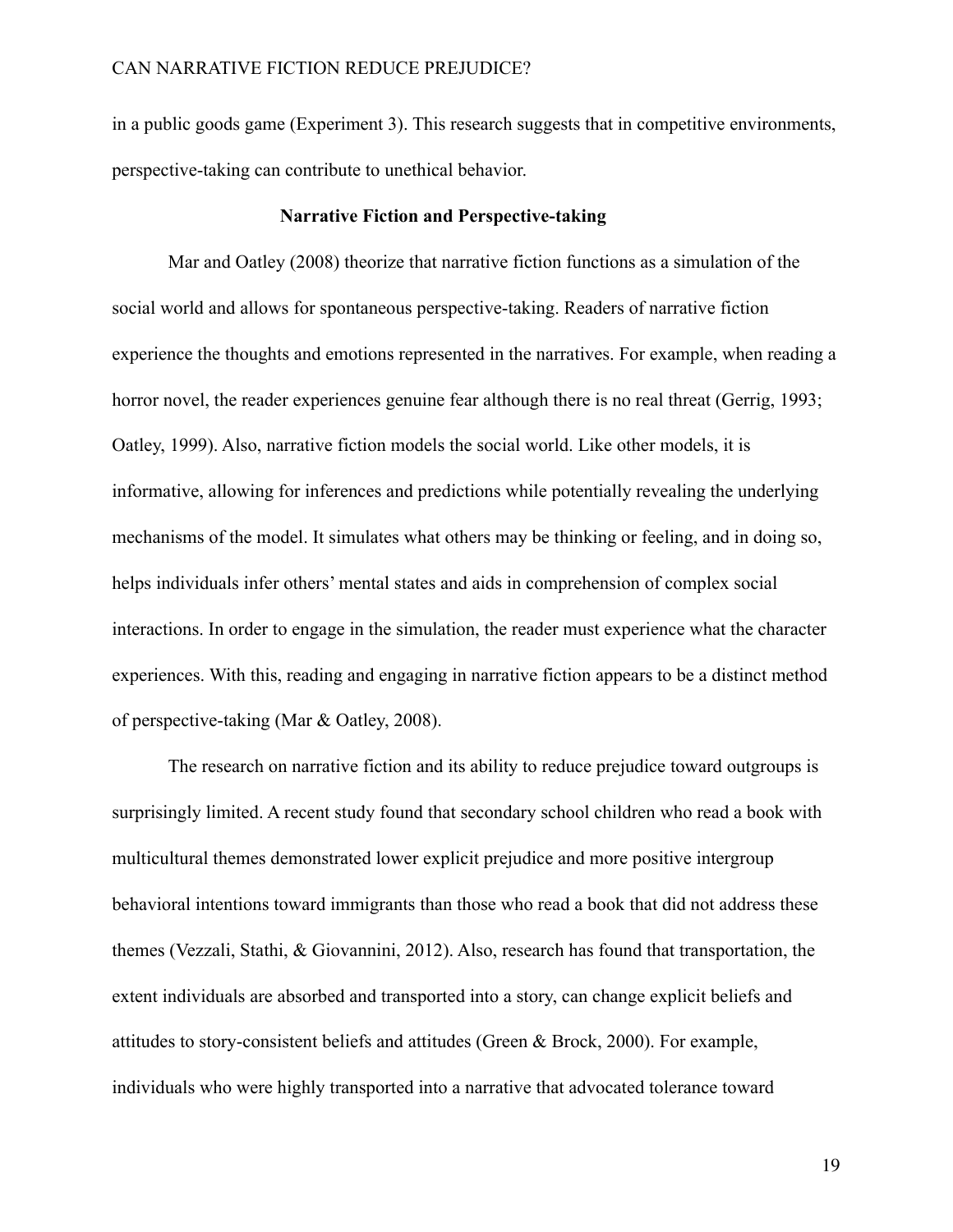in a public goods game (Experiment 3). This research suggests that in competitive environments, perspective-taking can contribute to unethical behavior.

#### **Narrative Fiction and Perspective-taking**

 Mar and Oatley (2008) theorize that narrative fiction functions as a simulation of the social world and allows for spontaneous perspective-taking. Readers of narrative fiction experience the thoughts and emotions represented in the narratives. For example, when reading a horror novel, the reader experiences genuine fear although there is no real threat (Gerrig, 1993; Oatley, 1999). Also, narrative fiction models the social world. Like other models, it is informative, allowing for inferences and predictions while potentially revealing the underlying mechanisms of the model. It simulates what others may be thinking or feeling, and in doing so, helps individuals infer others' mental states and aids in comprehension of complex social interactions. In order to engage in the simulation, the reader must experience what the character experiences. With this, reading and engaging in narrative fiction appears to be a distinct method of perspective-taking (Mar & Oatley, 2008).

 The research on narrative fiction and its ability to reduce prejudice toward outgroups is surprisingly limited. A recent study found that secondary school children who read a book with multicultural themes demonstrated lower explicit prejudice and more positive intergroup behavioral intentions toward immigrants than those who read a book that did not address these themes (Vezzali, Stathi, & Giovannini, 2012). Also, research has found that transportation, the extent individuals are absorbed and transported into a story, can change explicit beliefs and attitudes to story-consistent beliefs and attitudes (Green & Brock, 2000). For example, individuals who were highly transported into a narrative that advocated tolerance toward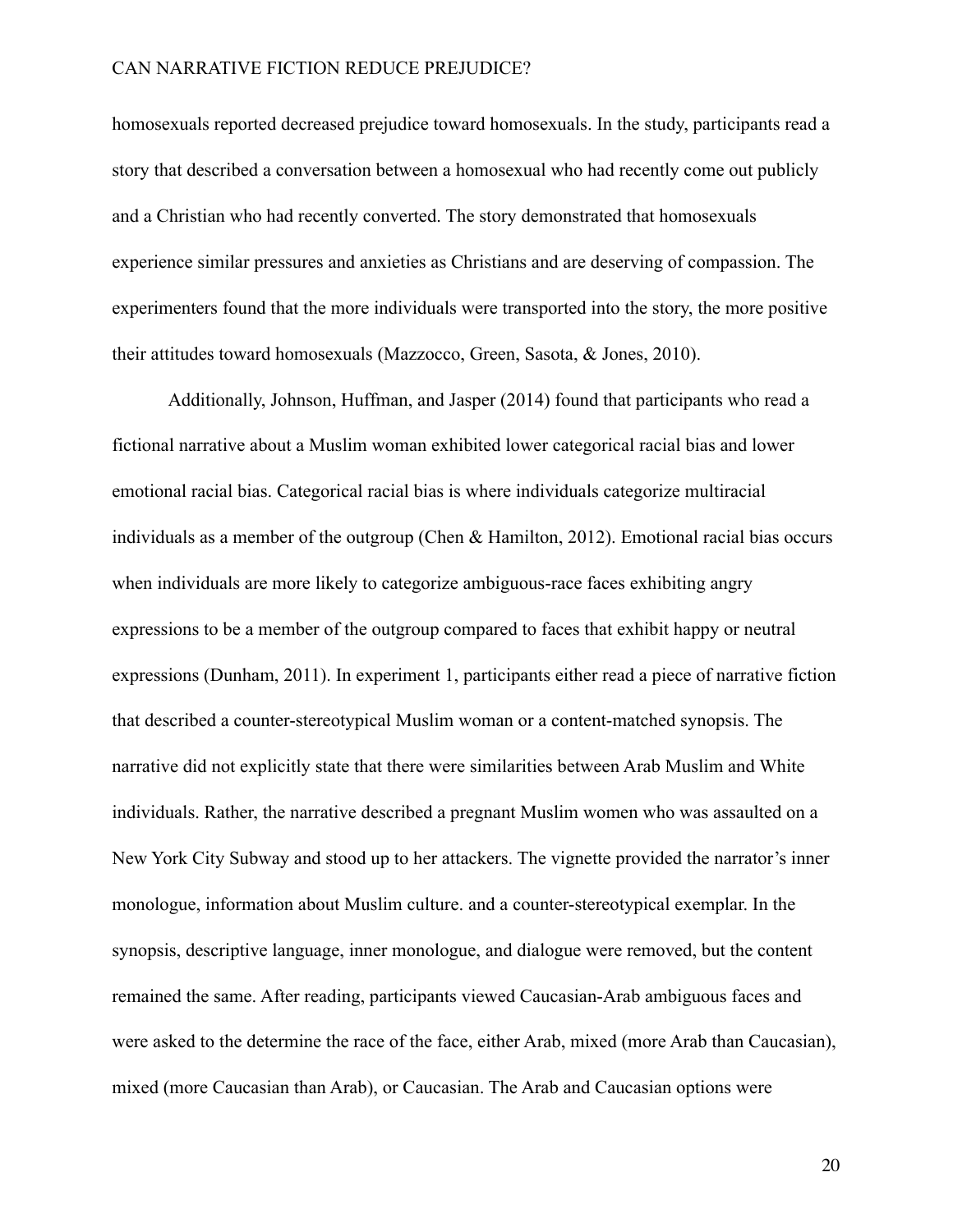homosexuals reported decreased prejudice toward homosexuals. In the study, participants read a story that described a conversation between a homosexual who had recently come out publicly and a Christian who had recently converted. The story demonstrated that homosexuals experience similar pressures and anxieties as Christians and are deserving of compassion. The experimenters found that the more individuals were transported into the story, the more positive their attitudes toward homosexuals (Mazzocco, Green, Sasota, & Jones, 2010).

 Additionally, Johnson, Huffman, and Jasper (2014) found that participants who read a fictional narrative about a Muslim woman exhibited lower categorical racial bias and lower emotional racial bias. Categorical racial bias is where individuals categorize multiracial individuals as a member of the outgroup (Chen & Hamilton, 2012). Emotional racial bias occurs when individuals are more likely to categorize ambiguous-race faces exhibiting angry expressions to be a member of the outgroup compared to faces that exhibit happy or neutral expressions (Dunham, 2011). In experiment 1, participants either read a piece of narrative fiction that described a counter-stereotypical Muslim woman or a content-matched synopsis. The narrative did not explicitly state that there were similarities between Arab Muslim and White individuals. Rather, the narrative described a pregnant Muslim women who was assaulted on a New York City Subway and stood up to her attackers. The vignette provided the narrator's inner monologue, information about Muslim culture. and a counter-stereotypical exemplar. In the synopsis, descriptive language, inner monologue, and dialogue were removed, but the content remained the same. After reading, participants viewed Caucasian-Arab ambiguous faces and were asked to the determine the race of the face, either Arab, mixed (more Arab than Caucasian), mixed (more Caucasian than Arab), or Caucasian. The Arab and Caucasian options were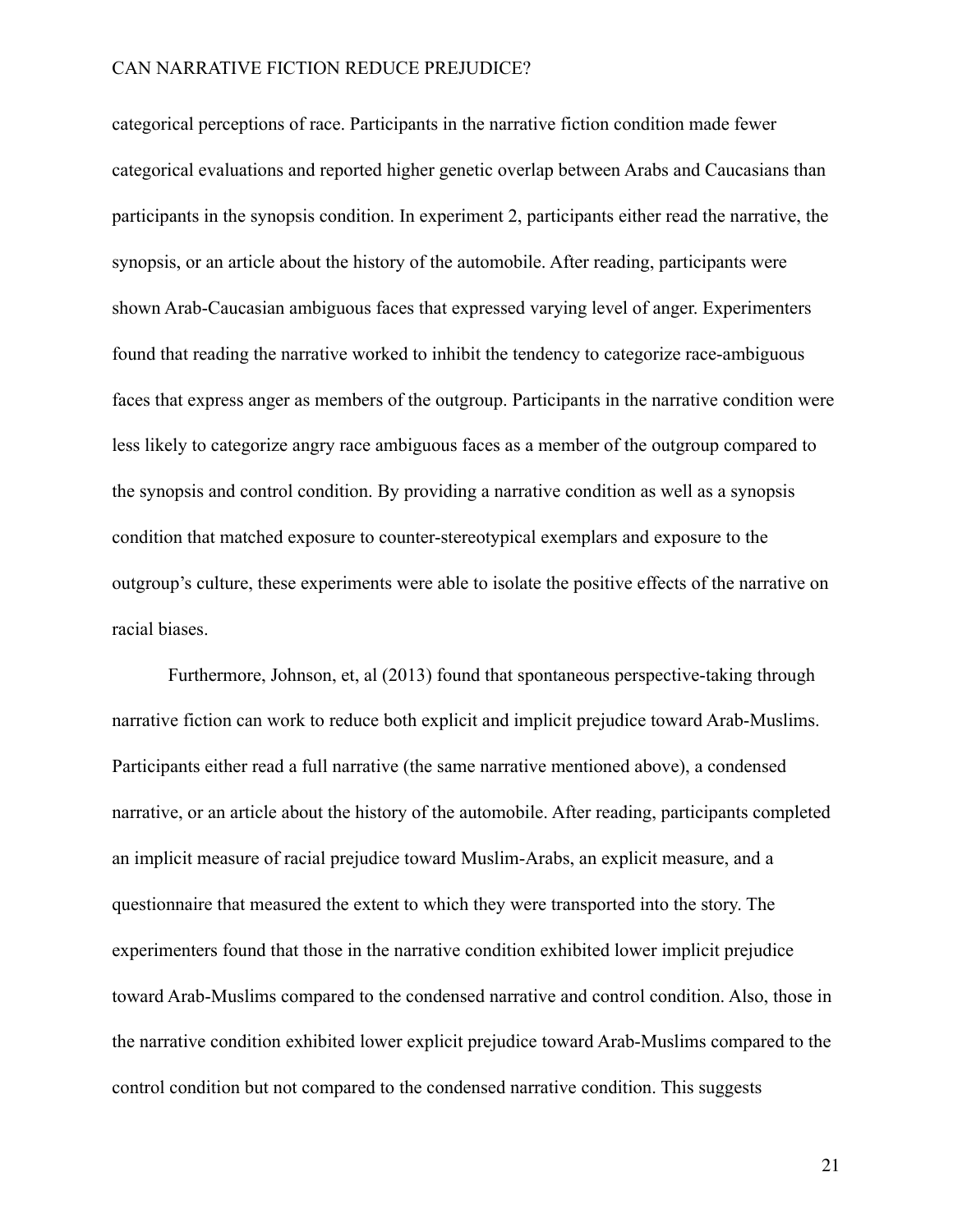categorical perceptions of race. Participants in the narrative fiction condition made fewer categorical evaluations and reported higher genetic overlap between Arabs and Caucasians than participants in the synopsis condition. In experiment 2, participants either read the narrative, the synopsis, or an article about the history of the automobile. After reading, participants were shown Arab-Caucasian ambiguous faces that expressed varying level of anger. Experimenters found that reading the narrative worked to inhibit the tendency to categorize race-ambiguous faces that express anger as members of the outgroup. Participants in the narrative condition were less likely to categorize angry race ambiguous faces as a member of the outgroup compared to the synopsis and control condition. By providing a narrative condition as well as a synopsis condition that matched exposure to counter-stereotypical exemplars and exposure to the outgroup's culture, these experiments were able to isolate the positive effects of the narrative on racial biases.

 Furthermore, Johnson, et, al (2013) found that spontaneous perspective-taking through narrative fiction can work to reduce both explicit and implicit prejudice toward Arab-Muslims. Participants either read a full narrative (the same narrative mentioned above), a condensed narrative, or an article about the history of the automobile. After reading, participants completed an implicit measure of racial prejudice toward Muslim-Arabs, an explicit measure, and a questionnaire that measured the extent to which they were transported into the story. The experimenters found that those in the narrative condition exhibited lower implicit prejudice toward Arab-Muslims compared to the condensed narrative and control condition. Also, those in the narrative condition exhibited lower explicit prejudice toward Arab-Muslims compared to the control condition but not compared to the condensed narrative condition. This suggests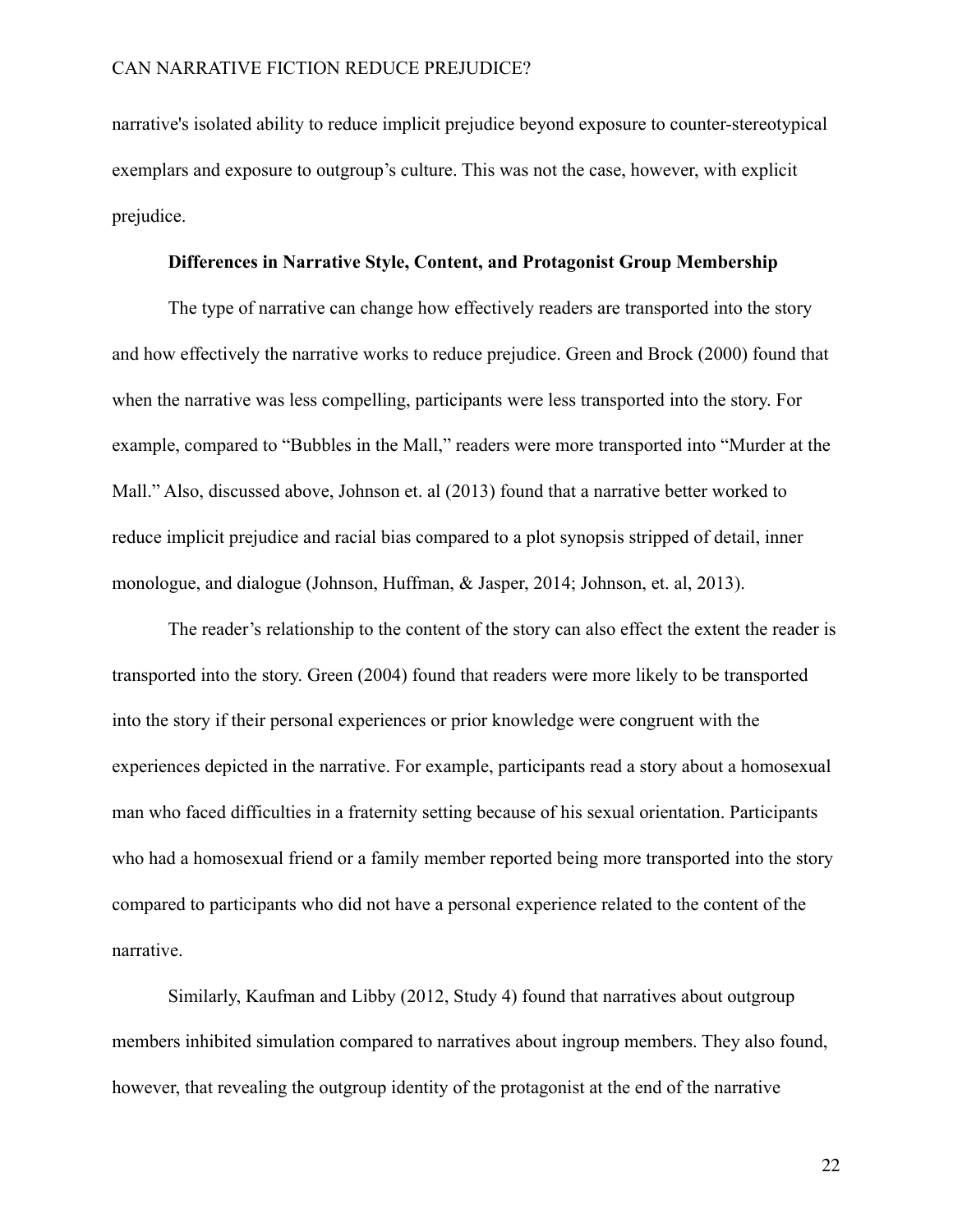narrative's isolated ability to reduce implicit prejudice beyond exposure to counter-stereotypical exemplars and exposure to outgroup's culture. This was not the case, however, with explicit prejudice.

#### **Differences in Narrative Style, Content, and Protagonist Group Membership**

 The type of narrative can change how effectively readers are transported into the story and how effectively the narrative works to reduce prejudice. Green and Brock (2000) found that when the narrative was less compelling, participants were less transported into the story. For example, compared to "Bubbles in the Mall," readers were more transported into "Murder at the Mall." Also, discussed above, Johnson et. al (2013) found that a narrative better worked to reduce implicit prejudice and racial bias compared to a plot synopsis stripped of detail, inner monologue, and dialogue (Johnson, Huffman, & Jasper, 2014; Johnson, et. al, 2013).

 The reader's relationship to the content of the story can also effect the extent the reader is transported into the story. Green (2004) found that readers were more likely to be transported into the story if their personal experiences or prior knowledge were congruent with the experiences depicted in the narrative. For example, participants read a story about a homosexual man who faced difficulties in a fraternity setting because of his sexual orientation. Participants who had a homosexual friend or a family member reported being more transported into the story compared to participants who did not have a personal experience related to the content of the narrative.

 Similarly, Kaufman and Libby (2012, Study 4) found that narratives about outgroup members inhibited simulation compared to narratives about ingroup members. They also found, however, that revealing the outgroup identity of the protagonist at the end of the narrative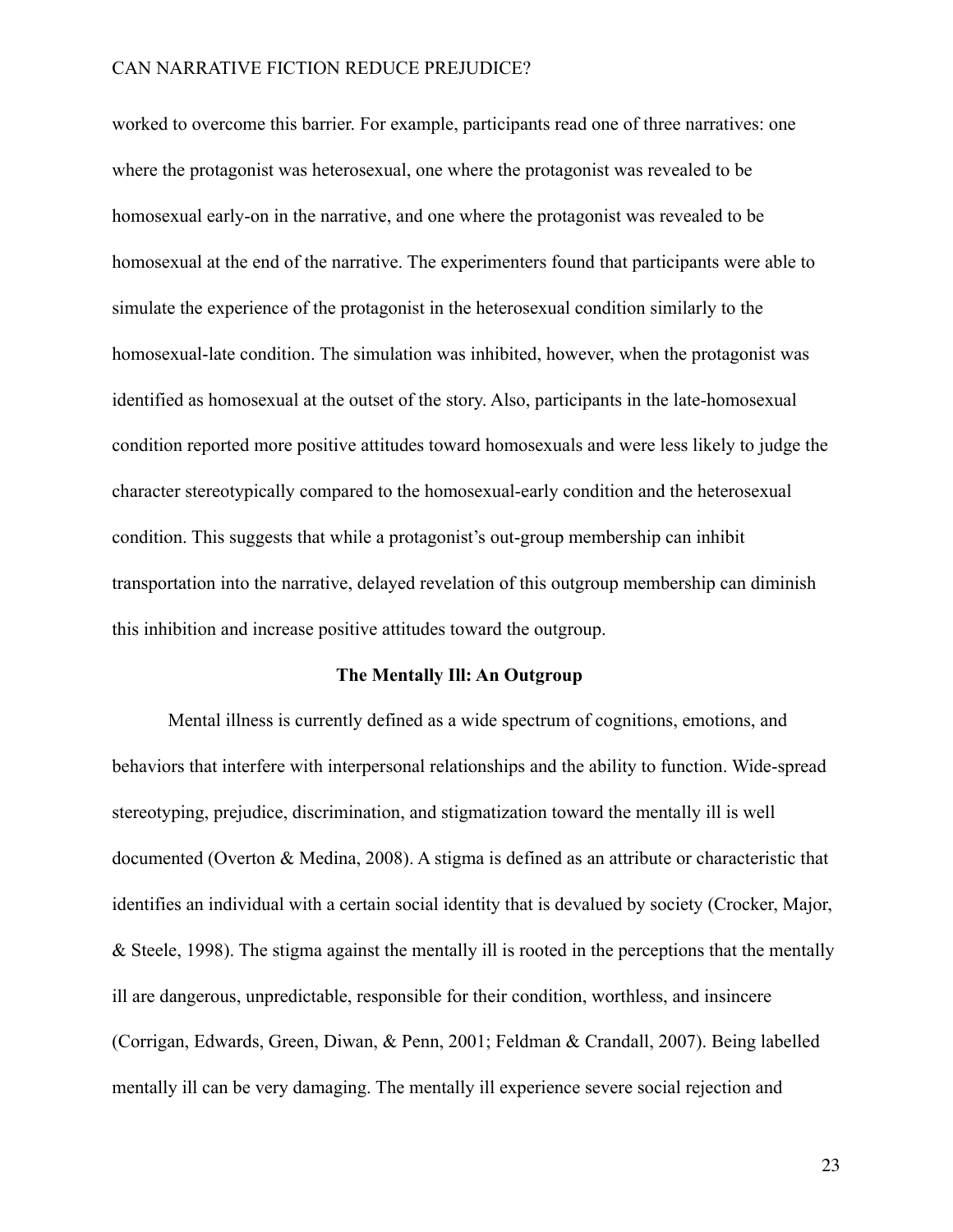worked to overcome this barrier. For example, participants read one of three narratives: one where the protagonist was heterosexual, one where the protagonist was revealed to be homosexual early-on in the narrative, and one where the protagonist was revealed to be homosexual at the end of the narrative. The experimenters found that participants were able to simulate the experience of the protagonist in the heterosexual condition similarly to the homosexual-late condition. The simulation was inhibited, however, when the protagonist was identified as homosexual at the outset of the story. Also, participants in the late-homosexual condition reported more positive attitudes toward homosexuals and were less likely to judge the character stereotypically compared to the homosexual-early condition and the heterosexual condition. This suggests that while a protagonist's out-group membership can inhibit transportation into the narrative, delayed revelation of this outgroup membership can diminish this inhibition and increase positive attitudes toward the outgroup.

#### **The Mentally Ill: An Outgroup**

 Mental illness is currently defined as a wide spectrum of cognitions, emotions, and behaviors that interfere with interpersonal relationships and the ability to function. Wide-spread stereotyping, prejudice, discrimination, and stigmatization toward the mentally ill is well documented (Overton & Medina, 2008). A stigma is defined as an attribute or characteristic that identifies an individual with a certain social identity that is devalued by society (Crocker, Major, & Steele, 1998). The stigma against the mentally ill is rooted in the perceptions that the mentally ill are dangerous, unpredictable, responsible for their condition, worthless, and insincere (Corrigan, Edwards, Green, Diwan, & Penn, 2001; Feldman & Crandall, 2007). Being labelled mentally ill can be very damaging. The mentally ill experience severe social rejection and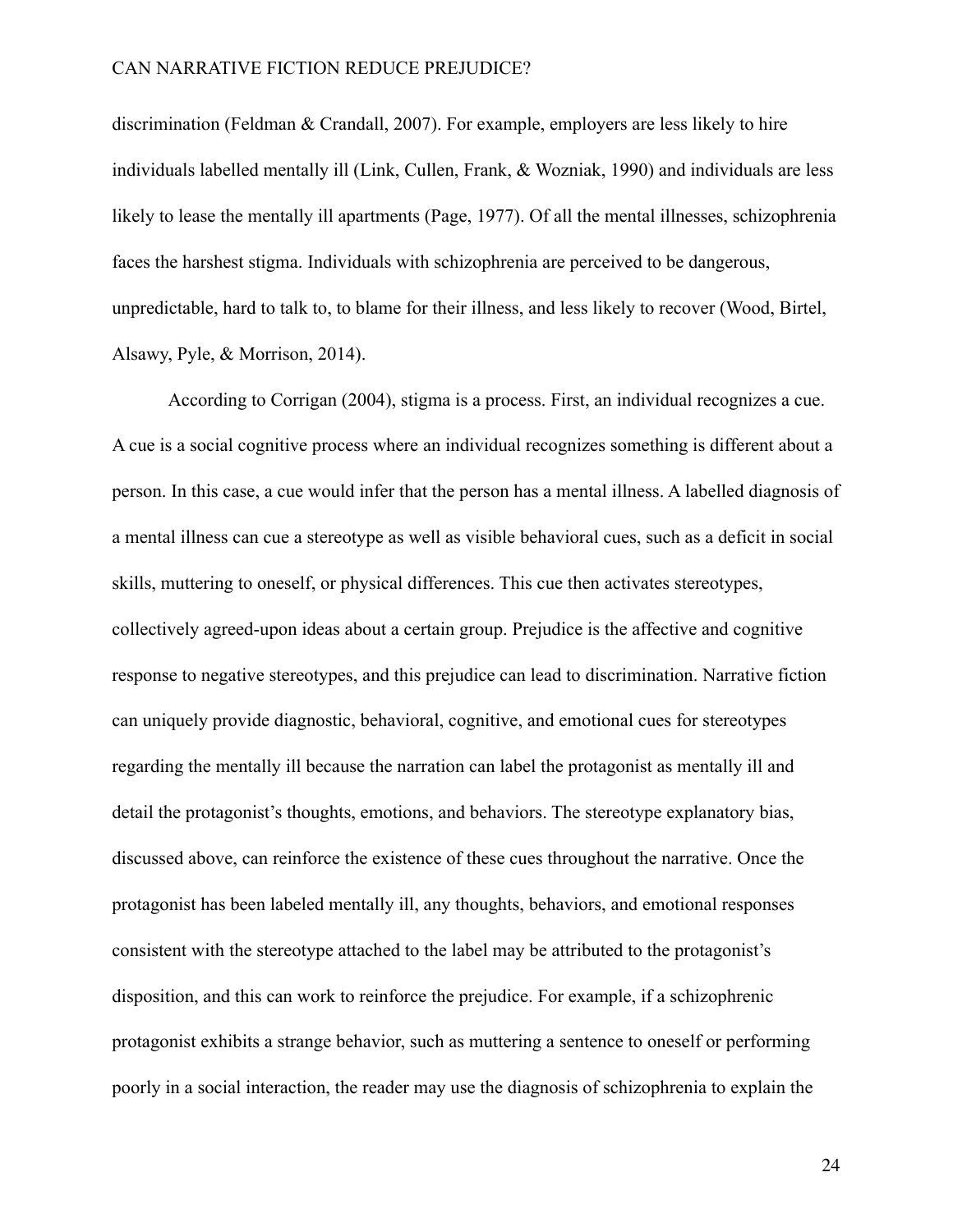discrimination (Feldman & Crandall, 2007). For example, employers are less likely to hire individuals labelled mentally ill (Link, Cullen, Frank, & Wozniak, 1990) and individuals are less likely to lease the mentally ill apartments (Page, 1977). Of all the mental illnesses, schizophrenia faces the harshest stigma. Individuals with schizophrenia are perceived to be dangerous, unpredictable, hard to talk to, to blame for their illness, and less likely to recover (Wood, Birtel, Alsawy, Pyle, & Morrison, 2014).

 According to Corrigan (2004), stigma is a process. First, an individual recognizes a cue. A cue is a social cognitive process where an individual recognizes something is different about a person. In this case, a cue would infer that the person has a mental illness. A labelled diagnosis of a mental illness can cue a stereotype as well as visible behavioral cues, such as a deficit in social skills, muttering to oneself, or physical differences. This cue then activates stereotypes, collectively agreed-upon ideas about a certain group. Prejudice is the affective and cognitive response to negative stereotypes, and this prejudice can lead to discrimination. Narrative fiction can uniquely provide diagnostic, behavioral, cognitive, and emotional cues for stereotypes regarding the mentally ill because the narration can label the protagonist as mentally ill and detail the protagonist's thoughts, emotions, and behaviors. The stereotype explanatory bias, discussed above, can reinforce the existence of these cues throughout the narrative. Once the protagonist has been labeled mentally ill, any thoughts, behaviors, and emotional responses consistent with the stereotype attached to the label may be attributed to the protagonist's disposition, and this can work to reinforce the prejudice. For example, if a schizophrenic protagonist exhibits a strange behavior, such as muttering a sentence to oneself or performing poorly in a social interaction, the reader may use the diagnosis of schizophrenia to explain the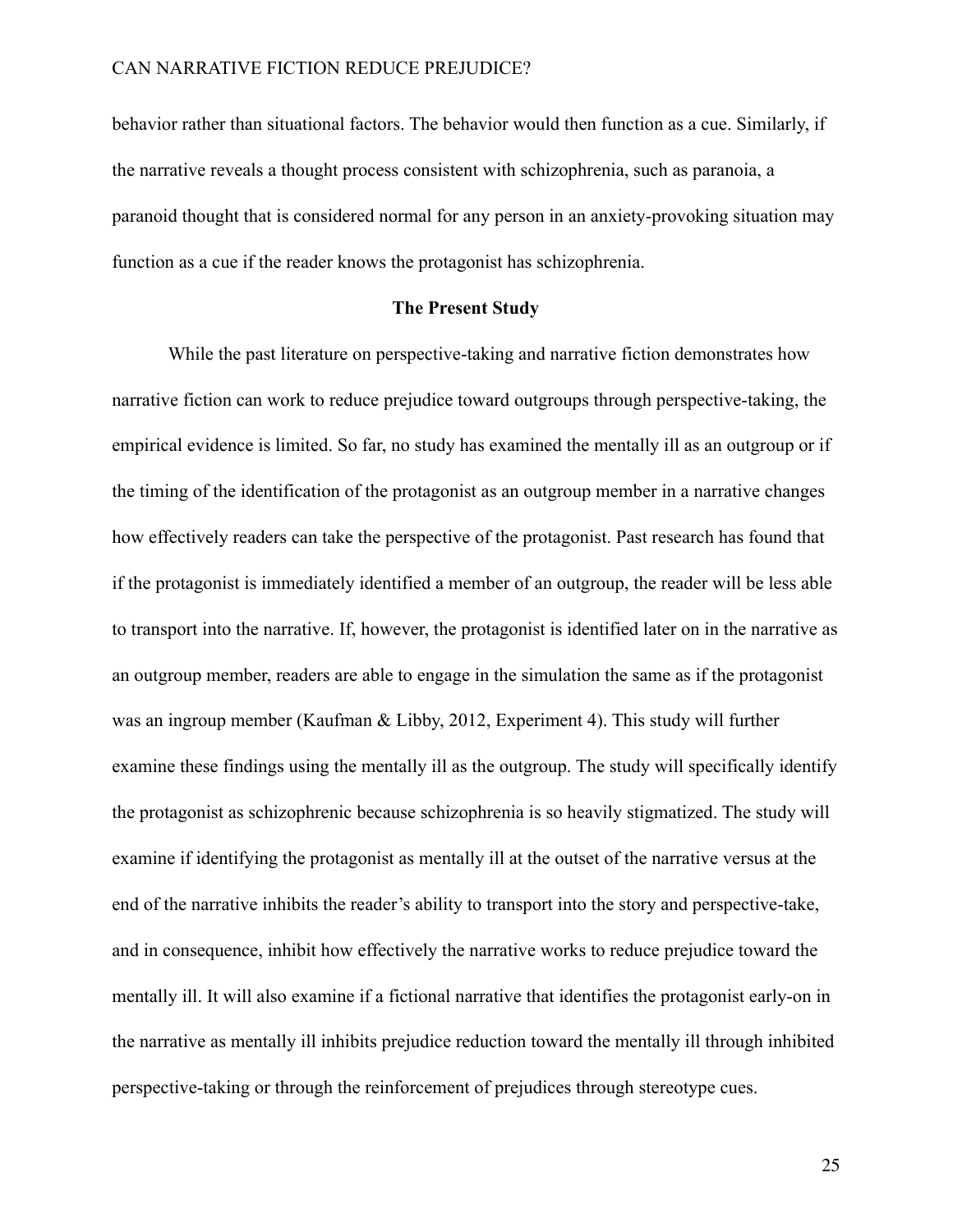behavior rather than situational factors. The behavior would then function as a cue. Similarly, if the narrative reveals a thought process consistent with schizophrenia, such as paranoia, a paranoid thought that is considered normal for any person in an anxiety-provoking situation may function as a cue if the reader knows the protagonist has schizophrenia.

#### **The Present Study**

 While the past literature on perspective-taking and narrative fiction demonstrates how narrative fiction can work to reduce prejudice toward outgroups through perspective-taking, the empirical evidence is limited. So far, no study has examined the mentally ill as an outgroup or if the timing of the identification of the protagonist as an outgroup member in a narrative changes how effectively readers can take the perspective of the protagonist. Past research has found that if the protagonist is immediately identified a member of an outgroup, the reader will be less able to transport into the narrative. If, however, the protagonist is identified later on in the narrative as an outgroup member, readers are able to engage in the simulation the same as if the protagonist was an ingroup member (Kaufman & Libby, 2012, Experiment 4). This study will further examine these findings using the mentally ill as the outgroup. The study will specifically identify the protagonist as schizophrenic because schizophrenia is so heavily stigmatized. The study will examine if identifying the protagonist as mentally ill at the outset of the narrative versus at the end of the narrative inhibits the reader's ability to transport into the story and perspective-take, and in consequence, inhibit how effectively the narrative works to reduce prejudice toward the mentally ill. It will also examine if a fictional narrative that identifies the protagonist early-on in the narrative as mentally ill inhibits prejudice reduction toward the mentally ill through inhibited perspective-taking or through the reinforcement of prejudices through stereotype cues.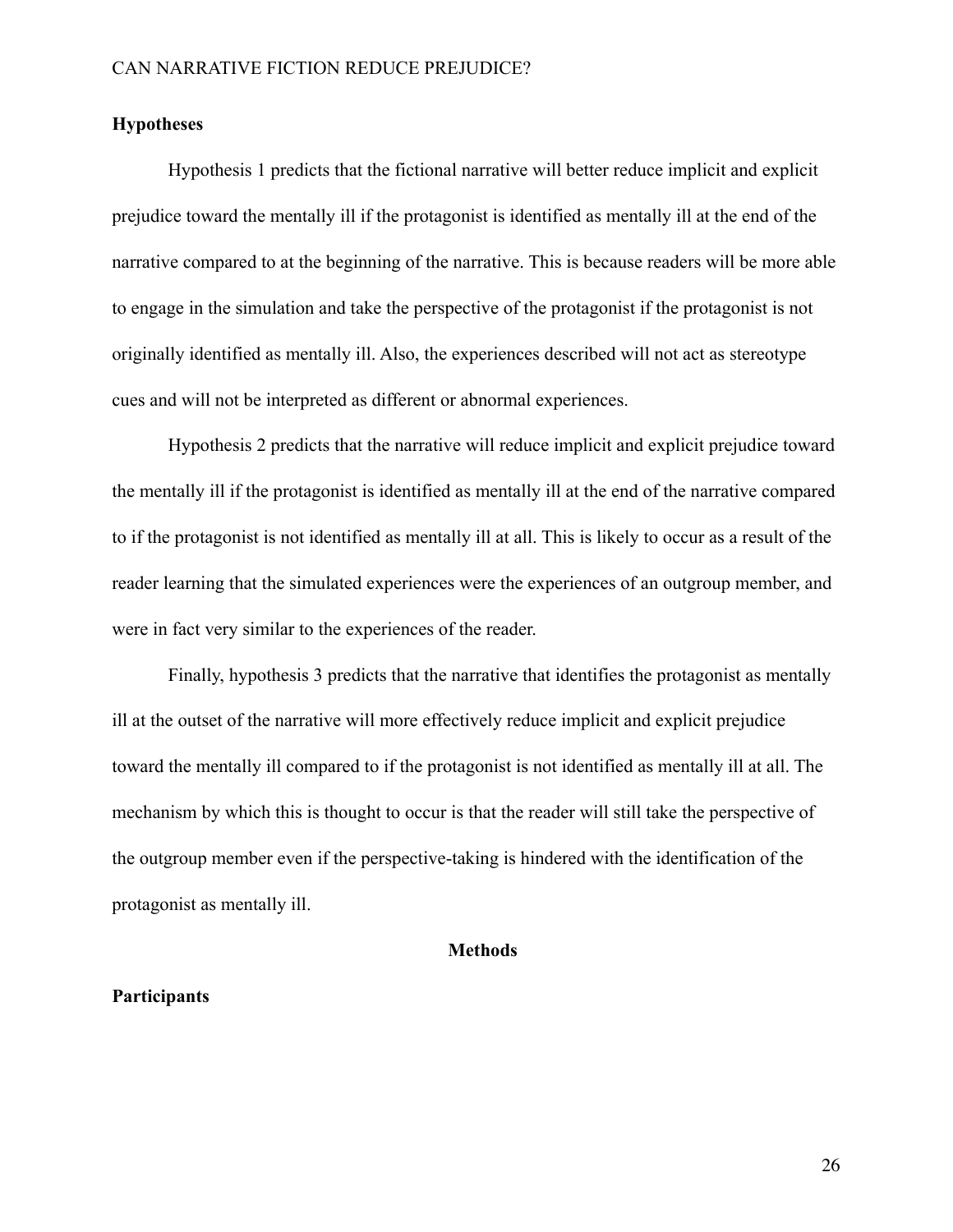## **Hypotheses**

 Hypothesis 1 predicts that the fictional narrative will better reduce implicit and explicit prejudice toward the mentally ill if the protagonist is identified as mentally ill at the end of the narrative compared to at the beginning of the narrative. This is because readers will be more able to engage in the simulation and take the perspective of the protagonist if the protagonist is not originally identified as mentally ill. Also, the experiences described will not act as stereotype cues and will not be interpreted as different or abnormal experiences.

 Hypothesis 2 predicts that the narrative will reduce implicit and explicit prejudice toward the mentally ill if the protagonist is identified as mentally ill at the end of the narrative compared to if the protagonist is not identified as mentally ill at all. This is likely to occur as a result of the reader learning that the simulated experiences were the experiences of an outgroup member, and were in fact very similar to the experiences of the reader.

 Finally, hypothesis 3 predicts that the narrative that identifies the protagonist as mentally ill at the outset of the narrative will more effectively reduce implicit and explicit prejudice toward the mentally ill compared to if the protagonist is not identified as mentally ill at all. The mechanism by which this is thought to occur is that the reader will still take the perspective of the outgroup member even if the perspective-taking is hindered with the identification of the protagonist as mentally ill.

#### **Methods**

## **Participants**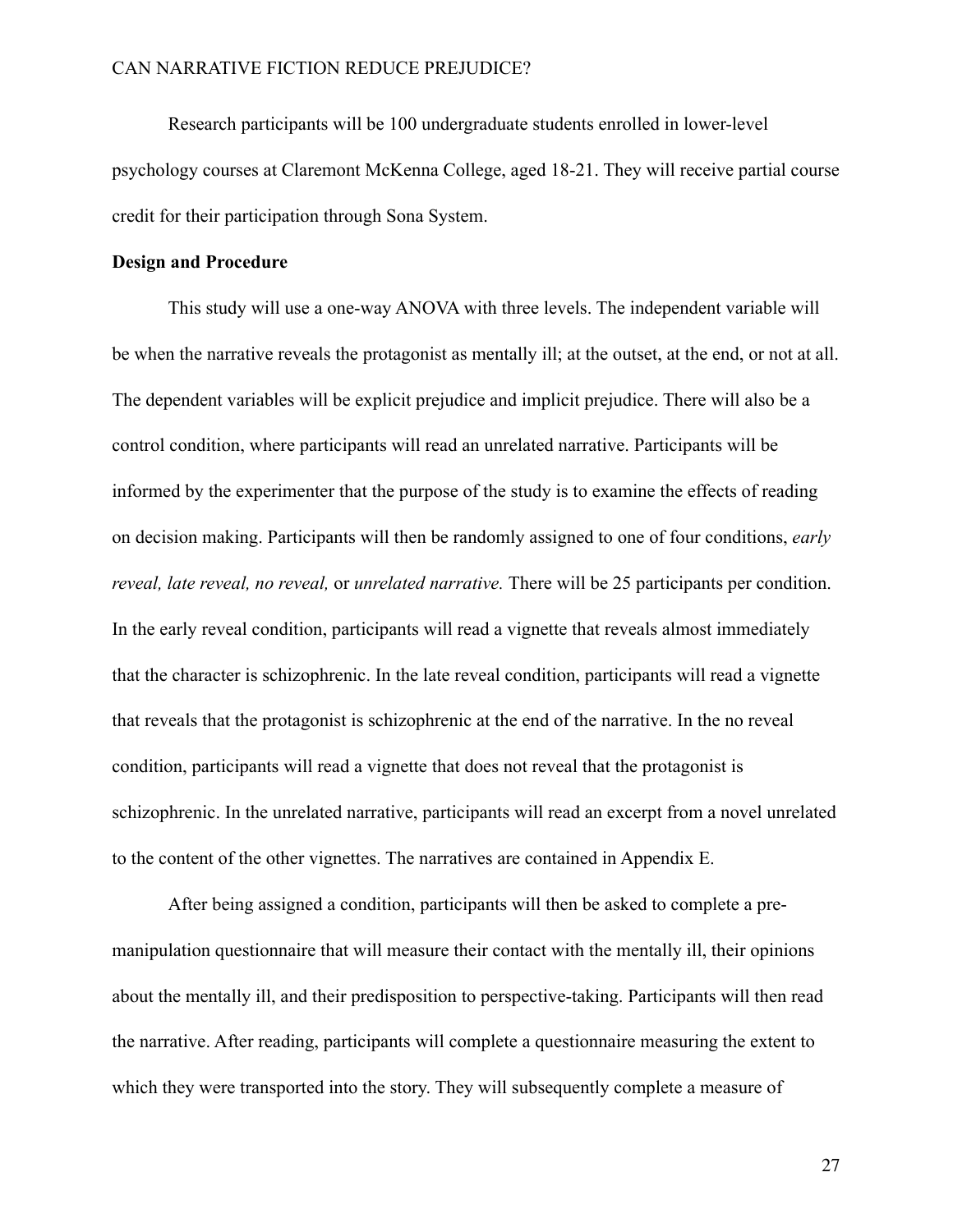Research participants will be 100 undergraduate students enrolled in lower-level psychology courses at Claremont McKenna College, aged 18-21. They will receive partial course credit for their participation through Sona System.

#### **Design and Procedure**

This study will use a one-way ANOVA with three levels. The independent variable will be when the narrative reveals the protagonist as mentally ill; at the outset, at the end, or not at all. The dependent variables will be explicit prejudice and implicit prejudice. There will also be a control condition, where participants will read an unrelated narrative. Participants will be informed by the experimenter that the purpose of the study is to examine the effects of reading on decision making. Participants will then be randomly assigned to one of four conditions, *early reveal, late reveal, no reveal,* or *unrelated narrative.* There will be 25 participants per condition. In the early reveal condition, participants will read a vignette that reveals almost immediately that the character is schizophrenic. In the late reveal condition, participants will read a vignette that reveals that the protagonist is schizophrenic at the end of the narrative. In the no reveal condition, participants will read a vignette that does not reveal that the protagonist is schizophrenic. In the unrelated narrative, participants will read an excerpt from a novel unrelated to the content of the other vignettes. The narratives are contained in Appendix E.

 After being assigned a condition, participants will then be asked to complete a premanipulation questionnaire that will measure their contact with the mentally ill, their opinions about the mentally ill, and their predisposition to perspective-taking. Participants will then read the narrative. After reading, participants will complete a questionnaire measuring the extent to which they were transported into the story. They will subsequently complete a measure of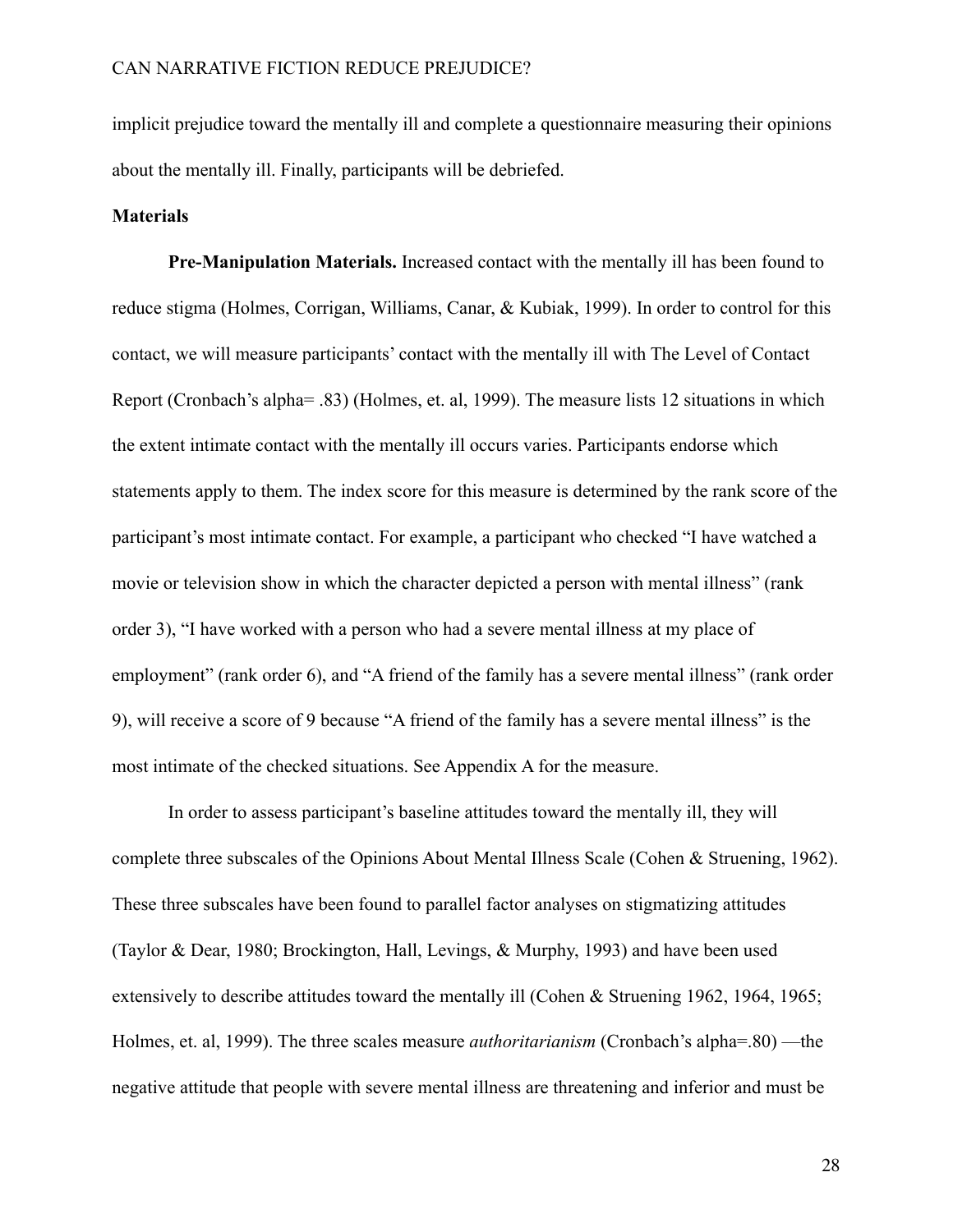implicit prejudice toward the mentally ill and complete a questionnaire measuring their opinions about the mentally ill. Finally, participants will be debriefed.

## **Materials**

**Pre-Manipulation Materials.** Increased contact with the mentally ill has been found to reduce stigma (Holmes, Corrigan, Williams, Canar, & Kubiak, 1999). In order to control for this contact, we will measure participants' contact with the mentally ill with The Level of Contact Report (Cronbach's alpha= .83) (Holmes, et. al, 1999). The measure lists 12 situations in which the extent intimate contact with the mentally ill occurs varies. Participants endorse which statements apply to them. The index score for this measure is determined by the rank score of the participant's most intimate contact. For example, a participant who checked "I have watched a movie or television show in which the character depicted a person with mental illness" (rank order 3), "I have worked with a person who had a severe mental illness at my place of employment" (rank order 6), and "A friend of the family has a severe mental illness" (rank order 9), will receive a score of 9 because "A friend of the family has a severe mental illness" is the most intimate of the checked situations. See Appendix A for the measure.

 In order to assess participant's baseline attitudes toward the mentally ill, they will complete three subscales of the Opinions About Mental Illness Scale (Cohen & Struening, 1962). These three subscales have been found to parallel factor analyses on stigmatizing attitudes (Taylor & Dear, 1980; Brockington, Hall, Levings, & Murphy, 1993) and have been used extensively to describe attitudes toward the mentally ill (Cohen & Struening 1962, 1964, 1965; Holmes, et. al, 1999). The three scales measure *authoritarianism* (Cronbach's alpha=.80) —the negative attitude that people with severe mental illness are threatening and inferior and must be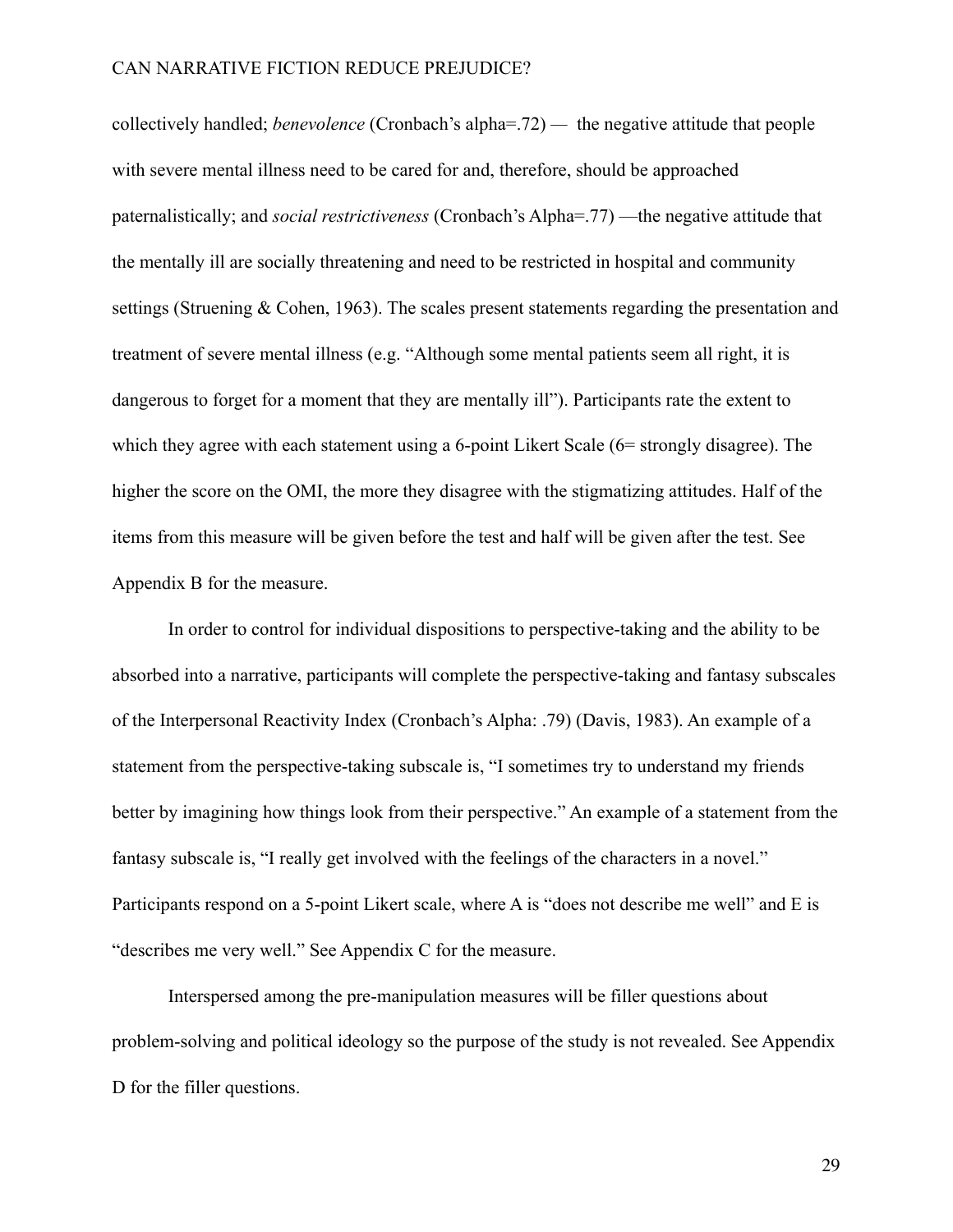collectively handled; *benevolence* (Cronbach's alpha=.72) *—* the negative attitude that people with severe mental illness need to be cared for and, therefore, should be approached paternalistically; and *social restrictiveness* (Cronbach's Alpha=.77) —the negative attitude that the mentally ill are socially threatening and need to be restricted in hospital and community settings (Struening & Cohen, 1963). The scales present statements regarding the presentation and treatment of severe mental illness (e.g. "Although some mental patients seem all right, it is dangerous to forget for a moment that they are mentally ill"). Participants rate the extent to which they agree with each statement using a 6-point Likert Scale (6= strongly disagree). The higher the score on the OMI, the more they disagree with the stigmatizing attitudes. Half of the items from this measure will be given before the test and half will be given after the test. See Appendix B for the measure.

 In order to control for individual dispositions to perspective-taking and the ability to be absorbed into a narrative, participants will complete the perspective-taking and fantasy subscales of the Interpersonal Reactivity Index (Cronbach's Alpha: .79) (Davis, 1983). An example of a statement from the perspective-taking subscale is, "I sometimes try to understand my friends better by imagining how things look from their perspective." An example of a statement from the fantasy subscale is, "I really get involved with the feelings of the characters in a novel." Participants respond on a 5-point Likert scale, where A is "does not describe me well" and E is "describes me very well." See Appendix C for the measure.

 Interspersed among the pre-manipulation measures will be filler questions about problem-solving and political ideology so the purpose of the study is not revealed. See Appendix D for the filler questions.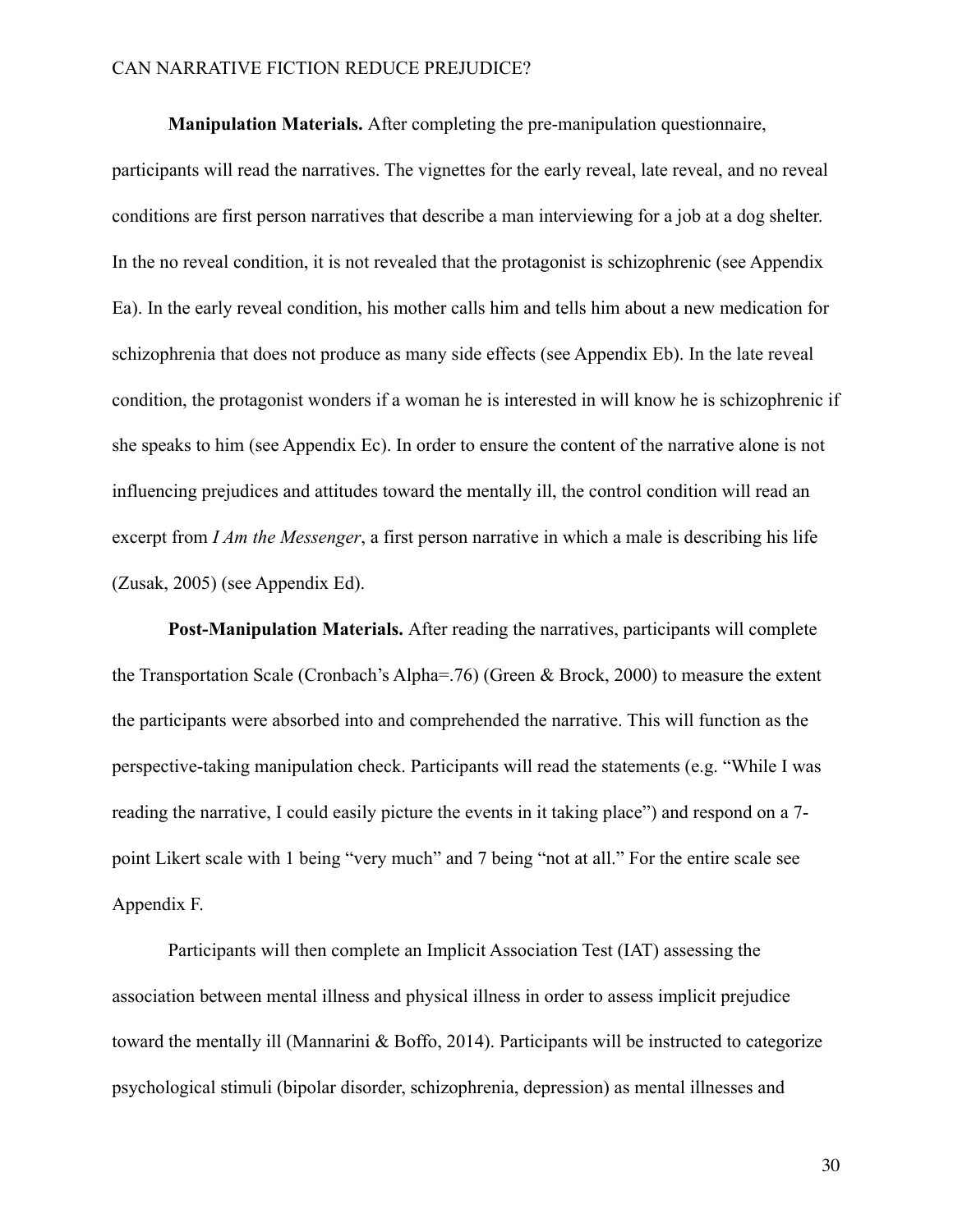**Manipulation Materials.** After completing the pre-manipulation questionnaire,

participants will read the narratives. The vignettes for the early reveal, late reveal, and no reveal conditions are first person narratives that describe a man interviewing for a job at a dog shelter. In the no reveal condition, it is not revealed that the protagonist is schizophrenic (see Appendix Ea). In the early reveal condition, his mother calls him and tells him about a new medication for schizophrenia that does not produce as many side effects (see Appendix Eb). In the late reveal condition, the protagonist wonders if a woman he is interested in will know he is schizophrenic if she speaks to him (see Appendix Ec). In order to ensure the content of the narrative alone is not influencing prejudices and attitudes toward the mentally ill, the control condition will read an excerpt from *I Am the Messenger*, a first person narrative in which a male is describing his life (Zusak, 2005) (see Appendix Ed).

**Post-Manipulation Materials.** After reading the narratives, participants will complete the Transportation Scale (Cronbach's Alpha=.76) (Green & Brock, 2000) to measure the extent the participants were absorbed into and comprehended the narrative. This will function as the perspective-taking manipulation check. Participants will read the statements (e.g. "While I was reading the narrative, I could easily picture the events in it taking place") and respond on a 7 point Likert scale with 1 being "very much" and 7 being "not at all." For the entire scale see Appendix F.

 Participants will then complete an Implicit Association Test (IAT) assessing the association between mental illness and physical illness in order to assess implicit prejudice toward the mentally ill (Mannarini & Boffo, 2014). Participants will be instructed to categorize psychological stimuli (bipolar disorder, schizophrenia, depression) as mental illnesses and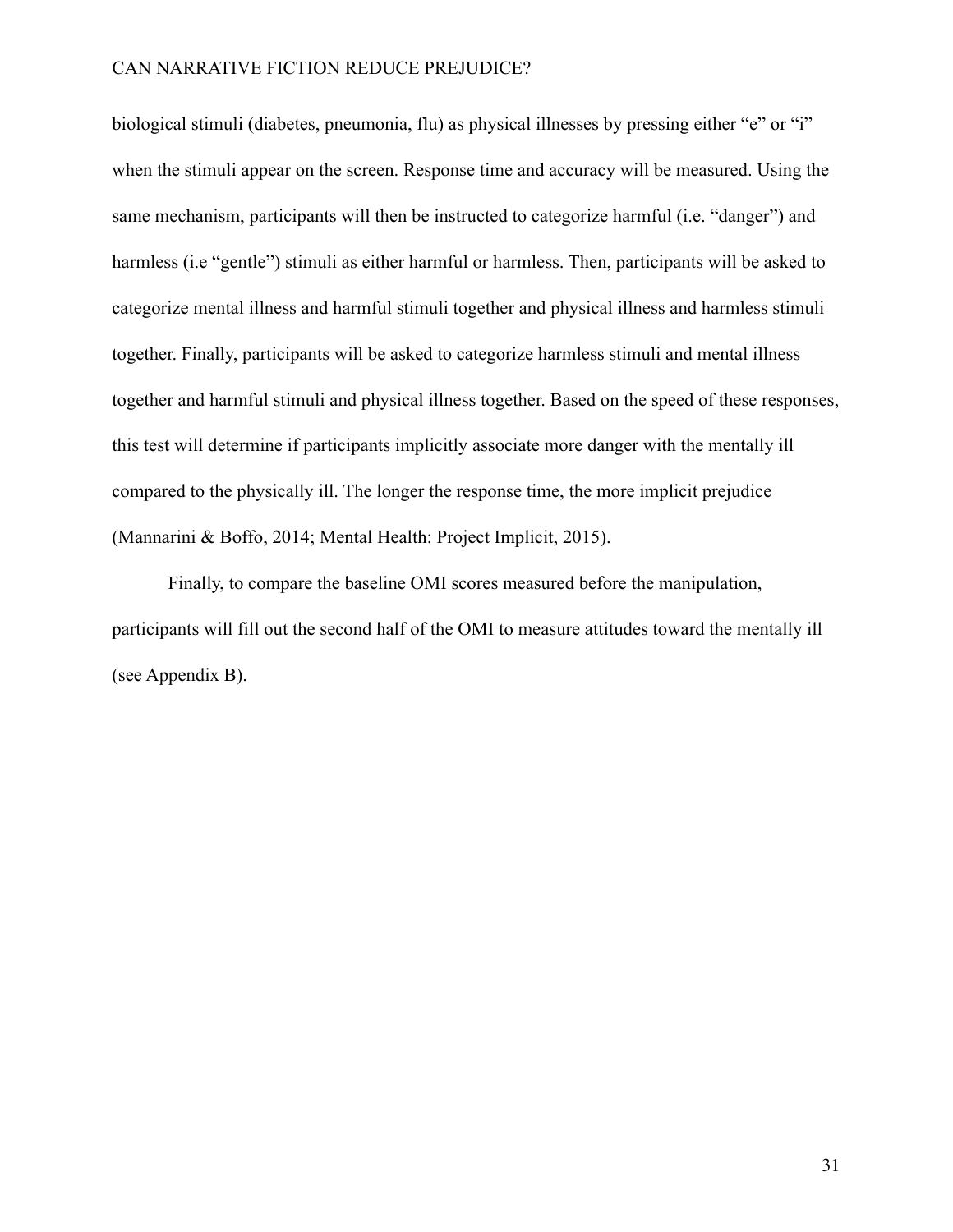biological stimuli (diabetes, pneumonia, flu) as physical illnesses by pressing either "e" or "i" when the stimuli appear on the screen. Response time and accuracy will be measured. Using the same mechanism, participants will then be instructed to categorize harmful (i.e. "danger") and harmless (i.e "gentle") stimuli as either harmful or harmless. Then, participants will be asked to categorize mental illness and harmful stimuli together and physical illness and harmless stimuli together. Finally, participants will be asked to categorize harmless stimuli and mental illness together and harmful stimuli and physical illness together. Based on the speed of these responses, this test will determine if participants implicitly associate more danger with the mentally ill compared to the physically ill. The longer the response time, the more implicit prejudice (Mannarini & Boffo, 2014; Mental Health: Project Implicit, 2015).

Finally, to compare the baseline OMI scores measured before the manipulation, participants will fill out the second half of the OMI to measure attitudes toward the mentally ill (see Appendix B).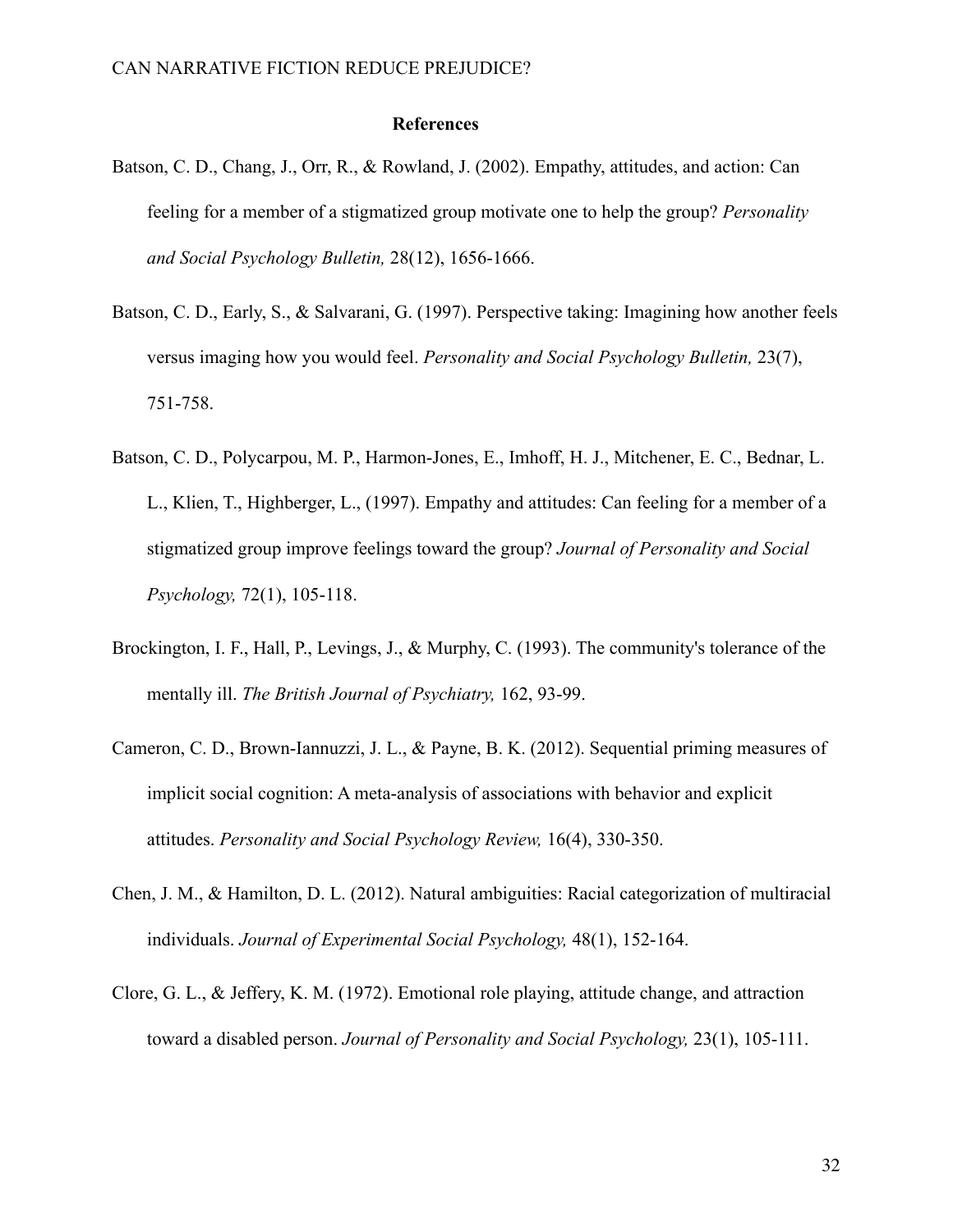#### **References**

- Batson, C. D., Chang, J., Orr, R., & Rowland, J. (2002). Empathy, attitudes, and action: Can feeling for a member of a stigmatized group motivate one to help the group? *Personality and Social Psychology Bulletin,* 28(12), 1656-1666.
- Batson, C. D., Early, S., & Salvarani, G. (1997). Perspective taking: Imagining how another feels versus imaging how you would feel. *Personality and Social Psychology Bulletin,* 23(7), 751-758.
- Batson, C. D., Polycarpou, M. P., Harmon-Jones, E., Imhoff, H. J., Mitchener, E. C., Bednar, L. L., Klien, T., Highberger, L., (1997). Empathy and attitudes: Can feeling for a member of a stigmatized group improve feelings toward the group? *Journal of Personality and Social Psychology,* 72(1), 105-118.
- Brockington, I. F., Hall, P., Levings, J., & Murphy, C. (1993). The community's tolerance of the mentally ill. *The British Journal of Psychiatry,* 162, 93-99.
- Cameron, C. D., Brown-Iannuzzi, J. L., & Payne, B. K. (2012). Sequential priming measures of implicit social cognition: A meta-analysis of associations with behavior and explicit attitudes. *Personality and Social Psychology Review,* 16(4), 330-350.
- Chen, J. M., & Hamilton, D. L. (2012). Natural ambiguities: Racial categorization of multiracial individuals. *Journal of Experimental Social Psychology,* 48(1), 152-164.
- Clore, G. L., & Jeffery, K. M. (1972). Emotional role playing, attitude change, and attraction toward a disabled person. *Journal of Personality and Social Psychology,* 23(1), 105-111.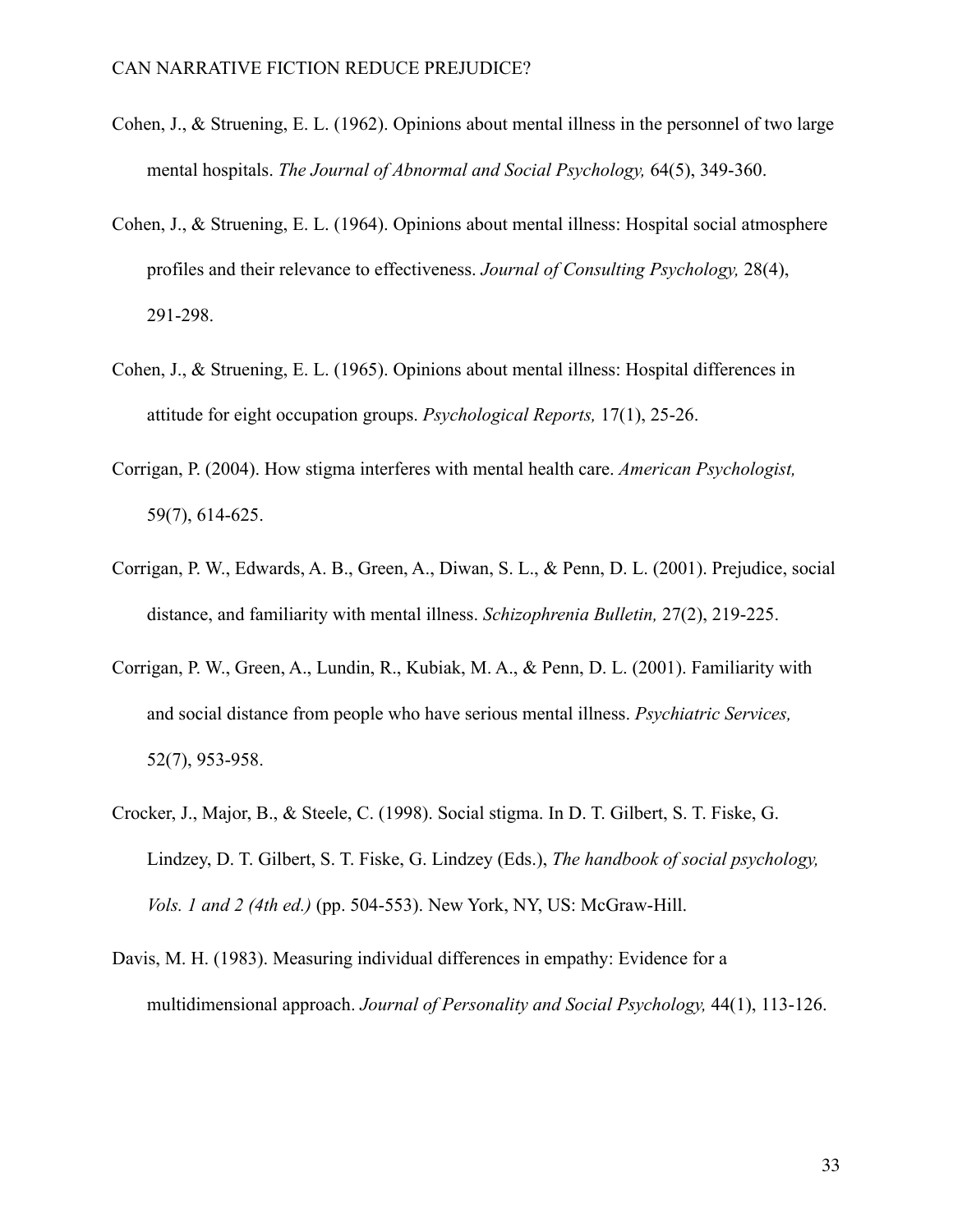- Cohen, J., & Struening, E. L. (1962). Opinions about mental illness in the personnel of two large mental hospitals. *The Journal of Abnormal and Social Psychology,* 64(5), 349-360.
- Cohen, J., & Struening, E. L. (1964). Opinions about mental illness: Hospital social atmosphere profiles and their relevance to effectiveness. *Journal of Consulting Psychology,* 28(4), 291-298.
- Cohen, J., & Struening, E. L. (1965). Opinions about mental illness: Hospital differences in attitude for eight occupation groups. *Psychological Reports,* 17(1), 25-26.
- Corrigan, P. (2004). How stigma interferes with mental health care. *American Psychologist,*  59(7), 614-625.
- Corrigan, P. W., Edwards, A. B., Green, A., Diwan, S. L., & Penn, D. L. (2001). Prejudice, social distance, and familiarity with mental illness. *Schizophrenia Bulletin,* 27(2), 219-225.
- Corrigan, P. W., Green, A., Lundin, R., Kubiak, M. A., & Penn, D. L. (2001). Familiarity with and social distance from people who have serious mental illness. *Psychiatric Services,*  52(7), 953-958.
- Crocker, J., Major, B., & Steele, C. (1998). Social stigma. In D. T. Gilbert, S. T. Fiske, G. Lindzey, D. T. Gilbert, S. T. Fiske, G. Lindzey (Eds.), *The handbook of social psychology, Vols. 1 and 2 (4th ed.)* (pp. 504-553). New York, NY, US: McGraw-Hill.
- Davis, M. H. (1983). Measuring individual differences in empathy: Evidence for a multidimensional approach. *Journal of Personality and Social Psychology,* 44(1), 113-126.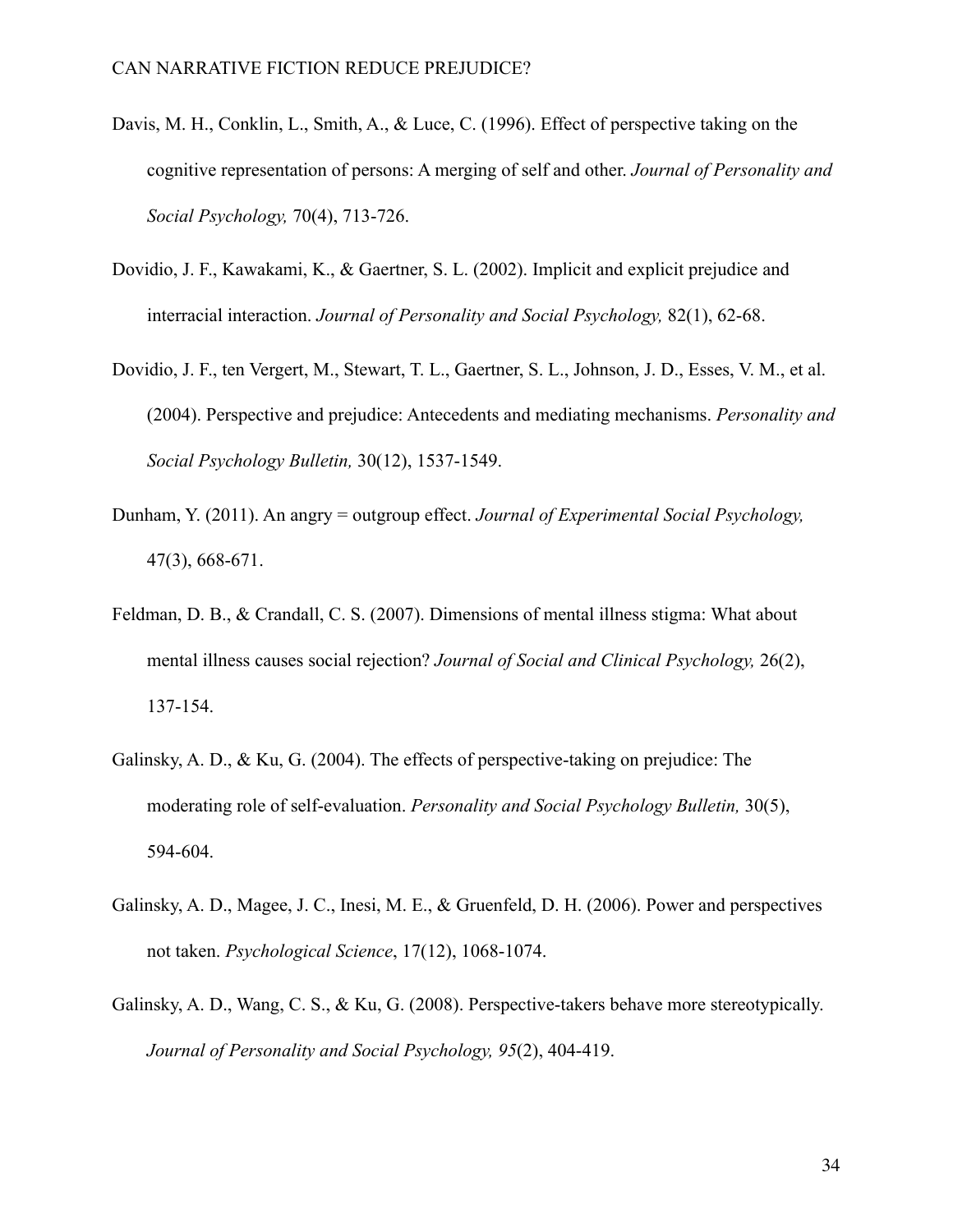- Davis, M. H., Conklin, L., Smith, A., & Luce, C. (1996). Effect of perspective taking on the cognitive representation of persons: A merging of self and other. *Journal of Personality and Social Psychology,* 70(4), 713-726.
- Dovidio, J. F., Kawakami, K., & Gaertner, S. L. (2002). Implicit and explicit prejudice and interracial interaction. *Journal of Personality and Social Psychology,* 82(1), 62-68.
- Dovidio, J. F., ten Vergert, M., Stewart, T. L., Gaertner, S. L., Johnson, J. D., Esses, V. M., et al. (2004). Perspective and prejudice: Antecedents and mediating mechanisms. *Personality and Social Psychology Bulletin,* 30(12), 1537-1549.
- Dunham, Y. (2011). An angry = outgroup effect. *Journal of Experimental Social Psychology,*  47(3), 668-671.
- Feldman, D. B., & Crandall, C. S. (2007). Dimensions of mental illness stigma: What about mental illness causes social rejection? *Journal of Social and Clinical Psychology,* 26(2), 137-154.
- Galinsky, A. D., & Ku, G. (2004). The effects of perspective-taking on prejudice: The moderating role of self-evaluation. *Personality and Social Psychology Bulletin,* 30(5), 594-604.
- Galinsky, A. D., Magee, J. C., Inesi, M. E., & Gruenfeld, D. H. (2006). Power and perspectives not taken. *Psychological Science*, 17(12), 1068-1074.
- Galinsky, A. D., Wang, C. S., & Ku, G. (2008). Perspective-takers behave more stereotypically. *Journal of Personality and Social Psychology, 95*(2), 404-419.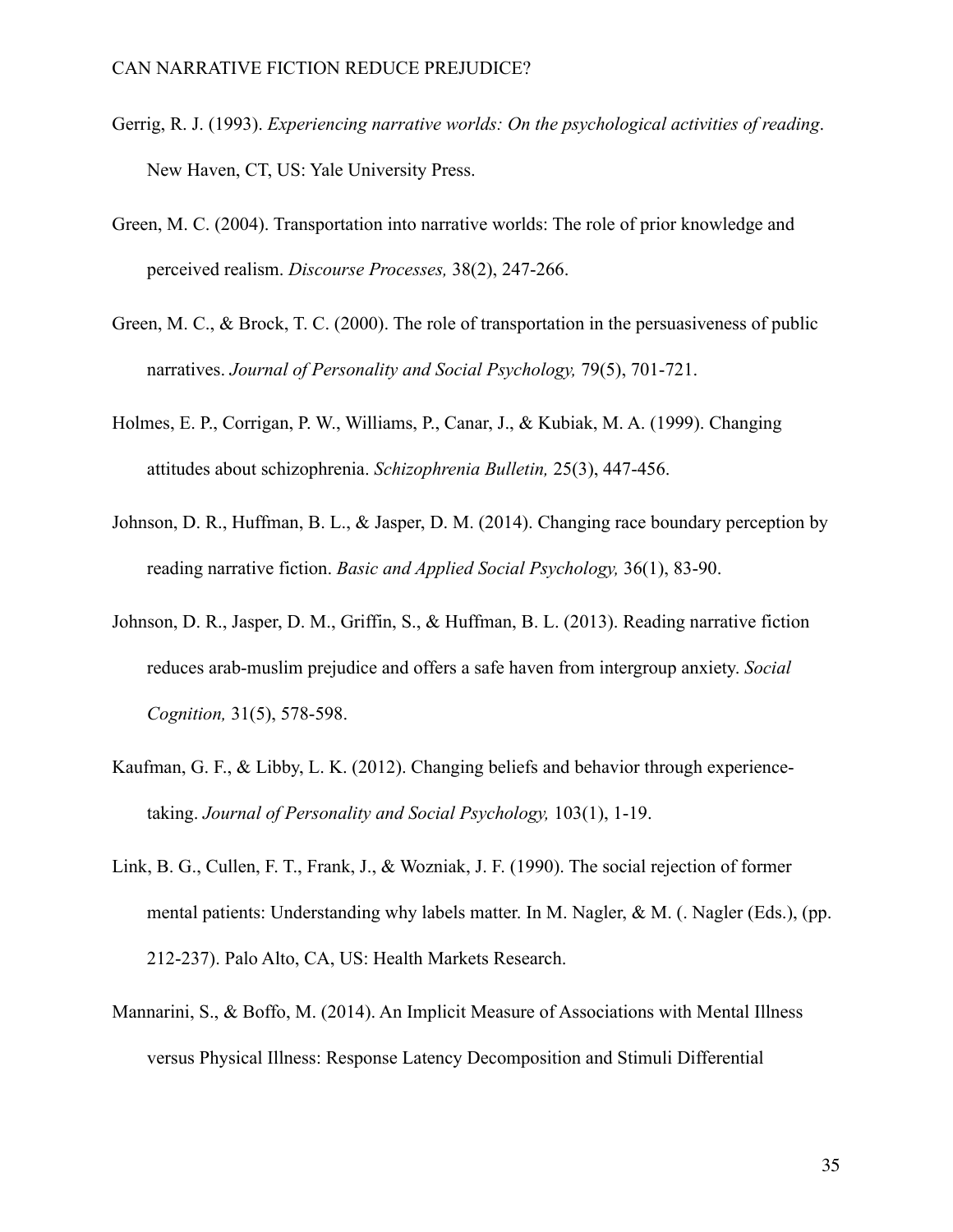- Gerrig, R. J. (1993). *Experiencing narrative worlds: On the psychological activities of reading*. New Haven, CT, US: Yale University Press.
- Green, M. C. (2004). Transportation into narrative worlds: The role of prior knowledge and perceived realism. *Discourse Processes,* 38(2), 247-266.
- Green, M. C., & Brock, T. C. (2000). The role of transportation in the persuasiveness of public narratives. *Journal of Personality and Social Psychology,* 79(5), 701-721.
- Holmes, E. P., Corrigan, P. W., Williams, P., Canar, J., & Kubiak, M. A. (1999). Changing attitudes about schizophrenia. *Schizophrenia Bulletin,* 25(3), 447-456.
- Johnson, D. R., Huffman, B. L., & Jasper, D. M. (2014). Changing race boundary perception by reading narrative fiction. *Basic and Applied Social Psychology,* 36(1), 83-90.
- Johnson, D. R., Jasper, D. M., Griffin, S., & Huffman, B. L. (2013). Reading narrative fiction reduces arab-muslim prejudice and offers a safe haven from intergroup anxiety. *Social Cognition,* 31(5), 578-598.
- Kaufman, G. F., & Libby, L. K. (2012). Changing beliefs and behavior through experiencetaking. *Journal of Personality and Social Psychology,* 103(1), 1-19.
- Link, B. G., Cullen, F. T., Frank, J., & Wozniak, J. F. (1990). The social rejection of former mental patients: Understanding why labels matter. In M. Nagler, & M. (. Nagler (Eds.), (pp. 212-237). Palo Alto, CA, US: Health Markets Research.
- Mannarini, S., & Boffo, M. (2014). An Implicit Measure of Associations with Mental Illness versus Physical Illness: Response Latency Decomposition and Stimuli Differential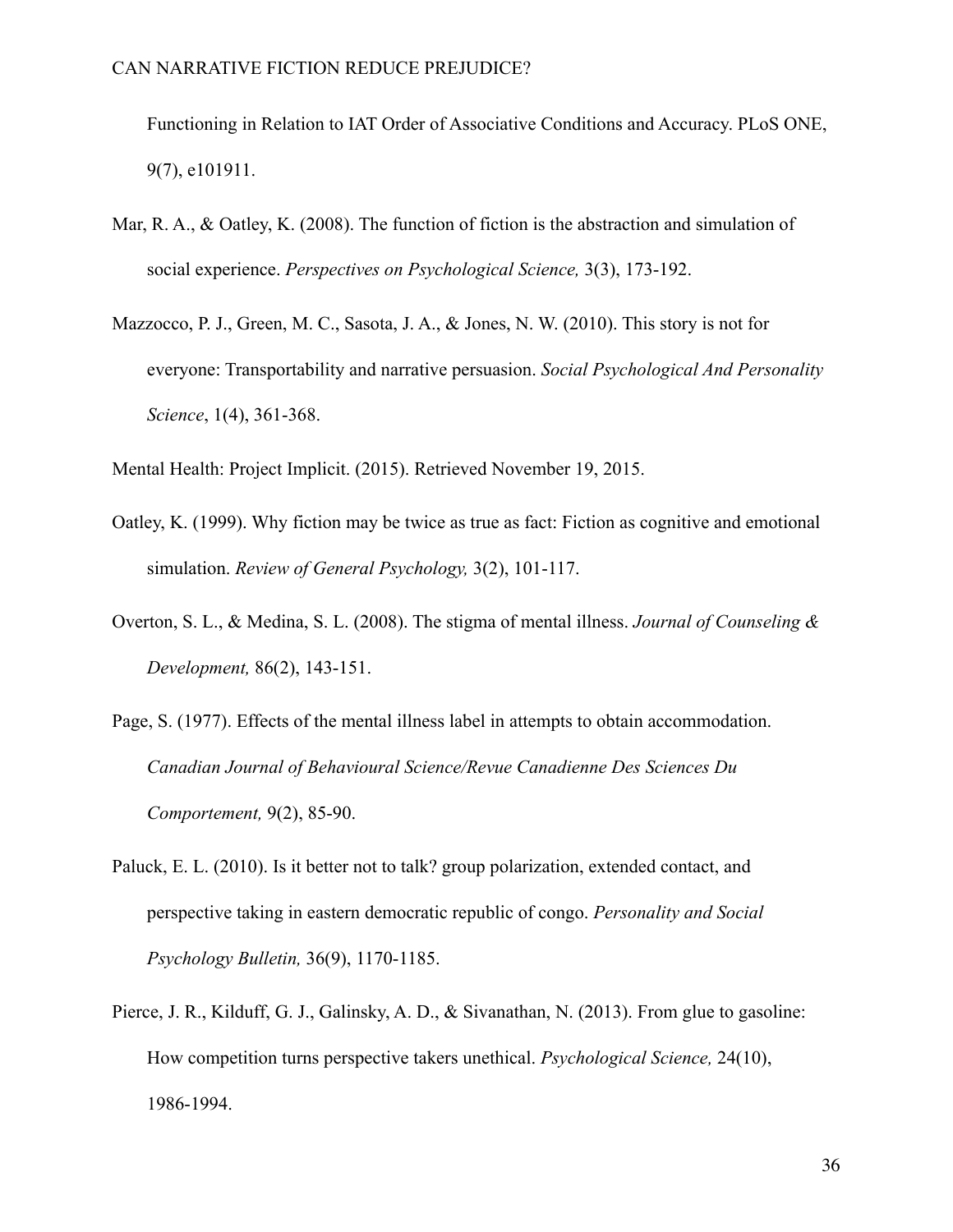Functioning in Relation to IAT Order of Associative Conditions and Accuracy. PLoS ONE, 9(7), e101911.

- Mar, R. A., & Oatley, K. (2008). The function of fiction is the abstraction and simulation of social experience. *Perspectives on Psychological Science,* 3(3), 173-192.
- Mazzocco, P. J., Green, M. C., Sasota, J. A., & Jones, N. W. (2010). This story is not for everyone: Transportability and narrative persuasion. *Social Psychological And Personality Science*, 1(4), 361-368.

Mental Health: Project Implicit. (2015). Retrieved November 19, 2015.

- Oatley, K. (1999). Why fiction may be twice as true as fact: Fiction as cognitive and emotional simulation. *Review of General Psychology,* 3(2), 101-117.
- Overton, S. L., & Medina, S. L. (2008). The stigma of mental illness. *Journal of Counseling & Development,* 86(2), 143-151.
- Page, S. (1977). Effects of the mental illness label in attempts to obtain accommodation. *Canadian Journal of Behavioural Science/Revue Canadienne Des Sciences Du Comportement,* 9(2), 85-90.
- Paluck, E. L. (2010). Is it better not to talk? group polarization, extended contact, and perspective taking in eastern democratic republic of congo. *Personality and Social Psychology Bulletin,* 36(9), 1170-1185.
- Pierce, J. R., Kilduff, G. J., Galinsky, A. D., & Sivanathan, N. (2013). From glue to gasoline: How competition turns perspective takers unethical. *Psychological Science,* 24(10), 1986-1994.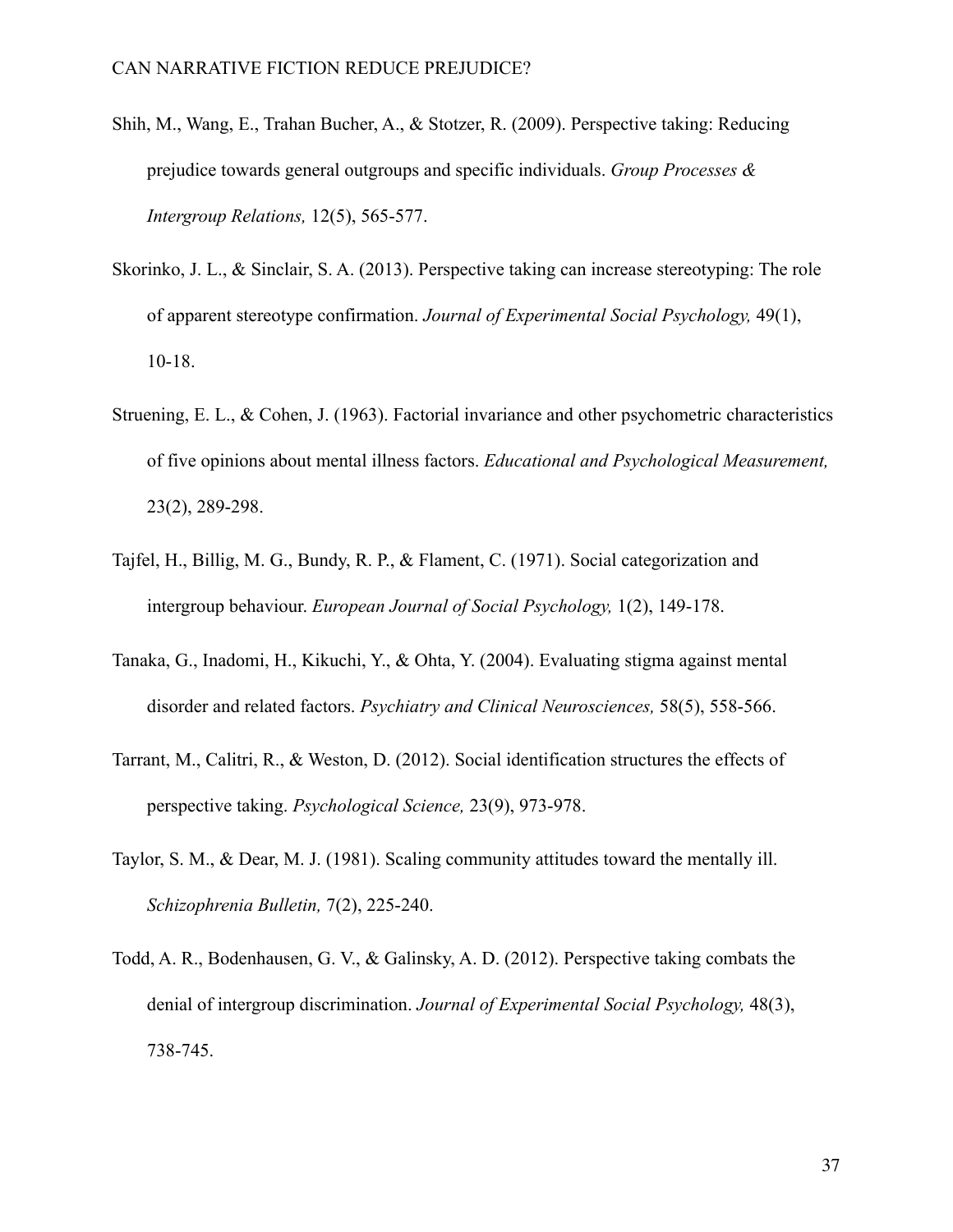- Shih, M., Wang, E., Trahan Bucher, A., & Stotzer, R. (2009). Perspective taking: Reducing prejudice towards general outgroups and specific individuals. *Group Processes & Intergroup Relations,* 12(5), 565-577.
- Skorinko, J. L., & Sinclair, S. A. (2013). Perspective taking can increase stereotyping: The role of apparent stereotype confirmation. *Journal of Experimental Social Psychology,* 49(1), 10-18.
- Struening, E. L., & Cohen, J. (1963). Factorial invariance and other psychometric characteristics of five opinions about mental illness factors. *Educational and Psychological Measurement,*  23(2), 289-298.
- Tajfel, H., Billig, M. G., Bundy, R. P., & Flament, C. (1971). Social categorization and intergroup behaviour. *European Journal of Social Psychology,* 1(2), 149-178.
- Tanaka, G., Inadomi, H., Kikuchi, Y., & Ohta, Y. (2004). Evaluating stigma against mental disorder and related factors. *Psychiatry and Clinical Neurosciences,* 58(5), 558-566.
- Tarrant, M., Calitri, R., & Weston, D. (2012). Social identification structures the effects of perspective taking. *Psychological Science,* 23(9), 973-978.
- Taylor, S. M., & Dear, M. J. (1981). Scaling community attitudes toward the mentally ill. *Schizophrenia Bulletin,* 7(2), 225-240.
- Todd, A. R., Bodenhausen, G. V., & Galinsky, A. D. (2012). Perspective taking combats the denial of intergroup discrimination. *Journal of Experimental Social Psychology,* 48(3), 738-745.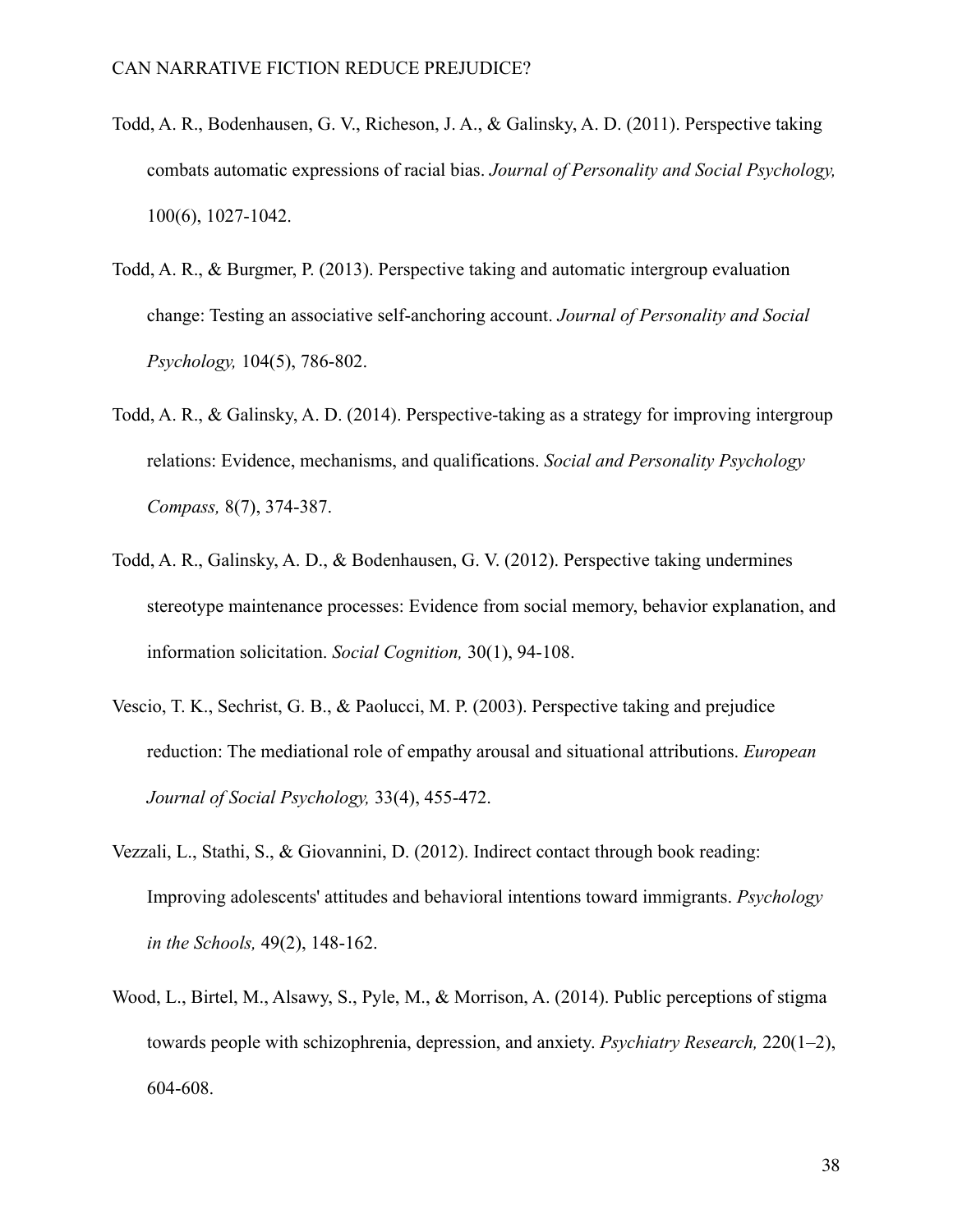- Todd, A. R., Bodenhausen, G. V., Richeson, J. A., & Galinsky, A. D. (2011). Perspective taking combats automatic expressions of racial bias. *Journal of Personality and Social Psychology,*  100(6), 1027-1042.
- Todd, A. R., & Burgmer, P. (2013). Perspective taking and automatic intergroup evaluation change: Testing an associative self-anchoring account. *Journal of Personality and Social Psychology,* 104(5), 786-802.
- Todd, A. R., & Galinsky, A. D. (2014). Perspective-taking as a strategy for improving intergroup relations: Evidence, mechanisms, and qualifications. *Social and Personality Psychology Compass,* 8(7), 374-387.
- Todd, A. R., Galinsky, A. D., & Bodenhausen, G. V. (2012). Perspective taking undermines stereotype maintenance processes: Evidence from social memory, behavior explanation, and information solicitation. *Social Cognition,* 30(1), 94-108.
- Vescio, T. K., Sechrist, G. B., & Paolucci, M. P. (2003). Perspective taking and prejudice reduction: The mediational role of empathy arousal and situational attributions. *European Journal of Social Psychology,* 33(4), 455-472.
- Vezzali, L., Stathi, S., & Giovannini, D. (2012). Indirect contact through book reading: Improving adolescents' attitudes and behavioral intentions toward immigrants. *Psychology in the Schools,* 49(2), 148-162.
- Wood, L., Birtel, M., Alsawy, S., Pyle, M., & Morrison, A. (2014). Public perceptions of stigma towards people with schizophrenia, depression, and anxiety. *Psychiatry Research,* 220(1–2), 604-608.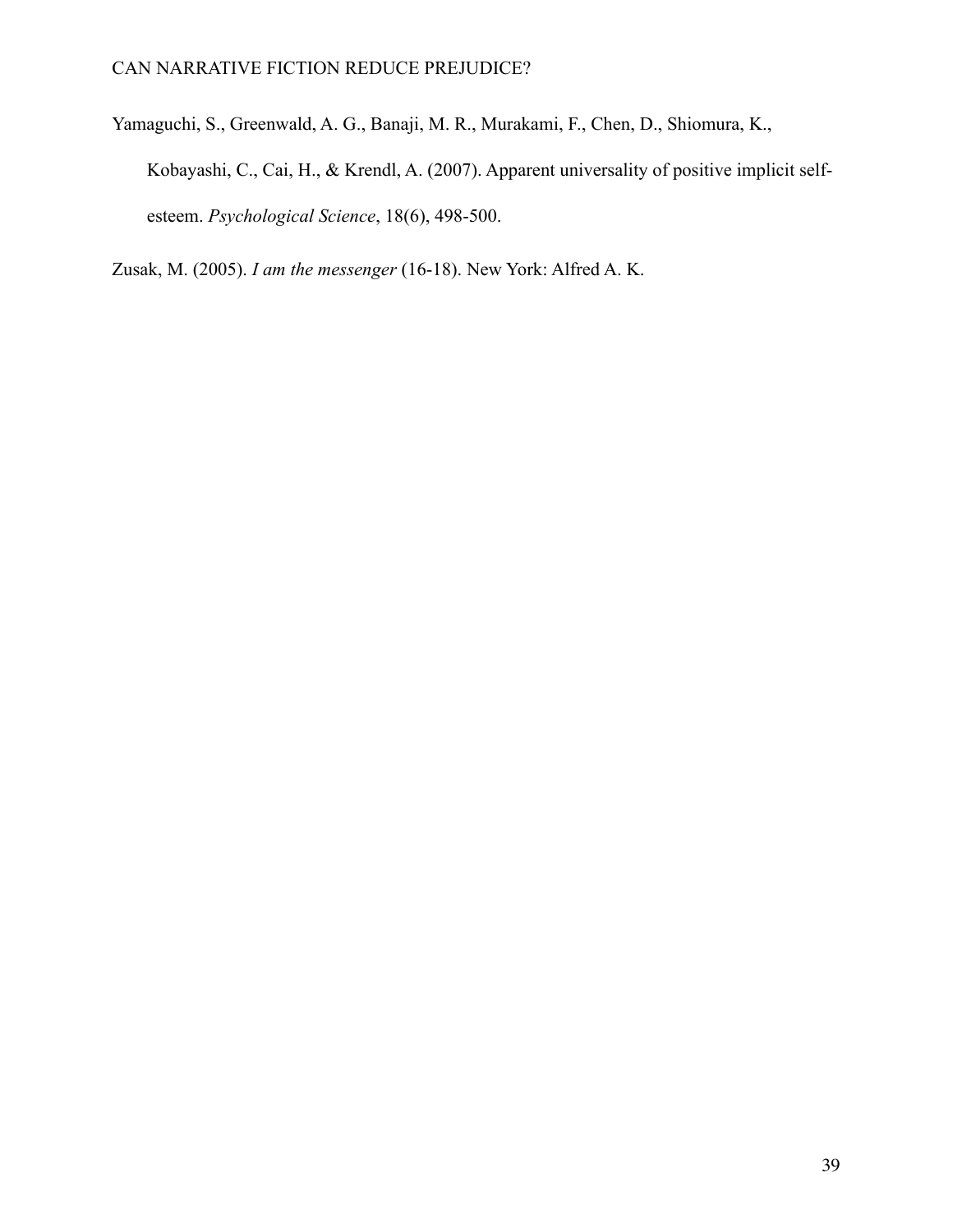Yamaguchi, S., Greenwald, A. G., Banaji, M. R., Murakami, F., Chen, D., Shiomura, K., Kobayashi, C., Cai, H., & Krendl, A. (2007). Apparent universality of positive implicit selfesteem. *Psychological Science*, 18(6), 498-500.

Zusak, M. (2005). *I am the messenger* (16-18). New York: Alfred A. K.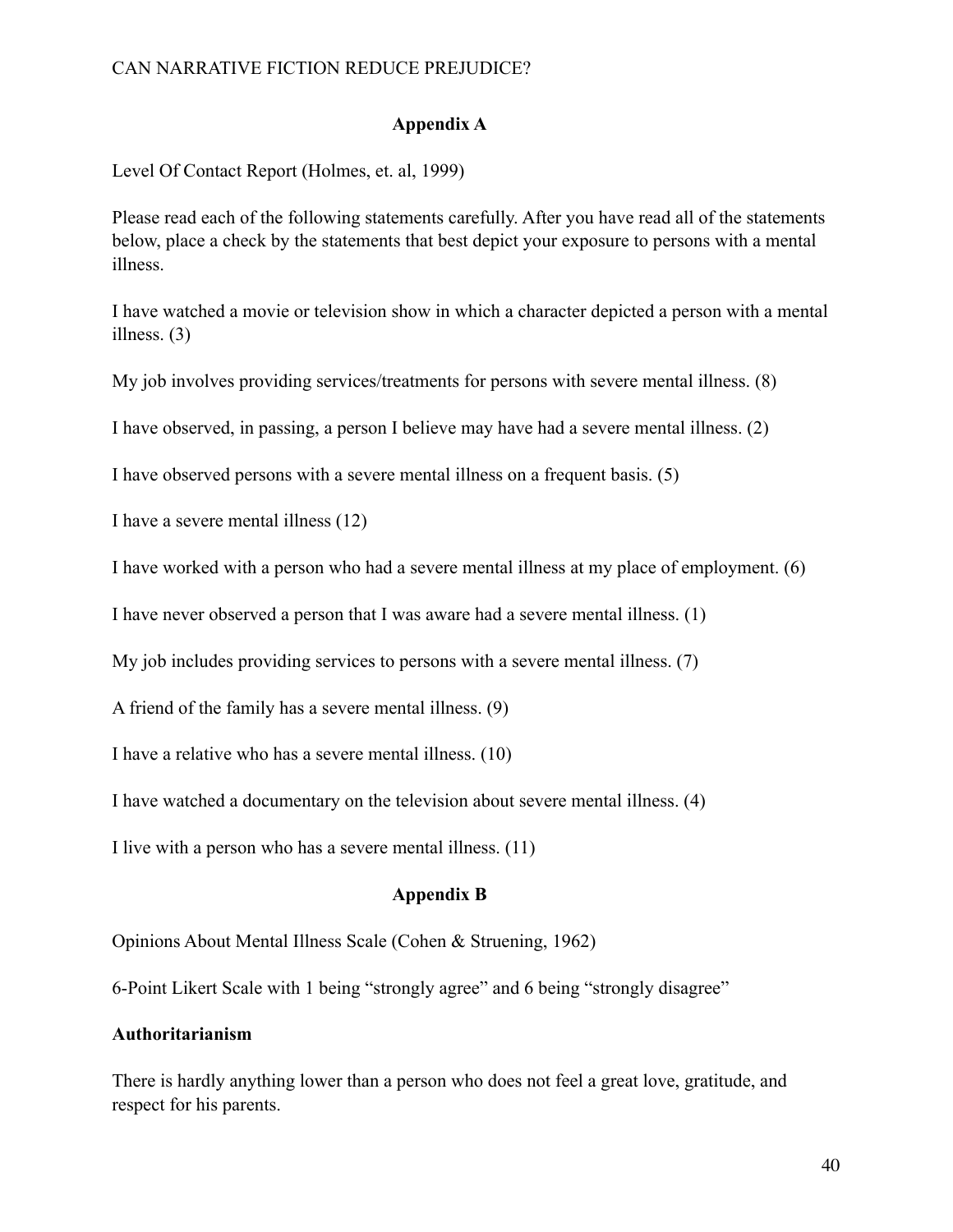## **Appendix A**

Level Of Contact Report (Holmes, et. al, 1999)

Please read each of the following statements carefully. After you have read all of the statements below, place a check by the statements that best depict your exposure to persons with a mental illness.

I have watched a movie or television show in which a character depicted a person with a mental illness. (3)

My job involves providing services/treatments for persons with severe mental illness. (8)

I have observed, in passing, a person I believe may have had a severe mental illness. (2)

I have observed persons with a severe mental illness on a frequent basis. (5)

I have a severe mental illness (12)

I have worked with a person who had a severe mental illness at my place of employment. (6)

I have never observed a person that I was aware had a severe mental illness. (1)

My job includes providing services to persons with a severe mental illness. (7)

A friend of the family has a severe mental illness. (9)

I have a relative who has a severe mental illness. (10)

I have watched a documentary on the television about severe mental illness. (4)

I live with a person who has a severe mental illness. (11)

## **Appendix B**

Opinions About Mental Illness Scale (Cohen & Struening, 1962)

6-Point Likert Scale with 1 being "strongly agree" and 6 being "strongly disagree"

#### **Authoritarianism**

There is hardly anything lower than a person who does not feel a great love, gratitude, and respect for his parents.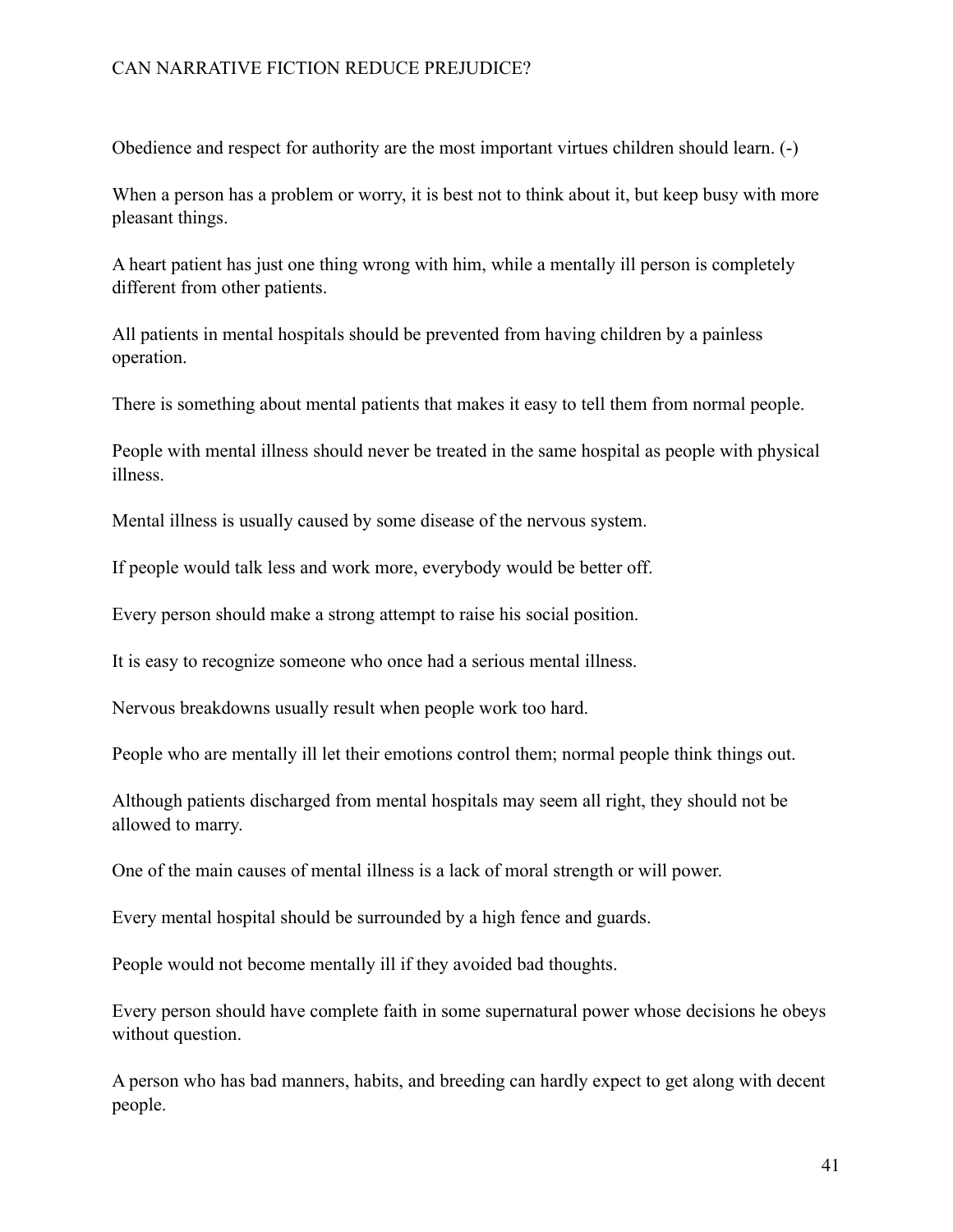Obedience and respect for authority are the most important virtues children should learn. (-)

When a person has a problem or worry, it is best not to think about it, but keep busy with more pleasant things.

A heart patient has just one thing wrong with him, while a mentally ill person is completely different from other patients.

All patients in mental hospitals should be prevented from having children by a painless operation.

There is something about mental patients that makes it easy to tell them from normal people.

People with mental illness should never be treated in the same hospital as people with physical illness.

Mental illness is usually caused by some disease of the nervous system.

If people would talk less and work more, everybody would be better off.

Every person should make a strong attempt to raise his social position.

It is easy to recognize someone who once had a serious mental illness.

Nervous breakdowns usually result when people work too hard.

People who are mentally ill let their emotions control them; normal people think things out.

Although patients discharged from mental hospitals may seem all right, they should not be allowed to marry.

One of the main causes of mental illness is a lack of moral strength or will power.

Every mental hospital should be surrounded by a high fence and guards.

People would not become mentally ill if they avoided bad thoughts.

Every person should have complete faith in some supernatural power whose decisions he obeys without question.

A person who has bad manners, habits, and breeding can hardly expect to get along with decent people.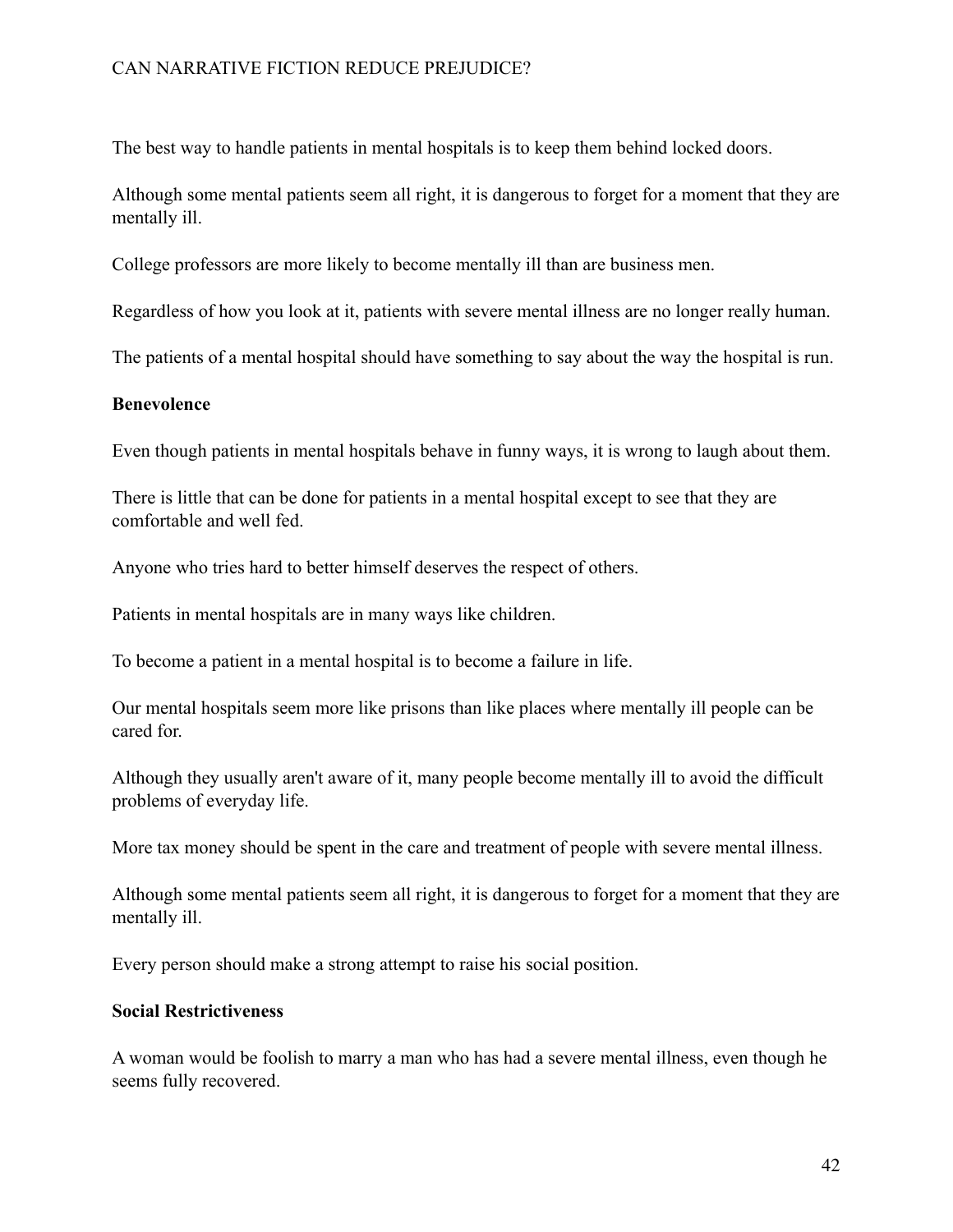The best way to handle patients in mental hospitals is to keep them behind locked doors.

Although some mental patients seem all right, it is dangerous to forget for a moment that they are mentally ill.

College professors are more likely to become mentally ill than are business men.

Regardless of how you look at it, patients with severe mental illness are no longer really human.

The patients of a mental hospital should have something to say about the way the hospital is run.

#### **Benevolence**

Even though patients in mental hospitals behave in funny ways, it is wrong to laugh about them.

There is little that can be done for patients in a mental hospital except to see that they are comfortable and well fed.

Anyone who tries hard to better himself deserves the respect of others.

Patients in mental hospitals are in many ways like children.

To become a patient in a mental hospital is to become a failure in life.

Our mental hospitals seem more like prisons than like places where mentally ill people can be cared for.

Although they usually aren't aware of it, many people become mentally ill to avoid the difficult problems of everyday life.

More tax money should be spent in the care and treatment of people with severe mental illness.

Although some mental patients seem all right, it is dangerous to forget for a moment that they are mentally ill.

Every person should make a strong attempt to raise his social position.

## **Social Restrictiveness**

A woman would be foolish to marry a man who has had a severe mental illness, even though he seems fully recovered.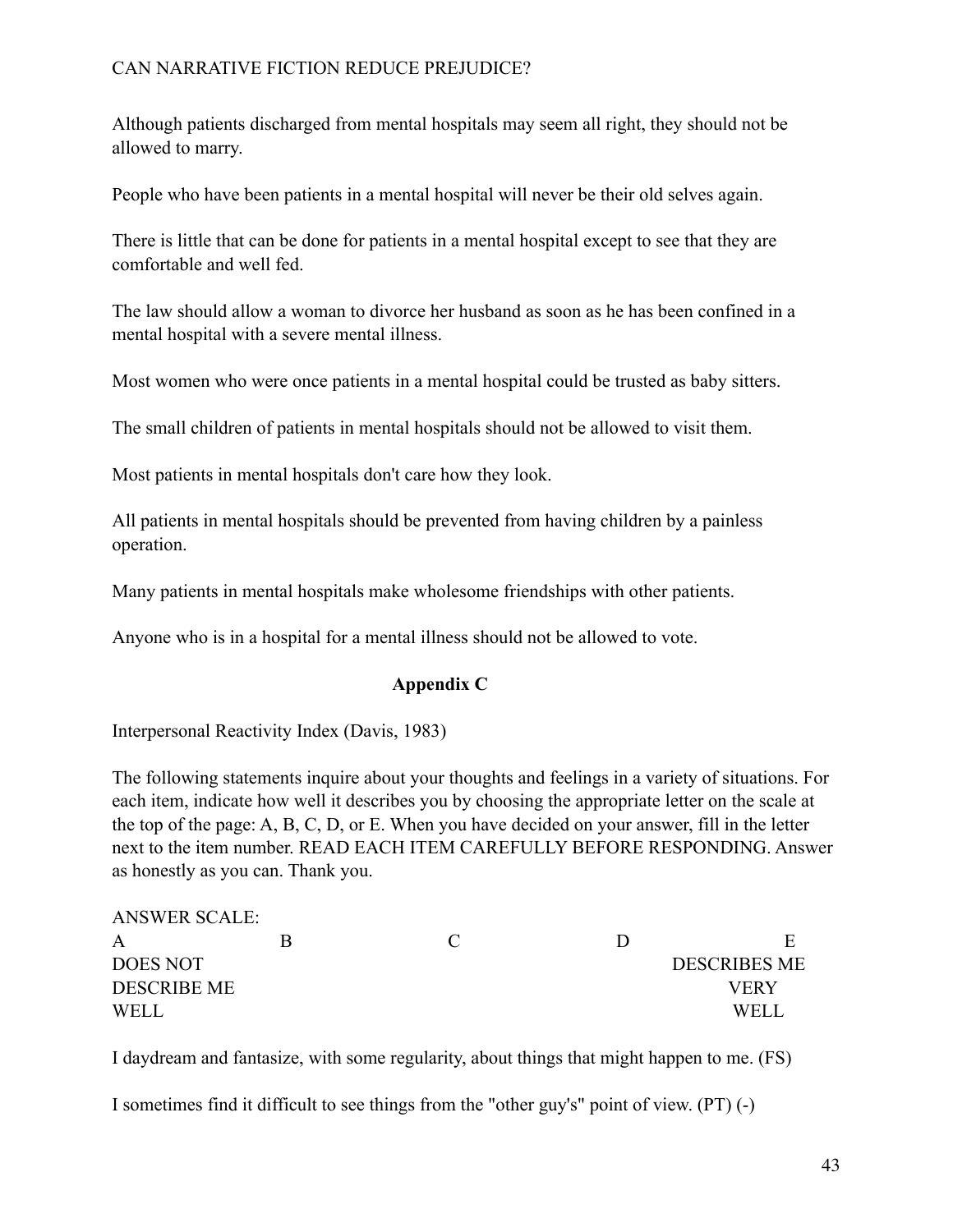Although patients discharged from mental hospitals may seem all right, they should not be allowed to marry.

People who have been patients in a mental hospital will never be their old selves again.

There is little that can be done for patients in a mental hospital except to see that they are comfortable and well fed.

The law should allow a woman to divorce her husband as soon as he has been confined in a mental hospital with a severe mental illness.

Most women who were once patients in a mental hospital could be trusted as baby sitters.

The small children of patients in mental hospitals should not be allowed to visit them.

Most patients in mental hospitals don't care how they look.

All patients in mental hospitals should be prevented from having children by a painless operation.

Many patients in mental hospitals make wholesome friendships with other patients.

Anyone who is in a hospital for a mental illness should not be allowed to vote.

## **Appendix C**

Interpersonal Reactivity Index (Davis, 1983)

The following statements inquire about your thoughts and feelings in a variety of situations. For each item, indicate how well it describes you by choosing the appropriate letter on the scale at the top of the page: A, B, C, D, or E. When you have decided on your answer, fill in the letter next to the item number. READ EACH ITEM CAREFULLY BEFORE RESPONDING. Answer as honestly as you can. Thank you.

| <b>ANSWER SCALE:</b> |  |                     |
|----------------------|--|---------------------|
| $\mathbf{A}$         |  |                     |
| <b>DOES NOT</b>      |  | <b>DESCRIBES ME</b> |
| <b>DESCRIBE ME</b>   |  | <b>VERY</b>         |
| WELL                 |  | WEL J               |

I daydream and fantasize, with some regularity, about things that might happen to me. (FS)

I sometimes find it difficult to see things from the "other guy's" point of view. (PT) (-)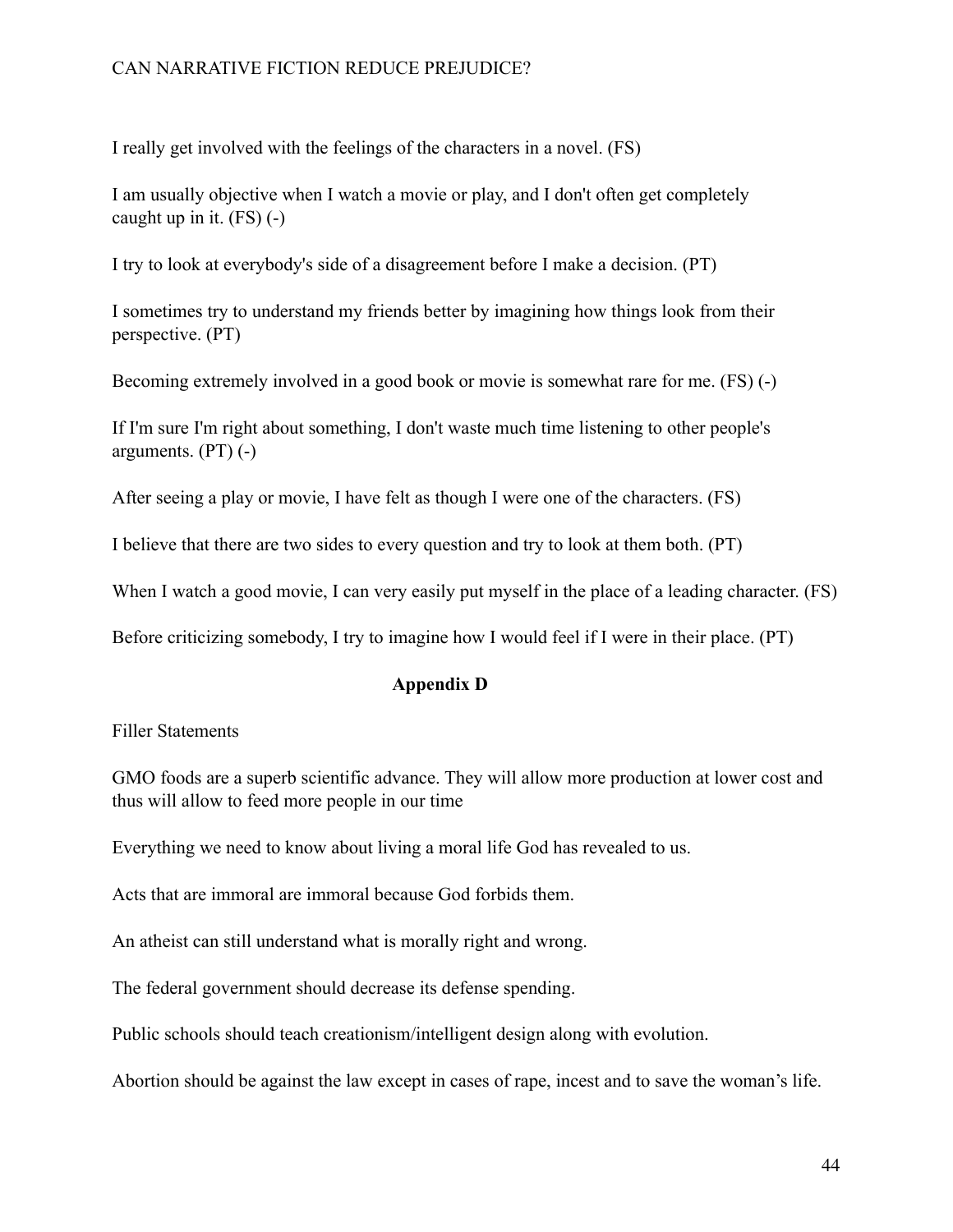I really get involved with the feelings of the characters in a novel. (FS)

I am usually objective when I watch a movie or play, and I don't often get completely caught up in it. (FS) (-)

I try to look at everybody's side of a disagreement before I make a decision. (PT)

I sometimes try to understand my friends better by imagining how things look from their perspective. (PT)

Becoming extremely involved in a good book or movie is somewhat rare for me. (FS) (-)

If I'm sure I'm right about something, I don't waste much time listening to other people's arguments. (PT) (-)

After seeing a play or movie, I have felt as though I were one of the characters. (FS)

I believe that there are two sides to every question and try to look at them both. (PT)

When I watch a good movie, I can very easily put myself in the place of a leading character. (FS)

Before criticizing somebody, I try to imagine how I would feel if I were in their place. (PT)

## **Appendix D**

Filler Statements

GMO foods are a superb scientific advance. They will allow more production at lower cost and thus will allow to feed more people in our time

Everything we need to know about living a moral life God has revealed to us.

Acts that are immoral are immoral because God forbids them.

An atheist can still understand what is morally right and wrong.

The federal government should decrease its defense spending.

Public schools should teach creationism/intelligent design along with evolution.

Abortion should be against the law except in cases of rape, incest and to save the woman's life.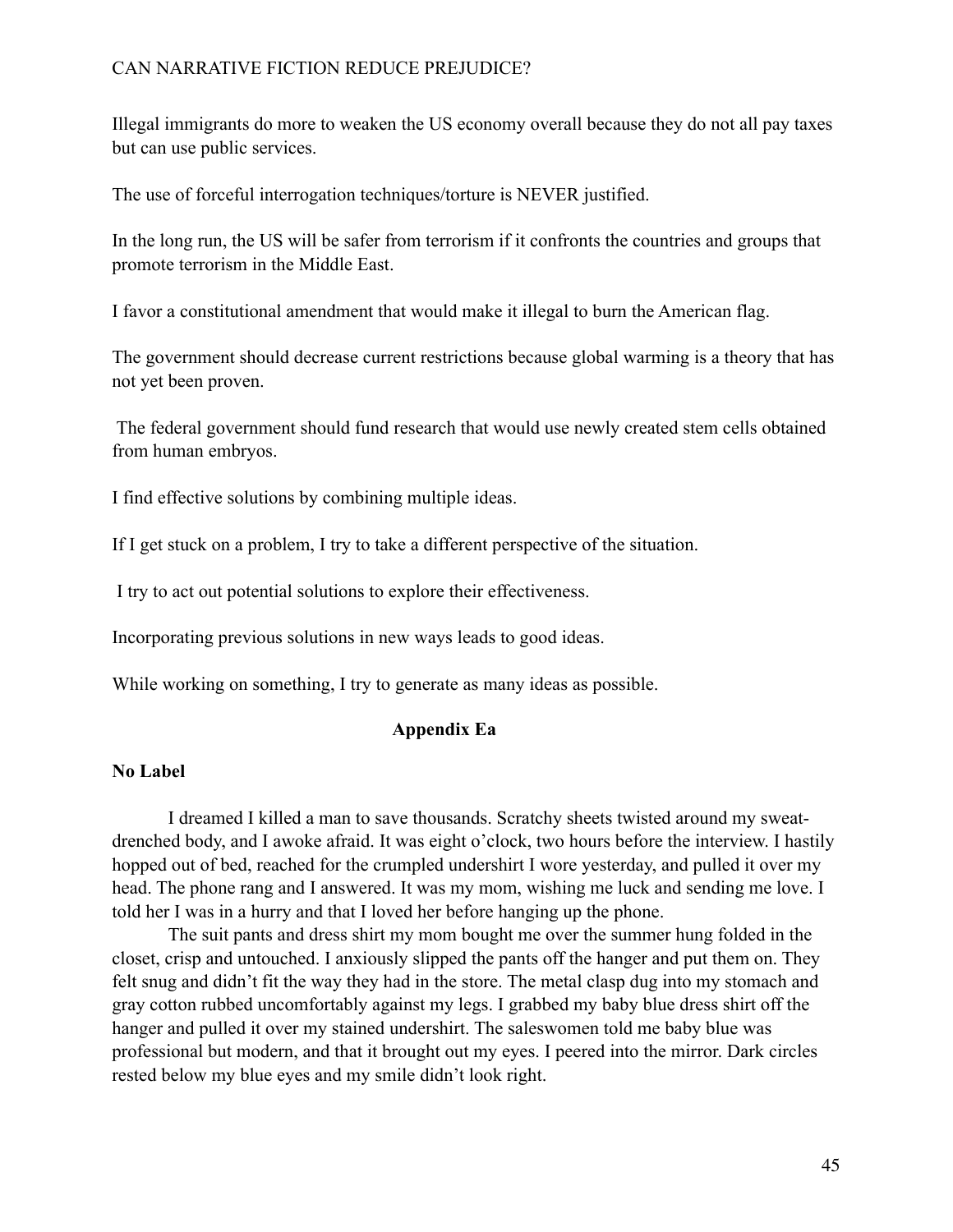Illegal immigrants do more to weaken the US economy overall because they do not all pay taxes but can use public services.

The use of forceful interrogation techniques/torture is NEVER justified.

In the long run, the US will be safer from terrorism if it confronts the countries and groups that promote terrorism in the Middle East.

I favor a constitutional amendment that would make it illegal to burn the American flag.

The government should decrease current restrictions because global warming is a theory that has not yet been proven.

 The federal government should fund research that would use newly created stem cells obtained from human embryos.

I find effective solutions by combining multiple ideas.

If I get stuck on a problem, I try to take a different perspective of the situation.

I try to act out potential solutions to explore their effectiveness.

Incorporating previous solutions in new ways leads to good ideas.

While working on something, I try to generate as many ideas as possible.

## **Appendix Ea**

## **No Label**

I dreamed I killed a man to save thousands. Scratchy sheets twisted around my sweatdrenched body, and I awoke afraid. It was eight o'clock, two hours before the interview. I hastily hopped out of bed, reached for the crumpled undershirt I wore yesterday, and pulled it over my head. The phone rang and I answered. It was my mom, wishing me luck and sending me love. I told her I was in a hurry and that I loved her before hanging up the phone.

 The suit pants and dress shirt my mom bought me over the summer hung folded in the closet, crisp and untouched. I anxiously slipped the pants off the hanger and put them on. They felt snug and didn't fit the way they had in the store. The metal clasp dug into my stomach and gray cotton rubbed uncomfortably against my legs. I grabbed my baby blue dress shirt off the hanger and pulled it over my stained undershirt. The saleswomen told me baby blue was professional but modern, and that it brought out my eyes. I peered into the mirror. Dark circles rested below my blue eyes and my smile didn't look right.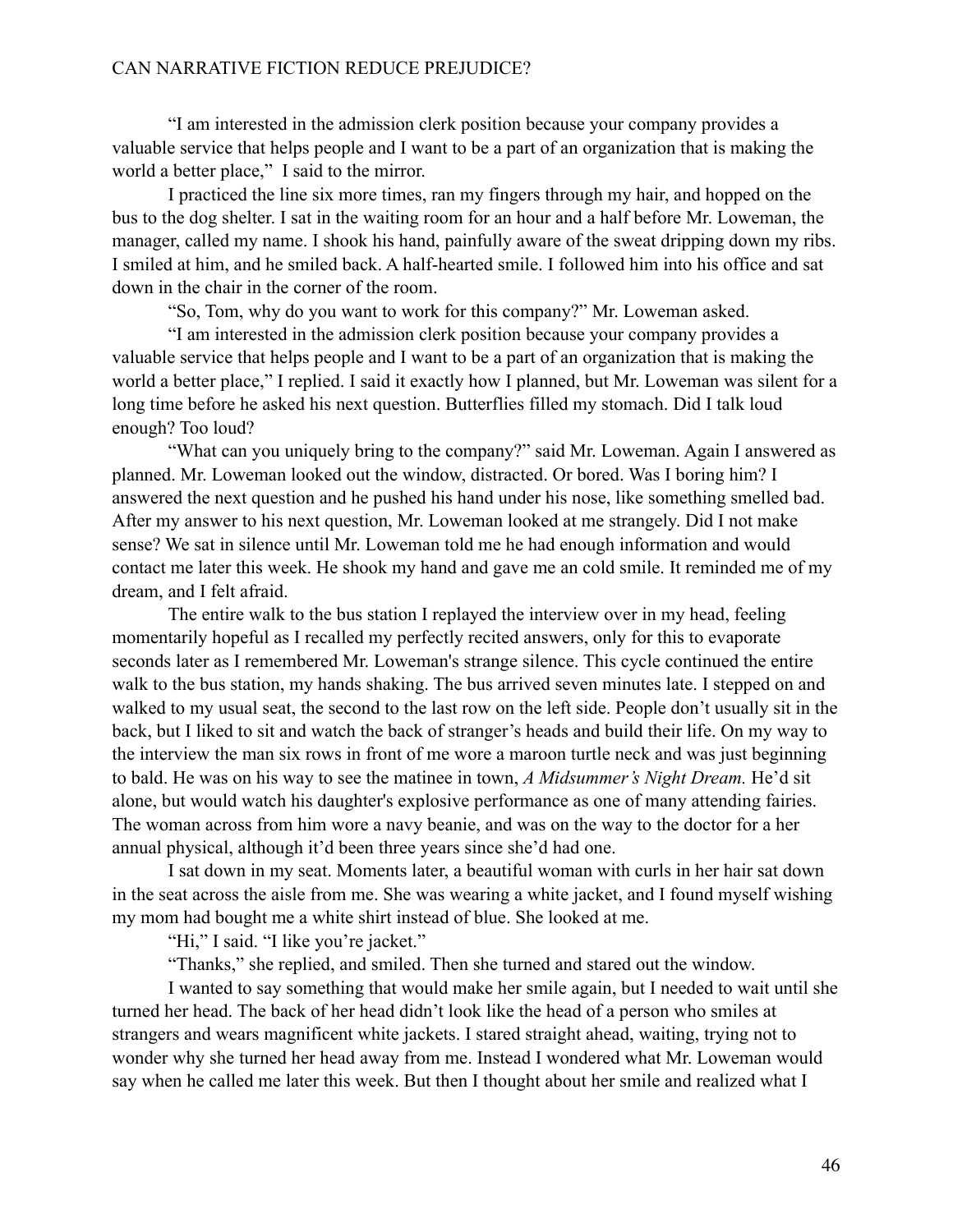"I am interested in the admission clerk position because your company provides a valuable service that helps people and I want to be a part of an organization that is making the world a better place," I said to the mirror.

 I practiced the line six more times, ran my fingers through my hair, and hopped on the bus to the dog shelter. I sat in the waiting room for an hour and a half before Mr. Loweman, the manager, called my name. I shook his hand, painfully aware of the sweat dripping down my ribs. I smiled at him, and he smiled back. A half-hearted smile. I followed him into his office and sat down in the chair in the corner of the room.

"So, Tom, why do you want to work for this company?" Mr. Loweman asked.

 "I am interested in the admission clerk position because your company provides a valuable service that helps people and I want to be a part of an organization that is making the world a better place," I replied. I said it exactly how I planned, but Mr. Loweman was silent for a long time before he asked his next question. Butterflies filled my stomach. Did I talk loud enough? Too loud?

 "What can you uniquely bring to the company?" said Mr. Loweman. Again I answered as planned. Mr. Loweman looked out the window, distracted. Or bored. Was I boring him? I answered the next question and he pushed his hand under his nose, like something smelled bad. After my answer to his next question, Mr. Loweman looked at me strangely. Did I not make sense? We sat in silence until Mr. Loweman told me he had enough information and would contact me later this week. He shook my hand and gave me an cold smile. It reminded me of my dream, and I felt afraid.

 The entire walk to the bus station I replayed the interview over in my head, feeling momentarily hopeful as I recalled my perfectly recited answers, only for this to evaporate seconds later as I remembered Mr. Loweman's strange silence. This cycle continued the entire walk to the bus station, my hands shaking. The bus arrived seven minutes late. I stepped on and walked to my usual seat, the second to the last row on the left side. People don't usually sit in the back, but I liked to sit and watch the back of stranger's heads and build their life. On my way to the interview the man six rows in front of me wore a maroon turtle neck and was just beginning to bald. He was on his way to see the matinee in town, *A Midsummer's Night Dream.* He'd sit alone, but would watch his daughter's explosive performance as one of many attending fairies. The woman across from him wore a navy beanie, and was on the way to the doctor for a her annual physical, although it'd been three years since she'd had one.

 I sat down in my seat. Moments later, a beautiful woman with curls in her hair sat down in the seat across the aisle from me. She was wearing a white jacket, and I found myself wishing my mom had bought me a white shirt instead of blue. She looked at me.

"Hi," I said. "I like you're jacket."

"Thanks," she replied, and smiled. Then she turned and stared out the window.

 I wanted to say something that would make her smile again, but I needed to wait until she turned her head. The back of her head didn't look like the head of a person who smiles at strangers and wears magnificent white jackets. I stared straight ahead, waiting, trying not to wonder why she turned her head away from me. Instead I wondered what Mr. Loweman would say when he called me later this week. But then I thought about her smile and realized what I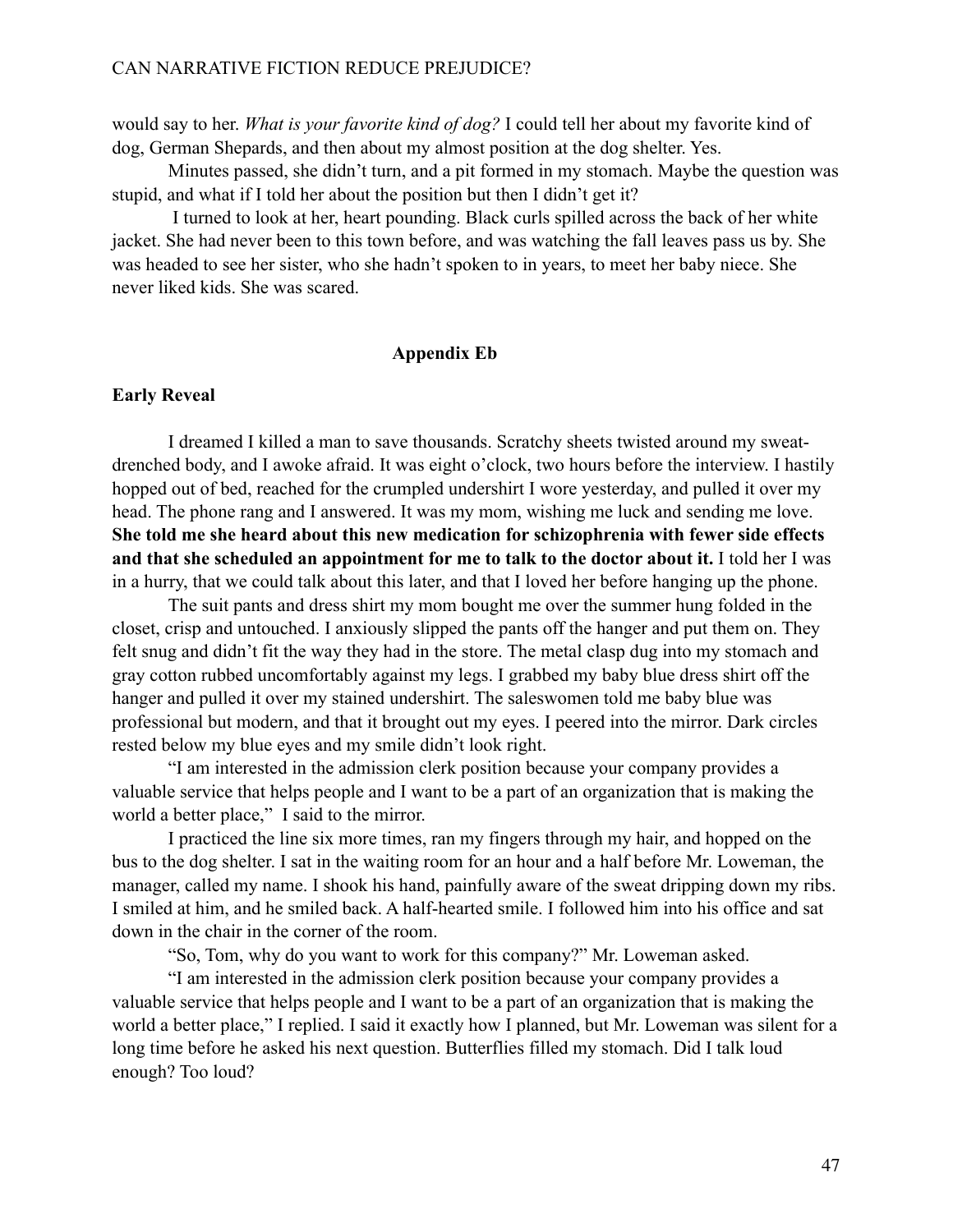would say to her. *What is your favorite kind of dog?* I could tell her about my favorite kind of dog, German Shepards, and then about my almost position at the dog shelter. Yes.

 Minutes passed, she didn't turn, and a pit formed in my stomach. Maybe the question was stupid, and what if I told her about the position but then I didn't get it?

 I turned to look at her, heart pounding. Black curls spilled across the back of her white jacket. She had never been to this town before, and was watching the fall leaves pass us by. She was headed to see her sister, who she hadn't spoken to in years, to meet her baby niece. She never liked kids. She was scared.

#### **Appendix Eb**

## **Early Reveal**

 I dreamed I killed a man to save thousands. Scratchy sheets twisted around my sweatdrenched body, and I awoke afraid. It was eight o'clock, two hours before the interview. I hastily hopped out of bed, reached for the crumpled undershirt I wore yesterday, and pulled it over my head. The phone rang and I answered. It was my mom, wishing me luck and sending me love. **She told me she heard about this new medication for schizophrenia with fewer side effects and that she scheduled an appointment for me to talk to the doctor about it.** I told her I was in a hurry, that we could talk about this later, and that I loved her before hanging up the phone.

 The suit pants and dress shirt my mom bought me over the summer hung folded in the closet, crisp and untouched. I anxiously slipped the pants off the hanger and put them on. They felt snug and didn't fit the way they had in the store. The metal clasp dug into my stomach and gray cotton rubbed uncomfortably against my legs. I grabbed my baby blue dress shirt off the hanger and pulled it over my stained undershirt. The saleswomen told me baby blue was professional but modern, and that it brought out my eyes. I peered into the mirror. Dark circles rested below my blue eyes and my smile didn't look right.

 "I am interested in the admission clerk position because your company provides a valuable service that helps people and I want to be a part of an organization that is making the world a better place," I said to the mirror.

 I practiced the line six more times, ran my fingers through my hair, and hopped on the bus to the dog shelter. I sat in the waiting room for an hour and a half before Mr. Loweman, the manager, called my name. I shook his hand, painfully aware of the sweat dripping down my ribs. I smiled at him, and he smiled back. A half-hearted smile. I followed him into his office and sat down in the chair in the corner of the room.

"So, Tom, why do you want to work for this company?" Mr. Loweman asked.

 "I am interested in the admission clerk position because your company provides a valuable service that helps people and I want to be a part of an organization that is making the world a better place," I replied. I said it exactly how I planned, but Mr. Loweman was silent for a long time before he asked his next question. Butterflies filled my stomach. Did I talk loud enough? Too loud?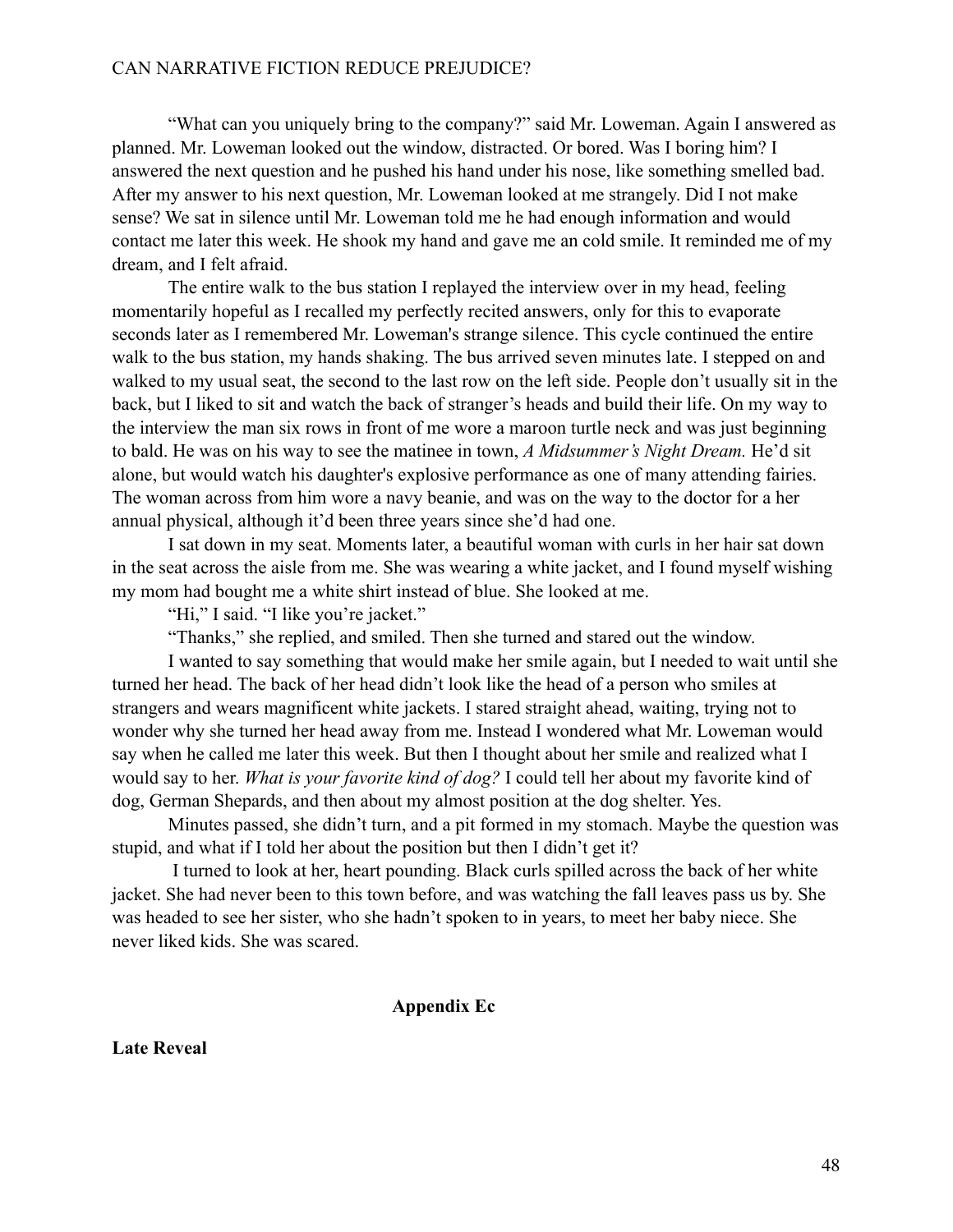"What can you uniquely bring to the company?" said Mr. Loweman. Again I answered as planned. Mr. Loweman looked out the window, distracted. Or bored. Was I boring him? I answered the next question and he pushed his hand under his nose, like something smelled bad. After my answer to his next question, Mr. Loweman looked at me strangely. Did I not make sense? We sat in silence until Mr. Loweman told me he had enough information and would contact me later this week. He shook my hand and gave me an cold smile. It reminded me of my dream, and I felt afraid.

 The entire walk to the bus station I replayed the interview over in my head, feeling momentarily hopeful as I recalled my perfectly recited answers, only for this to evaporate seconds later as I remembered Mr. Loweman's strange silence. This cycle continued the entire walk to the bus station, my hands shaking. The bus arrived seven minutes late. I stepped on and walked to my usual seat, the second to the last row on the left side. People don't usually sit in the back, but I liked to sit and watch the back of stranger's heads and build their life. On my way to the interview the man six rows in front of me wore a maroon turtle neck and was just beginning to bald. He was on his way to see the matinee in town, *A Midsummer's Night Dream.* He'd sit alone, but would watch his daughter's explosive performance as one of many attending fairies. The woman across from him wore a navy beanie, and was on the way to the doctor for a her annual physical, although it'd been three years since she'd had one.

 I sat down in my seat. Moments later, a beautiful woman with curls in her hair sat down in the seat across the aisle from me. She was wearing a white jacket, and I found myself wishing my mom had bought me a white shirt instead of blue. She looked at me.

"Hi," I said. "I like you're jacket."

"Thanks," she replied, and smiled. Then she turned and stared out the window.

 I wanted to say something that would make her smile again, but I needed to wait until she turned her head. The back of her head didn't look like the head of a person who smiles at strangers and wears magnificent white jackets. I stared straight ahead, waiting, trying not to wonder why she turned her head away from me. Instead I wondered what Mr. Loweman would say when he called me later this week. But then I thought about her smile and realized what I would say to her. *What is your favorite kind of dog?* I could tell her about my favorite kind of dog, German Shepards, and then about my almost position at the dog shelter. Yes.

 Minutes passed, she didn't turn, and a pit formed in my stomach. Maybe the question was stupid, and what if I told her about the position but then I didn't get it?

 I turned to look at her, heart pounding. Black curls spilled across the back of her white jacket. She had never been to this town before, and was watching the fall leaves pass us by. She was headed to see her sister, who she hadn't spoken to in years, to meet her baby niece. She never liked kids. She was scared.

#### **Appendix Ec**

#### **Late Reveal**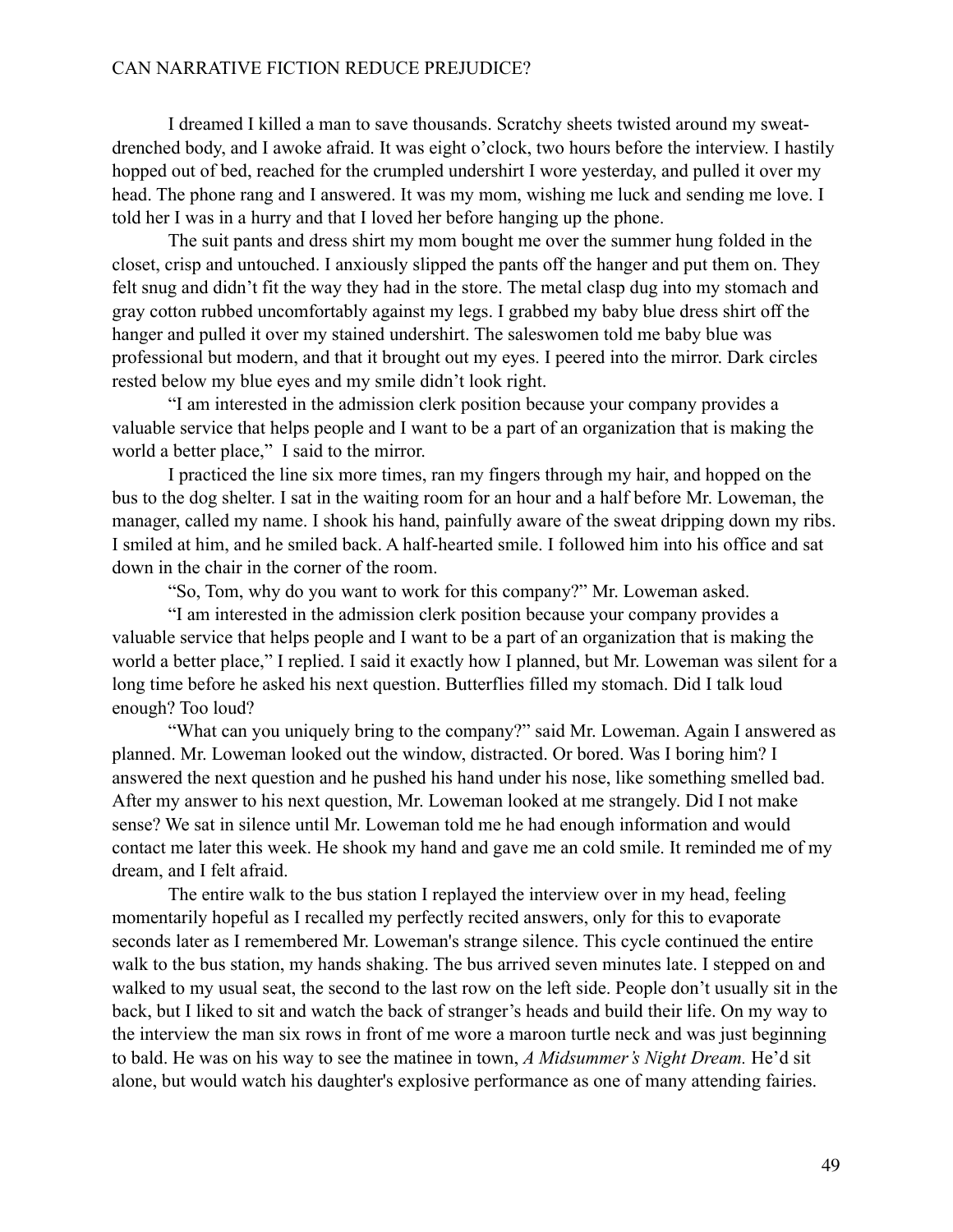I dreamed I killed a man to save thousands. Scratchy sheets twisted around my sweatdrenched body, and I awoke afraid. It was eight o'clock, two hours before the interview. I hastily hopped out of bed, reached for the crumpled undershirt I wore yesterday, and pulled it over my head. The phone rang and I answered. It was my mom, wishing me luck and sending me love. I told her I was in a hurry and that I loved her before hanging up the phone.

 The suit pants and dress shirt my mom bought me over the summer hung folded in the closet, crisp and untouched. I anxiously slipped the pants off the hanger and put them on. They felt snug and didn't fit the way they had in the store. The metal clasp dug into my stomach and gray cotton rubbed uncomfortably against my legs. I grabbed my baby blue dress shirt off the hanger and pulled it over my stained undershirt. The saleswomen told me baby blue was professional but modern, and that it brought out my eyes. I peered into the mirror. Dark circles rested below my blue eyes and my smile didn't look right.

 "I am interested in the admission clerk position because your company provides a valuable service that helps people and I want to be a part of an organization that is making the world a better place," I said to the mirror.

 I practiced the line six more times, ran my fingers through my hair, and hopped on the bus to the dog shelter. I sat in the waiting room for an hour and a half before Mr. Loweman, the manager, called my name. I shook his hand, painfully aware of the sweat dripping down my ribs. I smiled at him, and he smiled back. A half-hearted smile. I followed him into his office and sat down in the chair in the corner of the room.

"So, Tom, why do you want to work for this company?" Mr. Loweman asked.

 "I am interested in the admission clerk position because your company provides a valuable service that helps people and I want to be a part of an organization that is making the world a better place," I replied. I said it exactly how I planned, but Mr. Loweman was silent for a long time before he asked his next question. Butterflies filled my stomach. Did I talk loud enough? Too loud?

 "What can you uniquely bring to the company?" said Mr. Loweman. Again I answered as planned. Mr. Loweman looked out the window, distracted. Or bored. Was I boring him? I answered the next question and he pushed his hand under his nose, like something smelled bad. After my answer to his next question, Mr. Loweman looked at me strangely. Did I not make sense? We sat in silence until Mr. Loweman told me he had enough information and would contact me later this week. He shook my hand and gave me an cold smile. It reminded me of my dream, and I felt afraid.

 The entire walk to the bus station I replayed the interview over in my head, feeling momentarily hopeful as I recalled my perfectly recited answers, only for this to evaporate seconds later as I remembered Mr. Loweman's strange silence. This cycle continued the entire walk to the bus station, my hands shaking. The bus arrived seven minutes late. I stepped on and walked to my usual seat, the second to the last row on the left side. People don't usually sit in the back, but I liked to sit and watch the back of stranger's heads and build their life. On my way to the interview the man six rows in front of me wore a maroon turtle neck and was just beginning to bald. He was on his way to see the matinee in town, *A Midsummer's Night Dream.* He'd sit alone, but would watch his daughter's explosive performance as one of many attending fairies.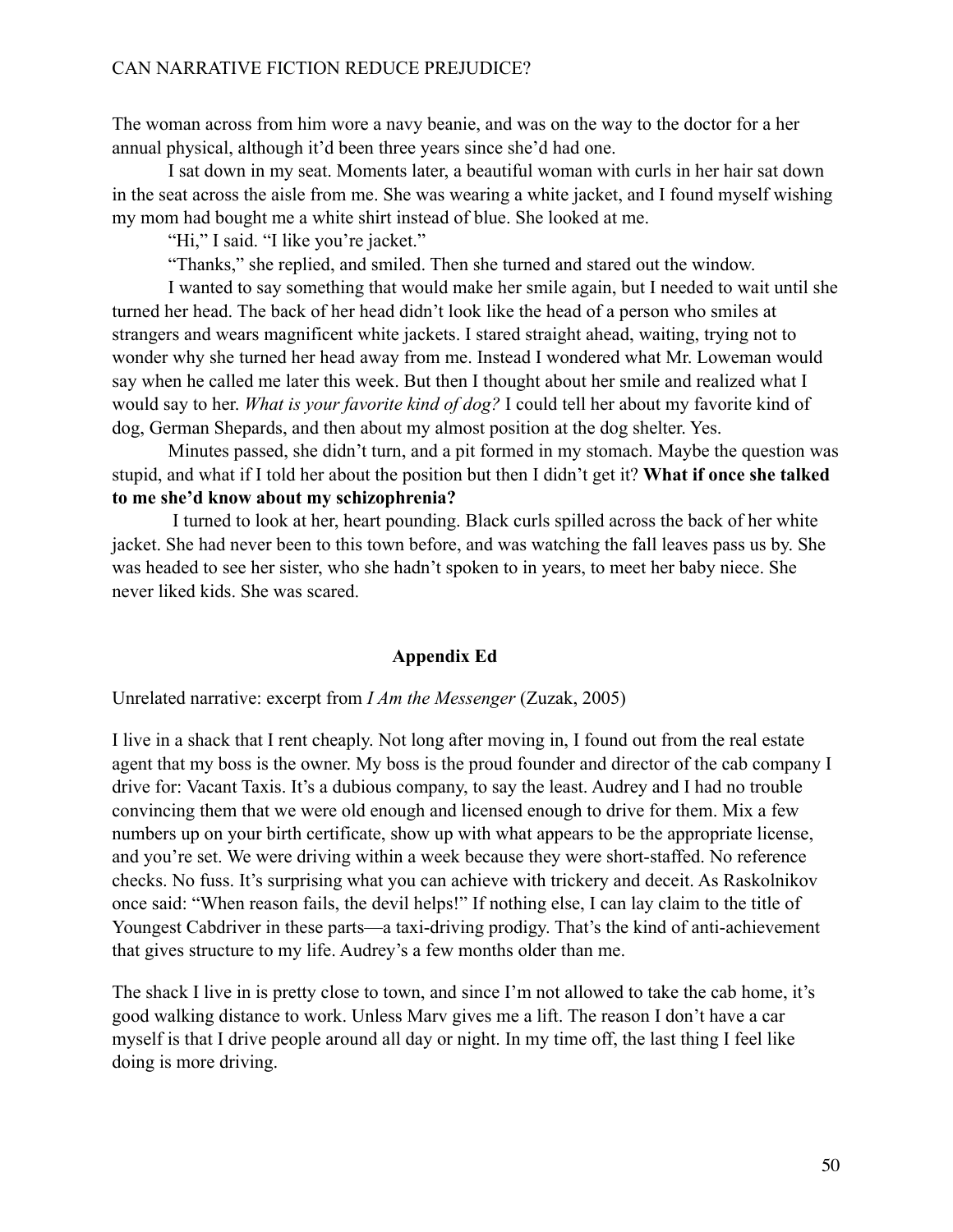The woman across from him wore a navy beanie, and was on the way to the doctor for a her annual physical, although it'd been three years since she'd had one.

 I sat down in my seat. Moments later, a beautiful woman with curls in her hair sat down in the seat across the aisle from me. She was wearing a white jacket, and I found myself wishing my mom had bought me a white shirt instead of blue. She looked at me.

"Hi," I said. "I like you're jacket."

"Thanks," she replied, and smiled. Then she turned and stared out the window.

 I wanted to say something that would make her smile again, but I needed to wait until she turned her head. The back of her head didn't look like the head of a person who smiles at strangers and wears magnificent white jackets. I stared straight ahead, waiting, trying not to wonder why she turned her head away from me. Instead I wondered what Mr. Loweman would say when he called me later this week. But then I thought about her smile and realized what I would say to her. *What is your favorite kind of dog?* I could tell her about my favorite kind of dog, German Shepards, and then about my almost position at the dog shelter. Yes.

 Minutes passed, she didn't turn, and a pit formed in my stomach. Maybe the question was stupid, and what if I told her about the position but then I didn't get it? **What if once she talked to me she'd know about my schizophrenia?** 

 I turned to look at her, heart pounding. Black curls spilled across the back of her white jacket. She had never been to this town before, and was watching the fall leaves pass us by. She was headed to see her sister, who she hadn't spoken to in years, to meet her baby niece. She never liked kids. She was scared.

#### **Appendix Ed**

Unrelated narrative: excerpt from *I Am the Messenger* (Zuzak, 2005)

I live in a shack that I rent cheaply. Not long after moving in, I found out from the real estate agent that my boss is the owner. My boss is the proud founder and director of the cab company I drive for: Vacant Taxis. It's a dubious company, to say the least. Audrey and I had no trouble convincing them that we were old enough and licensed enough to drive for them. Mix a few numbers up on your birth certificate, show up with what appears to be the appropriate license, and you're set. We were driving within a week because they were short-staffed. No reference checks. No fuss. It's surprising what you can achieve with trickery and deceit. As Raskolnikov once said: "When reason fails, the devil helps!" If nothing else, I can lay claim to the title of Youngest Cabdriver in these parts—a taxi-driving prodigy. That's the kind of anti-achievement that gives structure to my life. Audrey's a few months older than me.

The shack I live in is pretty close to town, and since I'm not allowed to take the cab home, it's good walking distance to work. Unless Marv gives me a lift. The reason I don't have a car myself is that I drive people around all day or night. In my time off, the last thing I feel like doing is more driving.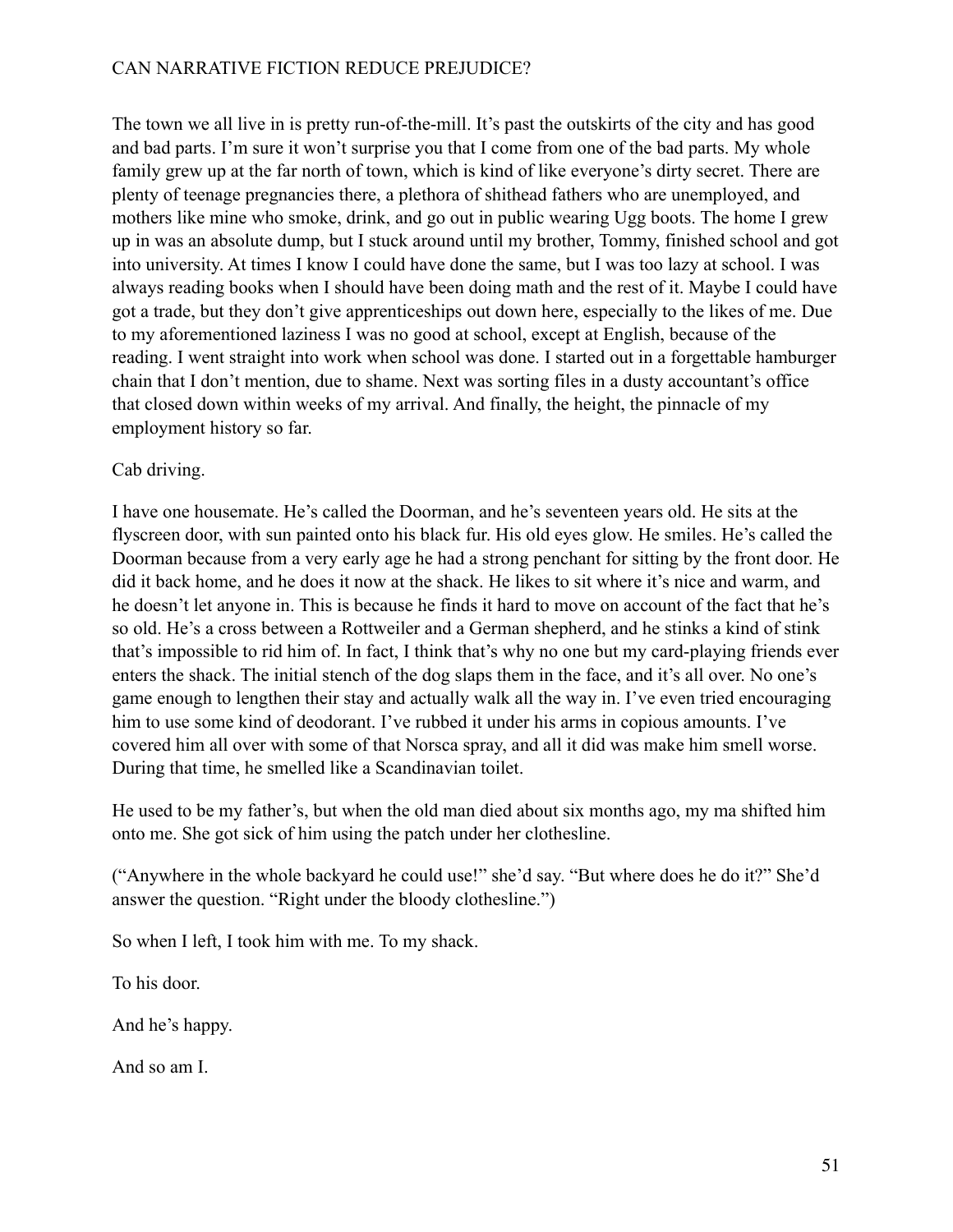The town we all live in is pretty run-of-the-mill. It's past the outskirts of the city and has good and bad parts. I'm sure it won't surprise you that I come from one of the bad parts. My whole family grew up at the far north of town, which is kind of like everyone's dirty secret. There are plenty of teenage pregnancies there, a plethora of shithead fathers who are unemployed, and mothers like mine who smoke, drink, and go out in public wearing Ugg boots. The home I grew up in was an absolute dump, but I stuck around until my brother, Tommy, finished school and got into university. At times I know I could have done the same, but I was too lazy at school. I was always reading books when I should have been doing math and the rest of it. Maybe I could have got a trade, but they don't give apprenticeships out down here, especially to the likes of me. Due to my aforementioned laziness I was no good at school, except at English, because of the reading. I went straight into work when school was done. I started out in a forgettable hamburger chain that I don't mention, due to shame. Next was sorting files in a dusty accountant's office that closed down within weeks of my arrival. And finally, the height, the pinnacle of my employment history so far.

Cab driving.

I have one housemate. He's called the Doorman, and he's seventeen years old. He sits at the flyscreen door, with sun painted onto his black fur. His old eyes glow. He smiles. He's called the Doorman because from a very early age he had a strong penchant for sitting by the front door. He did it back home, and he does it now at the shack. He likes to sit where it's nice and warm, and he doesn't let anyone in. This is because he finds it hard to move on account of the fact that he's so old. He's a cross between a Rottweiler and a German shepherd, and he stinks a kind of stink that's impossible to rid him of. In fact, I think that's why no one but my card-playing friends ever enters the shack. The initial stench of the dog slaps them in the face, and it's all over. No one's game enough to lengthen their stay and actually walk all the way in. I've even tried encouraging him to use some kind of deodorant. I've rubbed it under his arms in copious amounts. I've covered him all over with some of that Norsca spray, and all it did was make him smell worse. During that time, he smelled like a Scandinavian toilet.

He used to be my father's, but when the old man died about six months ago, my ma shifted him onto me. She got sick of him using the patch under her clothesline.

("Anywhere in the whole backyard he could use!" she'd say. "But where does he do it?" She'd answer the question. "Right under the bloody clothesline.")

So when I left, I took him with me. To my shack.

To his door.

And he's happy.

And so am I.